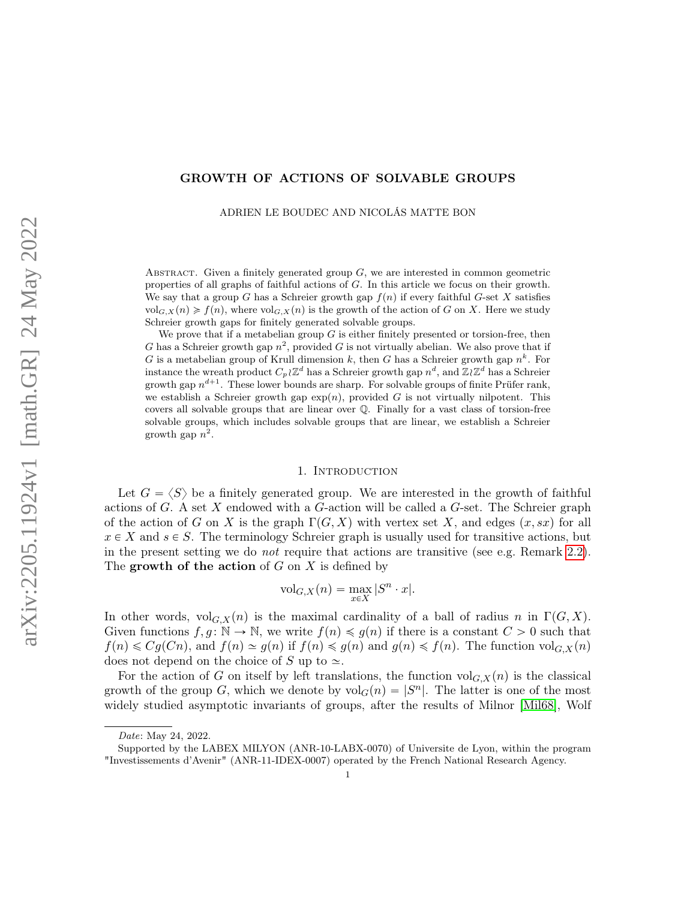### GROWTH OF ACTIONS OF SOLVABLE GROUPS

ADRIEN LE BOUDEC AND NICOLÁS MATTE BON

ABSTRACT. Given a finitely generated group  $G$ , we are interested in common geometric properties of all graphs of faithful actions of G. In this article we focus on their growth. We say that a group G has a Schreier growth gap  $f(n)$  if every faithful G-set X satisfies  $vol_{G,X}(n) \geq f(n)$ , where  $vol_{G,X}(n)$  is the growth of the action of G on X. Here we study Schreier growth gaps for finitely generated solvable groups.

We prove that if a metabelian group  $G$  is either finitely presented or torsion-free, then G has a Schreier growth gap  $n^2$ , provided G is not virtually abelian. We also prove that if G is a metabelian group of Krull dimension k, then G has a Schreier growth gap  $n^k$ . For instance the wreath product  $C_p \wr \mathbb{Z}^d$  has a Schreier growth gap  $n^d$ , and  $\mathbb{Z} \wr \mathbb{Z}^d$  has a Schreier growth gap  $n^{d+1}$ . These lower bounds are sharp. For solvable groups of finite Prüfer rank, we establish a Schreier growth gap  $\exp(n)$ , provided G is not virtually nilpotent. This covers all solvable groups that are linear over Q. Finally for a vast class of torsion-free solvable groups, which includes solvable groups that are linear, we establish a Schreier growth gap  $n^2$ .

#### 1. Introduction

Let  $G = \langle S \rangle$  be a finitely generated group. We are interested in the growth of faithful actions of  $G$ . A set  $X$  endowed with a  $G$ -action will be called a  $G$ -set. The Schreier graph of the action of G on X is the graph  $\Gamma(G, X)$  with vertex set X, and edges  $(x, sx)$  for all  $x \in X$  and  $s \in S$ . The terminology Schreier graph is usually used for transitive actions, but in the present setting we do not require that actions are transitive (see e.g. Remark [2.2\)](#page-7-0). The growth of the action of  $G$  on  $X$  is defined by

$$
\mathrm{vol}_{G,X}(n)=\max_{x\in X}|S^n\cdot x|.
$$

In other words,  $\mathrm{vol}_{G,X}(n)$  is the maximal cardinality of a ball of radius n in  $\Gamma(G, X)$ . Given functions  $f, g: \mathbb{N} \to \mathbb{N}$ , we write  $f(n) \leq g(n)$  if there is a constant  $C > 0$  such that  $f(n) \leq Cg(Cn)$ , and  $f(n) \leq g(n)$  if  $f(n) \leq g(n)$  and  $g(n) \leq f(n)$ . The function volg,  $X(n)$ does not depend on the choice of S up to  $\simeq$ .

For the action of G on itself by left translations, the function  $\mathrm{vol}_{G,X}(n)$  is the classical growth of the group G, which we denote by  $\text{vol}_G(n) = |S^n|$ . The latter is one of the most widely studied asymptotic invariants of groups, after the results of Milnor [\[Mil68\]](#page-47-0), Wolf

Date: May 24, 2022.

Supported by the LABEX MILYON (ANR-10-LABX-0070) of Universite de Lyon, within the program "Investissements d'Avenir" (ANR-11-IDEX-0007) operated by the French National Research Agency.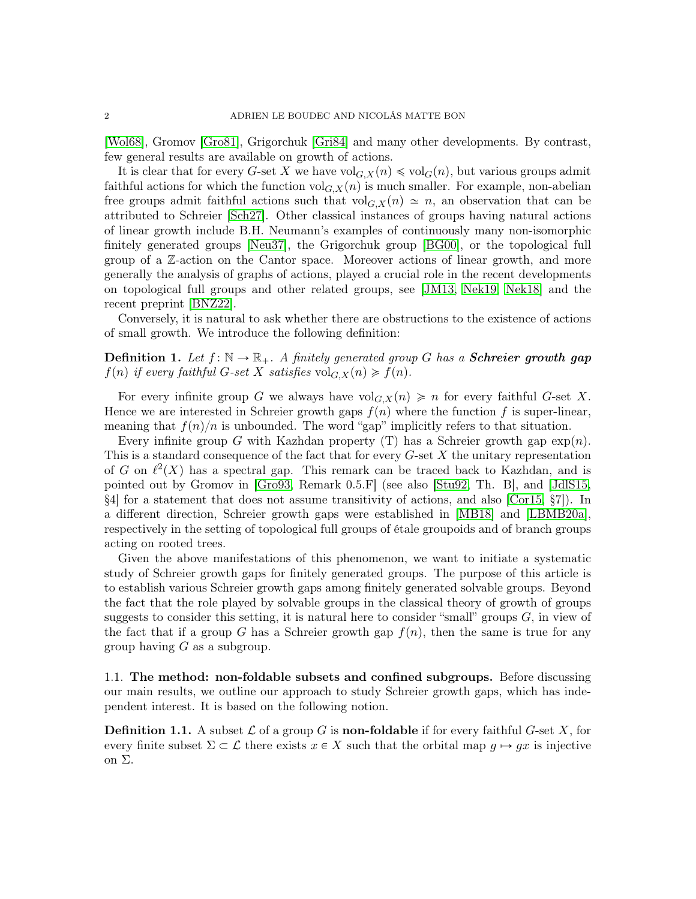[\[Wol68\]](#page-47-1), Gromov [\[Gro81\]](#page-46-0), Grigorchuk [\[Gri84\]](#page-46-1) and many other developments. By contrast, few general results are available on growth of actions.

It is clear that for every G-set X we have  $\text{vol}_{G,X}(n) \leq \text{vol}_G(n)$ , but various groups admit faithful actions for which the function  $\mathrm{vol}_{G,X}(n)$  is much smaller. For example, non-abelian free groups admit faithful actions such that  $\text{vol}_{G,X}(n) \simeq n$ , an observation that can be attributed to Schreier [\[Sch27\]](#page-47-2). Other classical instances of groups having natural actions of linear growth include B.H. Neumann's examples of continuously many non-isomorphic finitely generated groups [\[Neu37\]](#page-47-3), the Grigorchuk group [\[BG00\]](#page-45-0), or the topological full group of a Z-action on the Cantor space. Moreover actions of linear growth, and more generally the analysis of graphs of actions, played a crucial role in the recent developments on topological full groups and other related groups, see [\[JM13,](#page-46-2) [Nek19,](#page-47-4) [Nek18\]](#page-47-5) and the recent preprint [\[BNZ22\]](#page-45-1).

Conversely, it is natural to ask whether there are obstructions to the existence of actions of small growth. We introduce the following definition:

## **Definition 1.** Let  $f: \mathbb{N} \to \mathbb{R}_+$ . A finitely generated group G has a **Schreier growth gap**  $f(n)$  if every faithful G-set X satisfies  $\text{vol}_{G,X}(n) \geq f(n)$ .

For every infinite group G we always have  $\mathrm{vol}_{G,X}(n) \geq n$  for every faithful G-set X. Hence we are interested in Schreier growth gaps  $f(n)$  where the function f is super-linear, meaning that  $f(n)/n$  is unbounded. The word "gap" implicitly refers to that situation.

Every infinite group G with Kazhdan property (T) has a Schreier growth gap  $\exp(n)$ . This is a standard consequence of the fact that for every  $G$ -set  $X$  the unitary representation of G on  $\ell^2(X)$  has a spectral gap. This remark can be traced back to Kazhdan, and is pointed out by Gromov in [\[Gro93,](#page-46-3) Remark 0.5.F] (see also [\[Stu92,](#page-47-6) Th. B], and [\[JdlS15,](#page-46-4) §4] for a statement that does not assume transitivity of actions, and also [\[Cor15,](#page-45-2) §7]). In a different direction, Schreier growth gaps were established in [\[MB18\]](#page-47-7) and [\[LBMB20a\]](#page-46-5), respectively in the setting of topological full groups of étale groupoids and of branch groups acting on rooted trees.

Given the above manifestations of this phenomenon, we want to initiate a systematic study of Schreier growth gaps for finitely generated groups. The purpose of this article is to establish various Schreier growth gaps among finitely generated solvable groups. Beyond the fact that the role played by solvable groups in the classical theory of growth of groups suggests to consider this setting, it is natural here to consider "small" groups  $G$ , in view of the fact that if a group G has a Schreier growth gap  $f(n)$ , then the same is true for any group having  $G$  as a subgroup.

1.1. The method: non-foldable subsets and confined subgroups. Before discussing our main results, we outline our approach to study Schreier growth gaps, which has independent interest. It is based on the following notion.

**Definition 1.1.** A subset  $\mathcal L$  of a group G is **non-foldable** if for every faithful G-set X, for every finite subset  $\Sigma \subset \mathcal{L}$  there exists  $x \in X$  such that the orbital map  $q \mapsto qx$  is injective on Σ.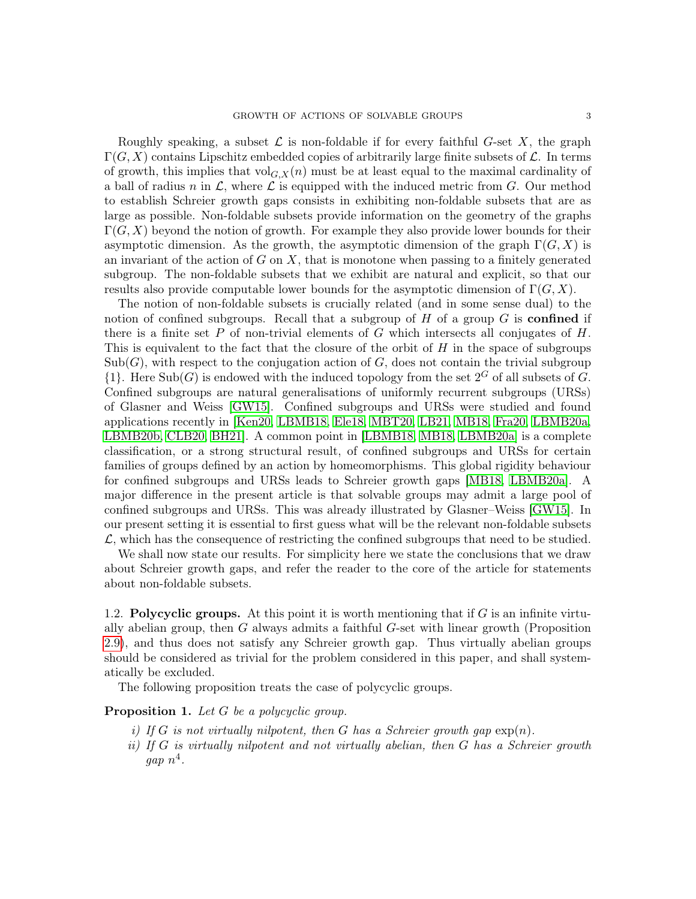Roughly speaking, a subset  $\mathcal L$  is non-foldable if for every faithful G-set X, the graph  $\Gamma(G, X)$  contains Lipschitz embedded copies of arbitrarily large finite subsets of  $\mathcal{L}$ . In terms of growth, this implies that  $\text{vol}_{G,X}(n)$  must be at least equal to the maximal cardinality of a ball of radius n in  $\mathcal{L}$ , where  $\mathcal{L}$  is equipped with the induced metric from  $G$ . Our method to establish Schreier growth gaps consists in exhibiting non-foldable subsets that are as large as possible. Non-foldable subsets provide information on the geometry of the graphs  $\Gamma(G, X)$  beyond the notion of growth. For example they also provide lower bounds for their asymptotic dimension. As the growth, the asymptotic dimension of the graph  $\Gamma(G, X)$  is an invariant of the action of  $G$  on  $X$ , that is monotone when passing to a finitely generated subgroup. The non-foldable subsets that we exhibit are natural and explicit, so that our results also provide computable lower bounds for the asymptotic dimension of  $\Gamma(G, X)$ .

The notion of non-foldable subsets is crucially related (and in some sense dual) to the notion of confined subgroups. Recall that a subgroup of  $H$  of a group  $G$  is **confined** if there is a finite set P of non-trivial elements of G which intersects all conjugates of  $H$ . This is equivalent to the fact that the closure of the orbit of  $H$  in the space of subgroups  $\text{Sub}(G)$ , with respect to the conjugation action of G, does not contain the trivial subgroup  $\{1\}$ . Here  $\text{Sub}(G)$  is endowed with the induced topology from the set  $2^G$  of all subsets of G. Confined subgroups are natural generalisations of uniformly recurrent subgroups (URSs) of Glasner and Weiss [\[GW15\]](#page-46-6). Confined subgroups and URSs were studied and found applications recently in [\[Ken20,](#page-46-7) [LBMB18,](#page-46-8) [Ele18,](#page-46-9) [MBT20,](#page-47-8) [LB21,](#page-46-10) [MB18,](#page-47-7) [Fra20,](#page-46-11) [LBMB20a,](#page-46-5) [LBMB20b,](#page-46-12) [CLB20,](#page-45-3) [BH21\]](#page-45-4). A common point in [\[LBMB18,](#page-46-8) [MB18,](#page-47-7) [LBMB20a\]](#page-46-5) is a complete classification, or a strong structural result, of confined subgroups and URSs for certain families of groups defined by an action by homeomorphisms. This global rigidity behaviour for confined subgroups and URSs leads to Schreier growth gaps [\[MB18,](#page-47-7) [LBMB20a\]](#page-46-5). A major difference in the present article is that solvable groups may admit a large pool of confined subgroups and URSs. This was already illustrated by Glasner–Weiss [\[GW15\]](#page-46-6). In our present setting it is essential to first guess what will be the relevant non-foldable subsets  $\mathcal{L}$ , which has the consequence of restricting the confined subgroups that need to be studied.

We shall now state our results. For simplicity here we state the conclusions that we draw about Schreier growth gaps, and refer the reader to the core of the article for statements about non-foldable subsets.

1.2. **Polycyclic groups.** At this point it is worth mentioning that if  $G$  is an infinite virtually abelian group, then G always admits a faithful G-set with linear growth (Proposition [2.9\)](#page-9-0), and thus does not satisfy any Schreier growth gap. Thus virtually abelian groups should be considered as trivial for the problem considered in this paper, and shall systematically be excluded.

The following proposition treats the case of polycyclic groups.

## <span id="page-2-1"></span><span id="page-2-0"></span>Proposition 1. Let G be a polycyclic group.

- i) If G is not virtually nilpotent, then G has a Schreier growth gap  $\exp(n)$ .
- ii) If  $G$  is virtually nilpotent and not virtually abelian, then  $G$  has a Schreier growth  $gap n<sup>4</sup>$ .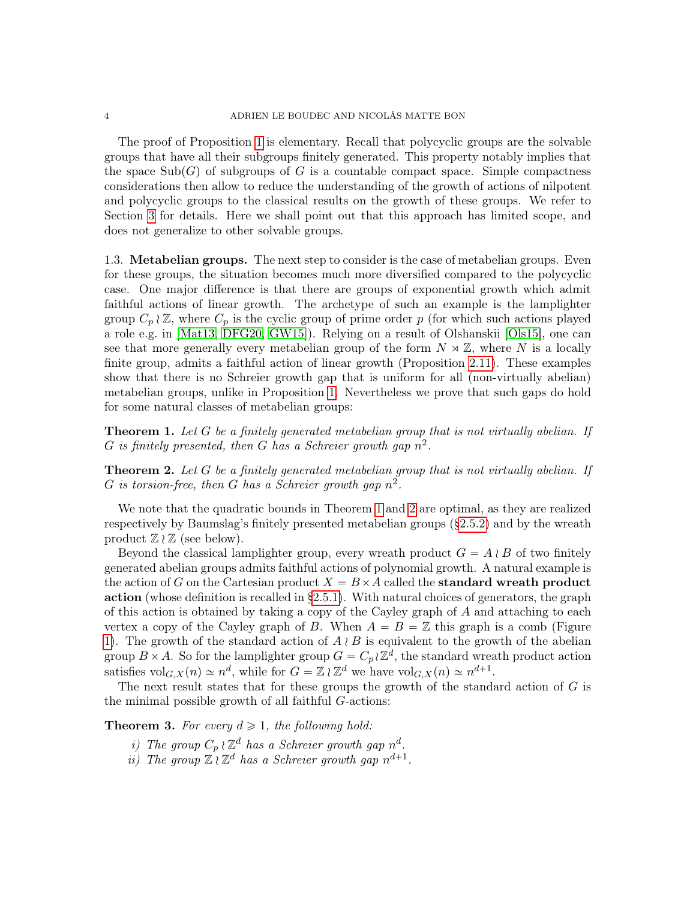The proof of Proposition [1](#page-2-0) is elementary. Recall that polycyclic groups are the solvable groups that have all their subgroups finitely generated. This property notably implies that the space  $\text{Sub}(G)$  of subgroups of G is a countable compact space. Simple compactness considerations then allow to reduce the understanding of the growth of actions of nilpotent and polycyclic groups to the classical results on the growth of these groups. We refer to Section [3](#page-14-0) for details. Here we shall point out that this approach has limited scope, and does not generalize to other solvable groups.

1.3. Metabelian groups. The next step to consider is the case of metabelian groups. Even for these groups, the situation becomes much more diversified compared to the polycyclic case. One major difference is that there are groups of exponential growth which admit faithful actions of linear growth. The archetype of such an example is the lamplighter group  $C_p \wr \mathbb{Z}$ , where  $C_p$  is the cyclic group of prime order p (for which such actions played a role e.g. in [\[Mat13,](#page-47-9) [DFG20,](#page-45-5) [GW15\]](#page-46-6)). Relying on a result of Olshanskii [\[Ols15\]](#page-47-10), one can see that more generally every metabelian group of the form  $N \rtimes \mathbb{Z}$ , where N is a locally finite group, admits a faithful action of linear growth (Proposition [2.11\)](#page-11-0). These examples show that there is no Schreier growth gap that is uniform for all (non-virtually abelian) metabelian groups, unlike in Proposition [1.](#page-2-0) Nevertheless we prove that such gaps do hold for some natural classes of metabelian groups:

<span id="page-3-0"></span>**Theorem 1.** Let G be a finitely generated metabelian group that is not virtually abelian. If G is finitely presented, then G has a Schreier growth gap  $n^2$ .

<span id="page-3-1"></span>**Theorem 2.** Let G be a finitely generated metabelian group that is not virtually abelian. If G is torsion-free, then G has a Schreier growth gap  $n^2$ .

We note that the quadratic bounds in Theorem [1](#page-3-0) and [2](#page-3-1) are optimal, as they are realized respectively by Baumslag's finitely presented metabelian groups  $(\S 2.5.2)$  and by the wreath product  $\mathbb{Z} \wr \mathbb{Z}$  (see below).

Beyond the classical lamplighter group, every wreath product  $G = A \wr B$  of two finitely generated abelian groups admits faithful actions of polynomial growth. A natural example is the action of G on the Cartesian product  $X = B \times A$  called the **standard wreath product** action (whose definition is recalled in [§2.5.1\)](#page-9-2). With natural choices of generators, the graph of this action is obtained by taking a copy of the Cayley graph of A and attaching to each vertex a copy of the Cayley graph of B. When  $A = B = \mathbb{Z}$  this graph is a comb (Figure [1\)](#page-10-0). The growth of the standard action of  $A \wr B$  is equivalent to the growth of the abelian group  $B \times A$ . So for the lamplighter group  $G = C_p \wr \mathbb{Z}^d$ , the standard wreath product action satisfies  $\mathrm{vol}_{G,X}(n) \simeq n^d$ , while for  $G = \mathbb{Z} \wr \mathbb{Z}^d$  we have  $\mathrm{vol}_{G,X}(n) \simeq n^{d+1}$ .

The next result states that for these groups the growth of the standard action of  $G$  is the minimal possible growth of all faithful G-actions:

<span id="page-3-2"></span>**Theorem 3.** For every  $d \geq 1$ , the following hold:

- i) The group  $C_p \wr \mathbb{Z}^d$  has a Schreier growth gap  $n^d$ .
- ii) The group  $\mathbb{Z}_l \mathbb{Z}^d$  has a Schreier growth gap  $n^{d+1}$ .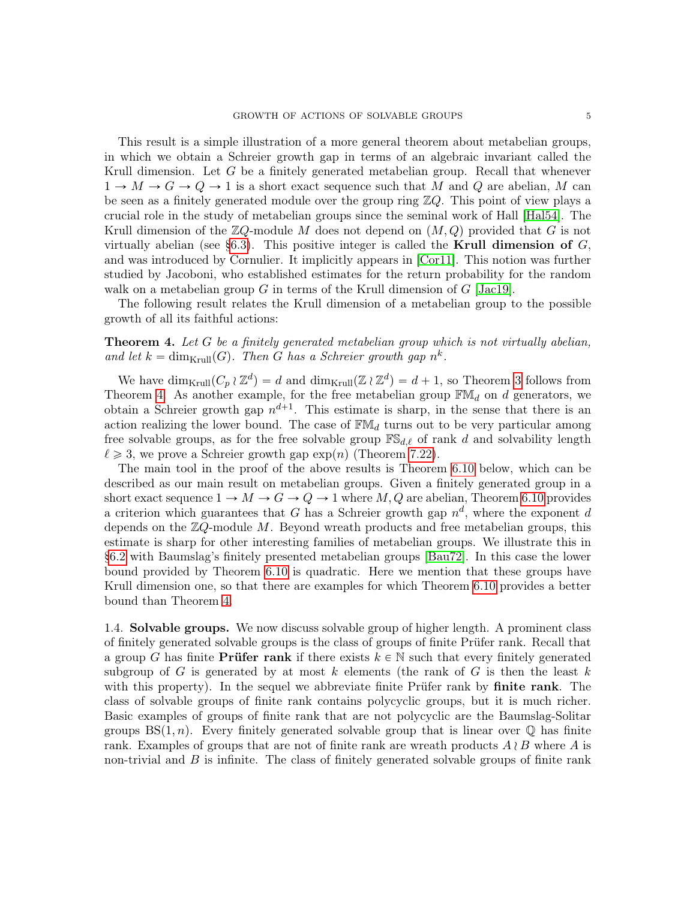This result is a simple illustration of a more general theorem about metabelian groups, in which we obtain a Schreier growth gap in terms of an algebraic invariant called the Krull dimension. Let G be a finitely generated metabelian group. Recall that whenever  $1 \rightarrow M \rightarrow G \rightarrow Q \rightarrow 1$  is a short exact sequence such that M and Q are abelian, M can be seen as a finitely generated module over the group ring  $\mathbb{Z}Q$ . This point of view plays a crucial role in the study of metabelian groups since the seminal work of Hall [\[Hal54\]](#page-46-13). The Krull dimension of the  $\mathbb{Z}Q$ -module M does not depend on  $(M, Q)$  provided that G is not virtually abelian (see [§6.3\)](#page-31-0). This positive integer is called the **Krull dimension of**  $G$ , and was introduced by Cornulier. It implicitly appears in [\[Cor11\]](#page-45-6). This notion was further studied by Jacoboni, who established estimates for the return probability for the random walk on a metabelian group G in terms of the Krull dimension of  $G$  [\[Jac19\]](#page-46-14).

The following result relates the Krull dimension of a metabelian group to the possible growth of all its faithful actions:

# <span id="page-4-0"></span>**Theorem 4.** Let G be a finitely generated metabelian group which is not virtually abelian, and let  $k = \dim_{Krull}(G)$ . Then G has a Schreier growth gap  $n^k$ .

We have  $\dim_{\text{Krull}}(C_p \wr \mathbb{Z}^d) = d$  and  $\dim_{\text{Krull}}(\mathbb{Z} \wr \mathbb{Z}^d) = d + 1$ , so Theorem [3](#page-3-2) follows from Theorem [4.](#page-4-0) As another example, for the free metabelian group  $\mathbb{F}M_d$  on d generators, we obtain a Schreier growth gap  $n^{d+1}$ . This estimate is sharp, in the sense that there is an action realizing the lower bound. The case of  $\mathbb{F}M_d$  turns out to be very particular among free solvable groups, as for the free solvable group  $\mathbb{FS}_{d,\ell}$  of rank d and solvability length  $\ell \geq 3$ , we prove a Schreier growth gap  $\exp(n)$  (Theorem [7.22\)](#page-41-0).

The main tool in the proof of the above results is Theorem [6.10](#page-28-0) below, which can be described as our main result on metabelian groups. Given a finitely generated group in a short exact sequence  $1 \to M \to G \to Q \to 1$  where  $M, Q$  are abelian, Theorem [6.10](#page-28-0) provides a criterion which guarantees that G has a Schreier growth gap  $n^d$ , where the exponent d depends on the  $\mathbb{Z}Q$ -module M. Beyond wreath products and free metabelian groups, this estimate is sharp for other interesting families of metabelian groups. We illustrate this in [§6.2](#page-29-0) with Baumslag's finitely presented metabelian groups [\[Bau72\]](#page-45-7). In this case the lower bound provided by Theorem [6.10](#page-28-0) is quadratic. Here we mention that these groups have Krull dimension one, so that there are examples for which Theorem [6.10](#page-28-0) provides a better bound than Theorem [4.](#page-4-0)

1.4. Solvable groups. We now discuss solvable group of higher length. A prominent class of finitely generated solvable groups is the class of groups of finite Prüfer rank. Recall that a group G has finite **Prüfer rank** if there exists  $k \in \mathbb{N}$  such that every finitely generated subgroup of G is generated by at most k elements (the rank of G is then the least k with this property). In the sequel we abbreviate finite Prüfer rank by finite rank. The class of solvable groups of finite rank contains polycyclic groups, but it is much richer. Basic examples of groups of finite rank that are not polycyclic are the Baumslag-Solitar groups  $BS(1, n)$ . Every finitely generated solvable group that is linear over  $\mathbb Q$  has finite rank. Examples of groups that are not of finite rank are wreath products  $A \wr B$  where A is non-trivial and  $B$  is infinite. The class of finitely generated solvable groups of finite rank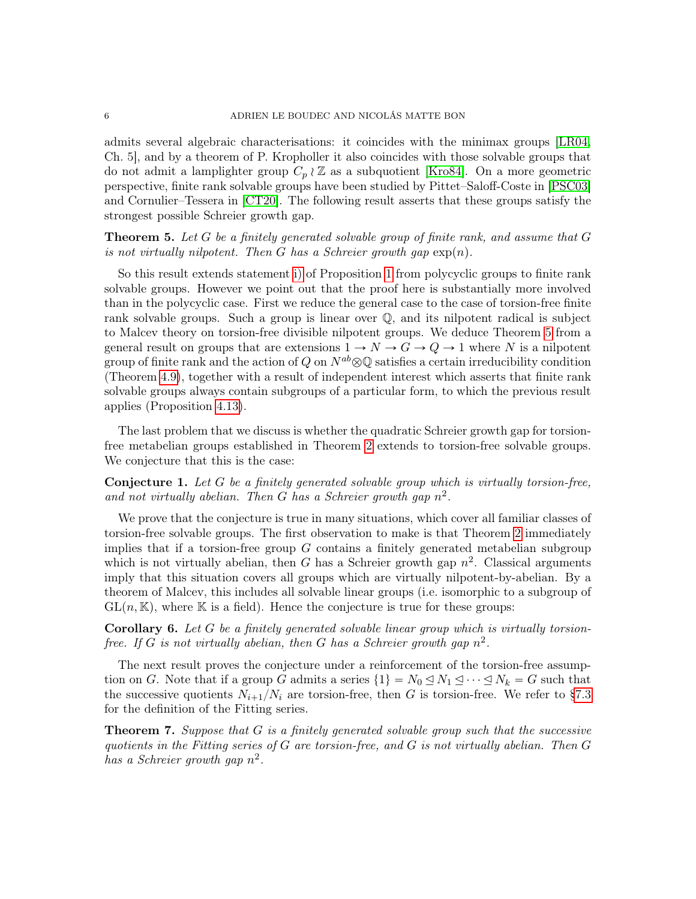admits several algebraic characterisations: it coincides with the minimax groups [\[LR04,](#page-46-15) Ch. 5], and by a theorem of P. Kropholler it also coincides with those solvable groups that do not admit a lamplighter group  $C_p \wr \mathbb{Z}$  as a subquotient [\[Kro84\]](#page-46-16). On a more geometric perspective, finite rank solvable groups have been studied by Pittet–Saloff-Coste in [\[PSC03\]](#page-47-11) and Cornulier–Tessera in [\[CT20\]](#page-45-8). The following result asserts that these groups satisfy the strongest possible Schreier growth gap.

<span id="page-5-0"></span>**Theorem 5.** Let G be a finitely generated solvable group of finite rank, and assume that  $G$ is not virtually nilpotent. Then G has a Schreier growth gap  $\exp(n)$ .

So this result extends statement [i\)](#page-2-1) of Proposition [1](#page-2-0) from polycyclic groups to finite rank solvable groups. However we point out that the proof here is substantially more involved than in the polycyclic case. First we reduce the general case to the case of torsion-free finite rank solvable groups. Such a group is linear over Q, and its nilpotent radical is subject to Malcev theory on torsion-free divisible nilpotent groups. We deduce Theorem [5](#page-5-0) from a general result on groups that are extensions  $1 \to N \to G \to Q \to 1$  where N is a nilpotent group of finite rank and the action of Q on  $N^{ab}\otimes\mathbb{Q}$  satisfies a certain irreducibility condition (Theorem [4.9\)](#page-21-0), together with a result of independent interest which asserts that finite rank solvable groups always contain subgroups of a particular form, to which the previous result applies (Proposition [4.13\)](#page-23-0).

The last problem that we discuss is whether the quadratic Schreier growth gap for torsionfree metabelian groups established in Theorem [2](#page-3-1) extends to torsion-free solvable groups. We conjecture that this is the case:

<span id="page-5-2"></span>**Conjecture 1.** Let  $G$  be a finitely generated solvable group which is virtually torsion-free, and not virtually abelian. Then G has a Schreier growth gap  $n^2$ .

We prove that the conjecture is true in many situations, which cover all familiar classes of torsion-free solvable groups. The first observation to make is that Theorem [2](#page-3-1) immediately implies that if a torsion-free group  $G$  contains a finitely generated metabelian subgroup which is not virtually abelian, then G has a Schreier growth gap  $n^2$ . Classical arguments imply that this situation covers all groups which are virtually nilpotent-by-abelian. By a theorem of Malcev, this includes all solvable linear groups (i.e. isomorphic to a subgroup of  $GL(n, K)$ , where K is a field). Hence the conjecture is true for these groups:

Corollary 6. Let G be a finitely generated solvable linear group which is virtually torsionfree. If G is not virtually abelian, then G has a Schreier growth gap  $n^2$ .

The next result proves the conjecture under a reinforcement of the torsion-free assumption on G. Note that if a group G admits a series  $\{1\} = N_0 \leq N_1 \leq \cdots \leq N_k = G$  such that the successive quotients  $N_{i+1}/N_i$  are torsion-free, then G is torsion-free. We refer to [§7.3](#page-37-0) for the definition of the Fitting series.

<span id="page-5-1"></span>**Theorem 7.** Suppose that  $G$  is a finitely generated solvable group such that the successive quotients in the Fitting series of  $G$  are torsion-free, and  $G$  is not virtually abelian. Then  $G$ has a Schreier growth gap  $n^2$ .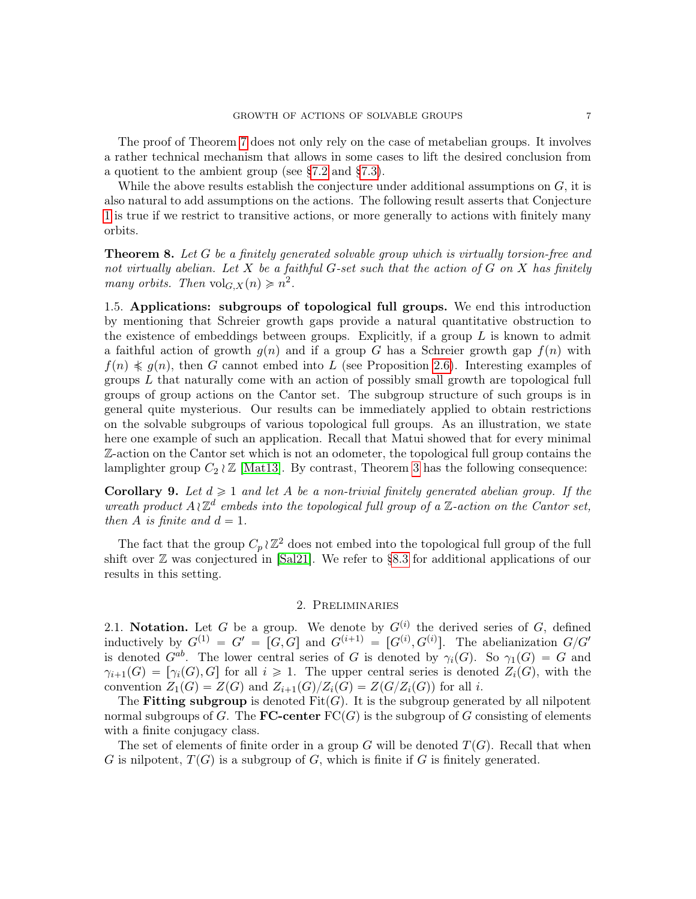The proof of Theorem [7](#page-5-1) does not only rely on the case of metabelian groups. It involves a rather technical mechanism that allows in some cases to lift the desired conclusion from a quotient to the ambient group (see [§7.2](#page-36-0) and [§7.3\)](#page-37-0).

While the above results establish the conjecture under additional assumptions on  $G$ , it is also natural to add assumptions on the actions. The following result asserts that Conjecture [1](#page-5-2) is true if we restrict to transitive actions, or more generally to actions with finitely many orbits.

Theorem 8. Let G be a finitely generated solvable group which is virtually torsion-free and not virtually abelian. Let X be a faithful G-set such that the action of G on X has finitely many orbits. Then  $\mathrm{vol}_{G,X}(n) \geq n^2$ .

1.5. Applications: subgroups of topological full groups. We end this introduction by mentioning that Schreier growth gaps provide a natural quantitative obstruction to the existence of embeddings between groups. Explicitly, if a group  $L$  is known to admit a faithful action of growth  $g(n)$  and if a group G has a Schreier growth gap  $f(n)$  with  $f(n) \nleq g(n)$ , then G cannot embed into L (see Proposition [2.6\)](#page-8-0). Interesting examples of groups L that naturally come with an action of possibly small growth are topological full groups of group actions on the Cantor set. The subgroup structure of such groups is in general quite mysterious. Our results can be immediately applied to obtain restrictions on the solvable subgroups of various topological full groups. As an illustration, we state here one example of such an application. Recall that Matui showed that for every minimal Z-action on the Cantor set which is not an odometer, the topological full group contains the lamplighter group  $C_2 \wr \mathbb{Z}$  [\[Mat13\]](#page-47-9). By contrast, Theorem [3](#page-3-2) has the following consequence:

**Corollary 9.** Let  $d \geq 1$  and let A be a non-trivial finitely generated abelian group. If the wreath product  $A \wr \mathbb{Z}^d$  embeds into the topological full group of a  $\mathbb{Z}$ -action on the Cantor set, then A is finite and  $d = 1$ .

The fact that the group  $C_p \wr \mathbb{Z}^2$  does not embed into the topological full group of the full shift over  $\mathbb Z$  was conjectured in [\[Sal21\]](#page-47-12). We refer to [§8.3](#page-44-0) for additional applications of our results in this setting.

### 2. Preliminaries

<span id="page-6-0"></span>2.1. Notation. Let G be a group. We denote by  $G^{(i)}$  the derived series of G, defined inductively by  $G^{(1)} = G' = [G, G]$  and  $G^{(i+1)} = [G^{(i)}, G^{(i)}]$ . The abelianization  $G/G'$ is denoted  $G^{ab}$ . The lower central series of G is denoted by  $\gamma_i(G)$ . So  $\gamma_1(G) = G$  and  $\gamma_{i+1}(G) = [\gamma_i(G), G]$  for all  $i \geq 1$ . The upper central series is denoted  $Z_i(G)$ , with the convention  $Z_1(G) = Z(G)$  and  $Z_{i+1}(G)/Z_i(G) = Z(G/Z_i(G))$  for all i.

The Fitting subgroup is denoted  $Fit(G)$ . It is the subgroup generated by all nilpotent normal subgroups of G. The **FC-center**  $FC(G)$  is the subgroup of G consisting of elements with a finite conjugacy class.

The set of elements of finite order in a group G will be denoted  $T(G)$ . Recall that when G is nilpotent,  $T(G)$  is a subgroup of G, which is finite if G is finitely generated.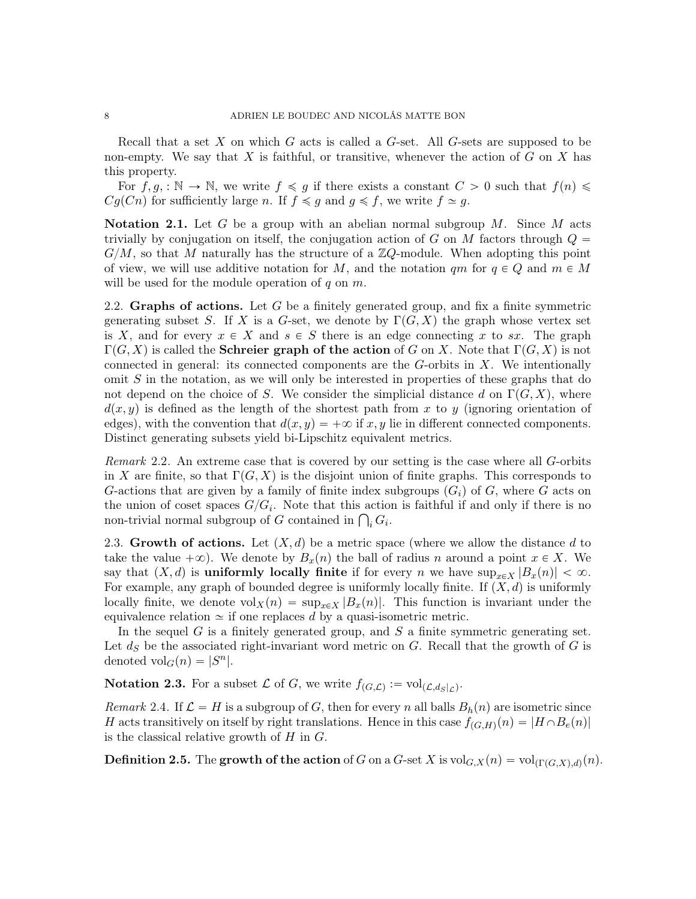Recall that a set X on which G acts is called a  $G$ -set. All  $G$ -sets are supposed to be non-empty. We say that  $X$  is faithful, or transitive, whenever the action of  $G$  on  $X$  has this property.

For  $f, g, : \mathbb{N} \to \mathbb{N}$ , we write  $f \preccurlyeq g$  if there exists a constant  $C > 0$  such that  $f(n) \leq$  $Cg(Cn)$  for sufficiently large n. If  $f \preccurlyeq g$  and  $g \preccurlyeq f$ , we write  $f \simeq g$ .

**Notation 2.1.** Let G be a group with an abelian normal subgroup  $M$ . Since M acts trivially by conjugation on itself, the conjugation action of G on M factors through  $Q =$  $G/M$ , so that M naturally has the structure of a  $\mathbb{Z}Q$ -module. When adopting this point of view, we will use additive notation for M, and the notation qm for  $q \in Q$  and  $m \in M$ will be used for the module operation of  $q$  on  $m$ .

2.2. Graphs of actions. Let G be a finitely generated group, and fix a finite symmetric generating subset S. If X is a G-set, we denote by  $\Gamma(G, X)$  the graph whose vertex set is X, and for every  $x \in X$  and  $s \in S$  there is an edge connecting x to sx. The graph  $\Gamma(G, X)$  is called the **Schreier graph of the action** of G on X. Note that  $\Gamma(G, X)$  is not connected in general: its connected components are the  $G$ -orbits in  $X$ . We intentionally omit  $S$  in the notation, as we will only be interested in properties of these graphs that do not depend on the choice of S. We consider the simplicial distance d on  $\Gamma(G, X)$ , where  $d(x, y)$  is defined as the length of the shortest path from x to y (ignoring orientation of edges), with the convention that  $d(x, y) = +\infty$  if x, y lie in different connected components. Distinct generating subsets yield bi-Lipschitz equivalent metrics.

<span id="page-7-0"></span>Remark 2.2. An extreme case that is covered by our setting is the case where all G-orbits in X are finite, so that  $\Gamma(G, X)$  is the disjoint union of finite graphs. This corresponds to G-actions that are given by a family of finite index subgroups  $(G_i)$  of G, where G acts on the union of coset spaces  $G/G_i$ . Note that this action is faithful if and only if there is no the union of coset spaces  $G/G_i$ . Note that this action<br>non-trivial normal subgroup of G contained in  $\bigcap_i G_i$ .

<span id="page-7-1"></span>2.3. Growth of actions. Let  $(X, d)$  be a metric space (where we allow the distance d to take the value  $+\infty$ ). We denote by  $B_x(n)$  the ball of radius n around a point  $x \in X$ . We say that  $(X, d)$  is uniformly locally finite if for every n we have  $\sup_{x \in X} |B_x(n)| < \infty$ . For example, any graph of bounded degree is uniformly locally finite. If  $(X, d)$  is uniformly locally finite, we denote  $vol_X(n) = \sup_{x \in X} |B_x(n)|$ . This function is invariant under the equivalence relation  $\simeq$  if one replaces d by a quasi-isometric metric.

In the sequel  $G$  is a finitely generated group, and  $S$  a finite symmetric generating set. Let  $d_S$  be the associated right-invariant word metric on G. Recall that the growth of G is denoted  $\mathrm{vol}_G(n) = |S^n|$ .

**Notation 2.3.** For a subset  $\mathcal{L}$  of G, we write  $f_{(G,\mathcal{L})} := \text{vol}_{(\mathcal{L},d_S|\mathcal{L})}$ .

Remark 2.4. If  $\mathcal{L} = H$  is a subgroup of G, then for every n all balls  $B_h(n)$  are isometric since H acts transitively on itself by right translations. Hence in this case  $f_{(G,H)}(n) = |H \cap B_e(n)|$ is the classical relative growth of  $H$  in  $G$ .

**Definition 2.5.** The **growth of the action** of G on a G-set X is  $\text{vol}_{G,X}(n) = \text{vol}_{(\Gamma(G,X),d)}(n)$ .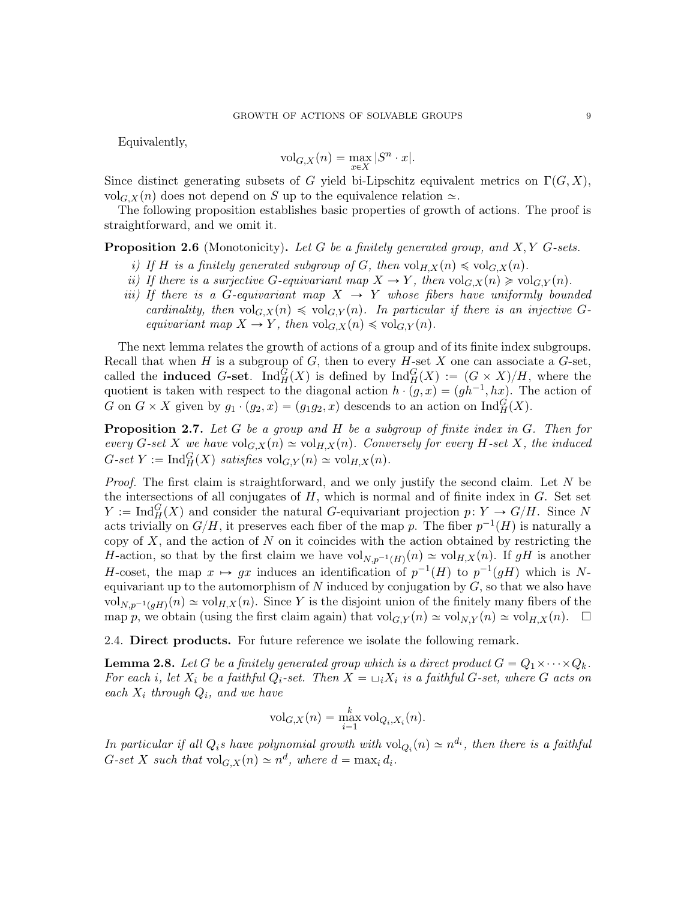Equivalently,

$$
\mathrm{vol}_{G,X}(n)=\max_{x\in X}|S^n\cdot x|.
$$

Since distinct generating subsets of G yield bi-Lipschitz equivalent metrics on  $\Gamma(G, X)$ , vol<sub>G,X</sub>(n) does not depend on S up to the equivalence relation  $\approx$ .

The following proposition establishes basic properties of growth of actions. The proof is straightforward, and we omit it.

<span id="page-8-0"></span>**Proposition 2.6** (Monotonicity). Let  $G$  be a finitely generated group, and  $X, Y$   $G$ -sets.

- i) If H is a finitely generated subgroup of G, then  $vol_{H,X}(n) \leq vol_{G,X}(n)$ .
- ii) If there is a surjective G-equivariant map  $X \to Y$ , then  $\text{vol}_{G,X}(n) \geq \text{vol}_{G,Y}(n)$ .
- iii) If there is a G-equivariant map  $X \rightarrow Y$  whose fibers have uniformly bounded cardinality, then  $vol_{G,X}(n) \leq vol_{G,Y}(n)$ . In particular if there is an injective Gequivariant map  $X \to Y$ , then  $\text{vol}_{G,X}(n) \leq \text{vol}_{G,Y}(n)$ .

The next lemma relates the growth of actions of a group and of its finite index subgroups. Recall that when H is a subgroup of G, then to every H-set X one can associate a  $G$ -set, called the **induced** G-set.  $\text{Ind}_{H}^{G}(X)$  is defined by  $\text{Ind}_{H}^{G}(X) := (G \times X)/H$ , where the quotient is taken with respect to the diagonal action  $h \cdot (g, x) = (gh^{-1}, hx)$ . The action of G on  $G \times X$  given by  $g_1 \cdot (g_2, x) = (g_1g_2, x)$  descends to an action on  $\text{Ind}_{H}^{G}(X)$ .

<span id="page-8-1"></span>**Proposition 2.7.** Let  $G$  be a group and  $H$  be a subgroup of finite index in  $G$ . Then for every G-set X we have  $\mathrm{vol}_{G,X}(n) \simeq \mathrm{vol}_{H,X}(n)$ . Conversely for every H-set X, the induced  $G\text{-}set Y := \text{Ind}_{H}^{G}(X)$  satisfies  $\text{vol}_{G,Y}(n) \simeq \text{vol}_{H,X}(n)$ .

Proof. The first claim is straightforward, and we only justify the second claim. Let N be the intersections of all conjugates of  $H$ , which is normal and of finite index in  $G$ . Set set  $Y := \text{Ind}_{H}^{G}(X)$  and consider the natural G-equivariant projection  $p: Y \to G/H$ . Since N acts trivially on  $G/H$ , it preserves each fiber of the map p. The fiber  $p^{-1}(H)$  is naturally a copy of  $X$ , and the action of  $N$  on it coincides with the action obtained by restricting the H-action, so that by the first claim we have  $vol_{N,p^{-1}(H)}(n) \simeq vol_{H,X}(n)$ . If gH is another H-coset, the map  $x \mapsto gx$  induces an identification of  $p^{-1}(H)$  to  $p^{-1}(gH)$  which is Nequivariant up to the automorphism of  $N$  induced by conjugation by  $G$ , so that we also have  $\text{vol}_{N,p^{-1}(gH)}(n) \simeq \text{vol}_{H,X}(n)$ . Since Y is the disjoint union of the finitely many fibers of the map p, we obtain (using the first claim again) that  $\mathrm{vol}_{G,Y}(n) \simeq \mathrm{vol}_{N,Y}(n) \simeq \mathrm{vol}_{H,X}(n)$ .  $\Box$ 

2.4. Direct products. For future reference we isolate the following remark.

<span id="page-8-2"></span>**Lemma 2.8.** Let G be a finitely generated group which is a direct product  $G = Q_1 \times \cdots \times Q_k$ . For each i, let  $X_i$  be a faithful  $Q_i$ -set. Then  $X = \sqcup_i X_i$  is a faithful G-set, where G acts on each  $X_i$  through  $Q_i$ , and we have

$$
\mathrm{vol}_{G,X}(n) = \max_{i=1}^k \mathrm{vol}_{Q_i,X_i}(n).
$$

In particular if all  $Q_i$ s have polynomial growth with  $\text{vol}_{Q_i}(n) \simeq n^{d_i}$ , then there is a faithful  $G\text{-}set X \text{ such that } \mathrm{vol}_{G,X}(n) \simeq n^d, \text{ where } d = \max_i d_i.$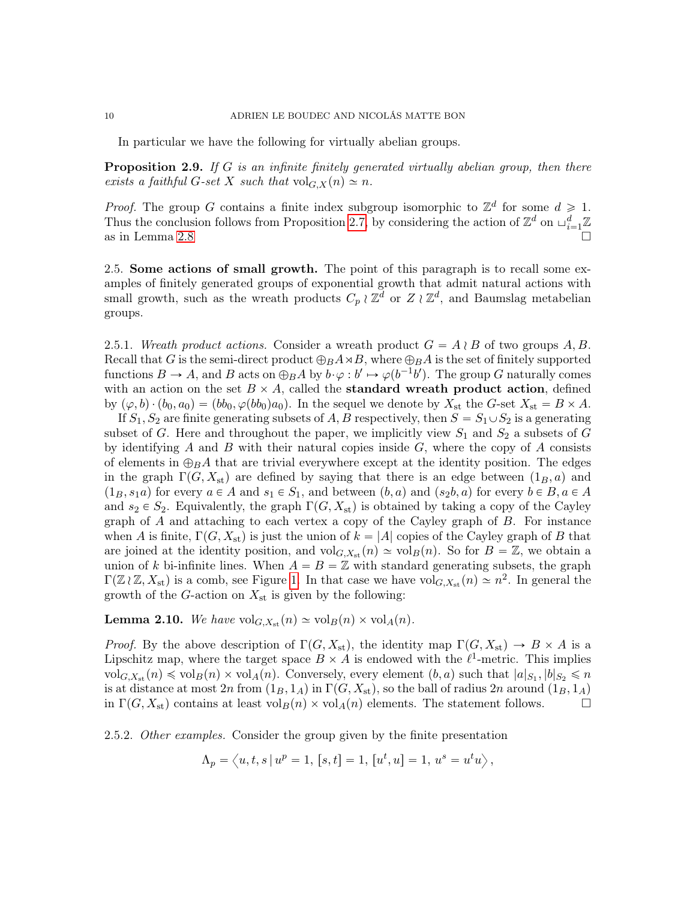In particular we have the following for virtually abelian groups.

<span id="page-9-0"></span>Proposition 2.9. If G is an infinite finitely generated virtually abelian group, then there exists a faithful G-set X such that  $\mathrm{vol}_{G,X}(n) \simeq n$ .

*Proof.* The group G contains a finite index subgroup isomorphic to  $\mathbb{Z}^d$  for some  $d \geq 1$ . Thus the conclusion follows from Proposition [2.7,](#page-8-1) by considering the action of  $\mathbb{Z}^d$  on  $\sqcup_{i=1}^d \mathbb{Z}$ as in Lemma [2.8](#page-8-2)

<span id="page-9-3"></span>2.5. Some actions of small growth. The point of this paragraph is to recall some examples of finitely generated groups of exponential growth that admit natural actions with small growth, such as the wreath products  $C_p \wr \mathbb{Z}^d$  or  $Z \wr \mathbb{Z}^d$ , and Baumslag metabelian groups.

<span id="page-9-2"></span>2.5.1. Wreath product actions. Consider a wreath product  $G = A \wr B$  of two groups A, B. Recall that G is the semi-direct product  $\bigoplus_B A \rtimes B$ , where  $\bigoplus_B A$  is the set of finitely supported functions  $B \to A$ , and B acts on  $\bigoplus_B A$  by  $b \cdot \varphi : b' \mapsto \varphi(b^{-1}b')$ . The group G naturally comes with an action on the set  $B \times A$ , called the **standard wreath product action**, defined by  $(\varphi, b) \cdot (b_0, a_0) = (bb_0, \varphi(bb_0)a_0$ . In the sequel we denote by  $X_{st}$  the G-set  $X_{st} = B \times A$ .

If  $S_1, S_2$  are finite generating subsets of A, B respectively, then  $S = S_1 \cup S_2$  is a generating subset of G. Here and throughout the paper, we implicitly view  $S_1$  and  $S_2$  a subsets of G by identifying  $A$  and  $B$  with their natural copies inside  $G$ , where the copy of  $A$  consists of elements in  $\bigoplus_B A$  that are trivial everywhere except at the identity position. The edges in the graph  $\Gamma(G, X_{st})$  are defined by saying that there is an edge between  $(1_B, a)$  and  $(1_B, s_1a)$  for every  $a \in A$  and  $s_1 \in S_1$ , and between  $(b, a)$  and  $(s_2b, a)$  for every  $b \in B, a \in A$ and  $s_2 \in S_2$ . Equivalently, the graph  $\Gamma(G, X_{st})$  is obtained by taking a copy of the Cayley graph of A and attaching to each vertex a copy of the Cayley graph of B. For instance when A is finite,  $\Gamma(G, X_{st})$  is just the union of  $k = |A|$  copies of the Cayley graph of B that are joined at the identity position, and  $\mathrm{vol}_{G,X_{\mathrm{st}}}(n) \simeq \mathrm{vol}_{B}(n)$ . So for  $B = \mathbb{Z}$ , we obtain a union of k bi-infinite lines. When  $A = B = \mathbb{Z}$  with standard generating subsets, the graph  $\Gamma(\mathbb{Z}_l \mathbb{Z}, X_{st})$  is a comb, see Figure [1.](#page-10-0) In that case we have vol<sub>G,Xst</sub>  $(n) \simeq n^2$ . In general the growth of the G-action on  $X_{st}$  is given by the following:

**Lemma 2.10.** We have  $\mathrm{vol}_{G,X_{st}}(n) \simeq \mathrm{vol}_{B}(n) \times \mathrm{vol}_{A}(n)$ .

*Proof.* By the above description of  $\Gamma(G, X_{st})$ , the identity map  $\Gamma(G, X_{st}) \to B \times A$  is a Lipschitz map, where the target space  $B \times A$  is endowed with the  $\ell^1$ -metric. This implies  $\mathrm{vol}_{G,X_{\mathrm{st}}}(n) \leqslant \mathrm{vol}_{B}(n) \times \mathrm{vol}_{A}(n)$ . Conversely, every element  $(b, a)$  such that  $|a|_{S_1}, |b|_{S_2} \leqslant n$ is at distance at most  $2n$  from  $(1_B, 1_A)$  in  $\Gamma(G, X_{st})$ , so the ball of radius  $2n$  around  $(1_B, 1_A)$ in  $\Gamma(G, X_{st})$  contains at least  $\text{vol}_B(n) \times \text{vol}_A(n)$  elements. The statement follows.

<span id="page-9-1"></span>2.5.2. Other examples. Consider the group given by the finite presentation

$$
\Lambda_p = \langle u, t, s \, | \, u^p = 1, [s, t] = 1, [u^t, u] = 1, u^s = u^t u \rangle,
$$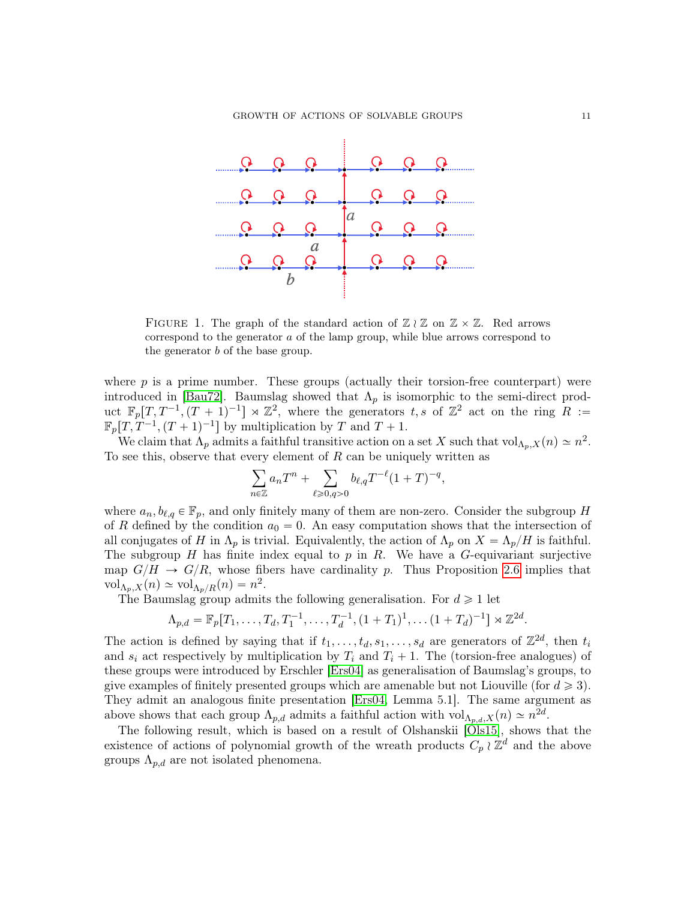|  | $\begin{array}{ccccccccc}\n\mathbf{Q} & \mathbf{Q} & \mathbf{Q} & \mathbf{Q} & \mathbf{Q} & \mathbf{Q}\n\end{array}$ |  |                                                                                                                                                                                                                                                                                                                                                     |  |
|--|----------------------------------------------------------------------------------------------------------------------|--|-----------------------------------------------------------------------------------------------------------------------------------------------------------------------------------------------------------------------------------------------------------------------------------------------------------------------------------------------------|--|
|  |                                                                                                                      |  |                                                                                                                                                                                                                                                                                                                                                     |  |
|  |                                                                                                                      |  | $\begin{picture}(180,10) \put(0,0){\line(1,0){10}} \put(10,0){\line(1,0){10}} \put(10,0){\line(1,0){10}} \put(10,0){\line(1,0){10}} \put(10,0){\line(1,0){10}} \put(10,0){\line(1,0){10}} \put(10,0){\line(1,0){10}} \put(10,0){\line(1,0){10}} \put(10,0){\line(1,0){10}} \put(10,0){\line(1,0){10}} \put(10,0){\line(1,0){10}} \put(10,0){\line($ |  |
|  |                                                                                                                      |  |                                                                                                                                                                                                                                                                                                                                                     |  |
|  |                                                                                                                      |  |                                                                                                                                                                                                                                                                                                                                                     |  |

<span id="page-10-0"></span>FIGURE 1. The graph of the standard action of  $\mathbb{Z} \wr \mathbb{Z}$  on  $\mathbb{Z} \times \mathbb{Z}$ . Red arrows correspond to the generator a of the lamp group, while blue arrows correspond to the generator b of the base group.

where  $p$  is a prime number. These groups (actually their torsion-free counterpart) were introduced in [\[Bau72\]](#page-45-7). Baumslag showed that  $\Lambda_p$  is isomorphic to the semi-direct product  $\mathbb{F}_p[T, T^{-1}, (T+1)^{-1}] \rtimes \mathbb{Z}^2$ , where the generators t, s of  $\mathbb{Z}^2$  act on the ring R :=  $\mathbb{F}_p[T, T^{-1}, (T+1)^{-1}]$  by multiplication by T and  $T + 1$ .

We claim that  $\Lambda_p$  admits a faithful transitive action on a set X such that  $\text{vol}_{\Lambda_p,X}(n) \simeq n^2$ . To see this, observe that every element of  $R$  can be uniquely written as

$$
\sum_{n\in\mathbb{Z}}a_nT^n+\sum_{\ell\geqslant 0,q>0}b_{\ell,q}T^{-\ell}(1+T)^{-q},
$$

where  $a_n, b_{\ell,q} \in \mathbb{F}_p$ , and only finitely many of them are non-zero. Consider the subgroup H of R defined by the condition  $a_0 = 0$ . An easy computation shows that the intersection of all conjugates of H in  $\Lambda_p$  is trivial. Equivalently, the action of  $\Lambda_p$  on  $X = \Lambda_p/H$  is faithful. The subgroup  $H$  has finite index equal to  $p$  in  $R$ . We have a  $G$ -equivariant surjective map  $G/H \to G/R$ , whose fibers have cardinality p. Thus Proposition [2.6](#page-8-0) implies that  $\mathrm{vol}_{\Lambda_p, X}(n) \simeq \mathrm{vol}_{\Lambda_p/R}(n) = n^2.$ 

The Baumslag group admits the following generalisation. For  $d \geq 1$  let

$$
\Lambda_{p,d} = \mathbb{F}_p[T_1,\ldots,T_d,T_1^{-1},\ldots,T_d^{-1},(1+T_1)^1,\ldots(1+T_d)^{-1}] \rtimes \mathbb{Z}^{2d}.
$$

The action is defined by saying that if  $t_1, \ldots, t_d, s_1, \ldots, s_d$  are generators of  $\mathbb{Z}^{2d}$ , then  $t_i$ and  $s_i$  act respectively by multiplication by  $T_i$  and  $T_i + 1$ . The (torsion-free analogues) of these groups were introduced by Erschler [\[Ers04\]](#page-46-17) as generalisation of Baumslag's groups, to give examples of finitely presented groups which are amenable but not Liouville (for  $d \geq 3$ ). They admit an analogous finite presentation [\[Ers04,](#page-46-17) Lemma 5.1]. The same argument as above shows that each group  $\Lambda_{p,d}$  admits a faithful action with  $\text{vol}_{\Lambda_{p,d},X}(n) \simeq n^{2d}$ .

The following result, which is based on a result of Olshanskii [\[Ols15\]](#page-47-10), shows that the existence of actions of polynomial growth of the wreath products  $C_p \wr \mathbb{Z}^d$  and the above groups  $\Lambda_{p,d}$  are not isolated phenomena.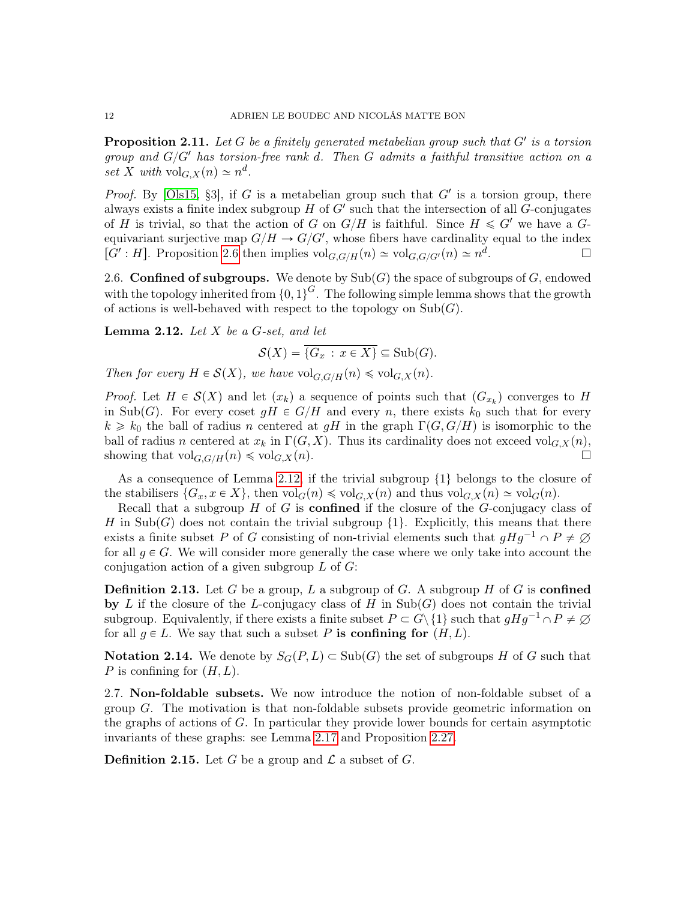<span id="page-11-0"></span>**Proposition 2.11.** Let  $G$  be a finitely generated metabelian group such that  $G'$  is a torsion group and  $G/G'$  has torsion-free rank d. Then G admits a faithful transitive action on a set X with  $\mathrm{vol}_{G,X}(n) \simeq n^d$ .

*Proof.* By [\[Ols15,](#page-47-10) §3], if G is a metabelian group such that  $G'$  is a torsion group, there always exists a finite index subgroup  $H$  of  $G'$  such that the intersection of all  $G$ -conjugates of H is trivial, so that the action of G on  $G/H$  is faithful. Since  $H \leq G'$  we have a Gequivariant surjective map  $G/H \to G/G'$ , whose fibers have cardinality equal to the index [G': H]. Proposition [2.6](#page-8-0) then implies  $\mathrm{vol}_{G,G/H}(n) \simeq \mathrm{vol}_{G,G/G'}(n) \simeq n^d$ . — Процессиональные процесс и продага в социальные професс и продага в социальные професс и продага в социаль<br>В социальные професс и професс и професс и професс и професс и професс и професс и професс и професс и професс

2.6. Confined of subgroups. We denote by  $\text{Sub}(G)$  the space of subgroups of G, endowed with the topology inherited from  $\{0, 1\}^G$ . The following simple lemma shows that the growth of actions is well-behaved with respect to the topology on  $\text{Sub}(G)$ .

<span id="page-11-1"></span>**Lemma 2.12.** Let  $X$  be a  $G$ -set, and let

$$
\mathcal{S}(X) = \overline{\{G_x \,:\, x \in X\}} \subseteq \mathrm{Sub}(G).
$$

Then for every  $H \in \mathcal{S}(X)$ , we have  $\text{vol}_{G,G/H}(n) \leq \text{vol}_{G,X}(n)$ .

*Proof.* Let  $H \in \mathcal{S}(X)$  and let  $(x_k)$  a sequence of points such that  $(G_{x_k})$  converges to H in Sub(G). For every coset  $gH \in G/H$  and every n, there exists  $k_0$  such that for every  $k \geq k_0$  the ball of radius n centered at gH in the graph  $\Gamma(G, G/H)$  is isomorphic to the ball of radius n centered at  $x_k$  in  $\Gamma(G, X)$ . Thus its cardinality does not exceed vol<sub>G,X</sub> $(n)$ , showing that  $\mathrm{vol}_{G,G/H}(n) \leq \mathrm{vol}_{G,X}(n)$ .

As a consequence of Lemma [2.12,](#page-11-1) if the trivial subgroup  $\{1\}$  belongs to the closure of the stabilisers  $\{G_x, x \in X\}$ , then  $\text{vol}_G(n) \leq \text{vol}_{G,X}(n)$  and thus  $\text{vol}_{G,X}(n) \simeq \text{vol}_G(n)$ .

Recall that a subgroup  $H$  of  $G$  is **confined** if the closure of the  $G$ -conjugacy class of H in Sub(G) does not contain the trivial subgroup  $\{1\}$ . Explicitly, this means that there exists a finite subset P of G consisting of non-trivial elements such that  $gHg^{-1} \cap P \neq \emptyset$ for all  $q \in G$ . We will consider more generally the case where we only take into account the conjugation action of a given subgroup  $L$  of  $G$ :

**Definition 2.13.** Let G be a group, L a subgroup of G. A subgroup H of G is confined by L if the closure of the L-conjugacy class of H in  $\text{Sub}(G)$  does not contain the trivial subgroup. Equivalently, if there exists a finite subset  $P \subset G \setminus \{1\}$  such that  $gHg^{-1} \cap P \neq \emptyset$ for all  $g \in L$ . We say that such a subset P is confining for  $(H, L)$ .

**Notation 2.14.** We denote by  $S_G(P, L) \subset \text{Sub}(G)$  the set of subgroups H of G such that P is confining for  $(H, L)$ .

<span id="page-11-2"></span>2.7. Non-foldable subsets. We now introduce the notion of non-foldable subset of a group G. The motivation is that non-foldable subsets provide geometric information on the graphs of actions of G. In particular they provide lower bounds for certain asymptotic invariants of these graphs: see Lemma [2.17](#page-12-0) and Proposition [2.27.](#page-14-1)

**Definition 2.15.** Let G be a group and  $\mathcal{L}$  a subset of G.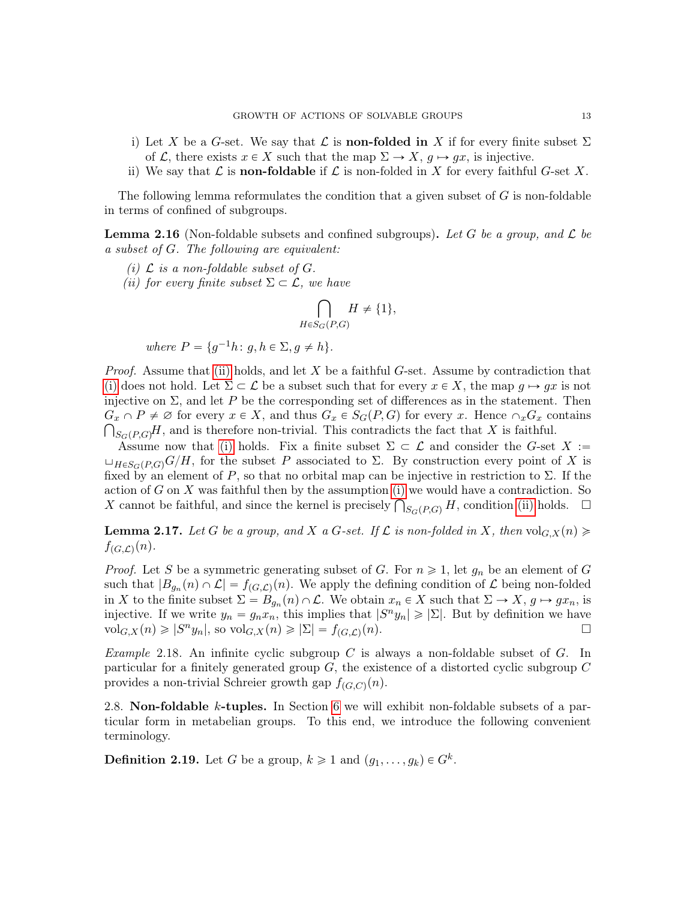- i) Let X be a G-set. We say that  $\mathcal L$  is **non-folded in** X if for every finite subset  $\Sigma$ of L, there exists  $x \in X$  such that the map  $\Sigma \to X$ ,  $g \mapsto gx$ , is injective.
- ii) We say that  $\mathcal L$  is **non-foldable** if  $\mathcal L$  is non-folded in X for every faithful G-set X.

The following lemma reformulates the condition that a given subset of G is non-foldable in terms of confined of subgroups.

<span id="page-12-3"></span>**Lemma 2.16** (Non-foldable subsets and confined subgroups). Let G be a group, and  $\mathcal{L}$  be a subset of G. The following are equivalent:

- <span id="page-12-2"></span>(i)  $\mathcal L$  is a non-foldable subset of  $G$ .
- <span id="page-12-1"></span>(ii) for every finite subset  $\Sigma \subset \mathcal{L}$ , we have

$$
\bigcap_{H \in S_G(P,G)} H \neq \{1\},\
$$

where  $P = \{g^{-1}h: g, h \in \Sigma, g \neq h\}.$ 

*Proof.* Assume that [\(ii\)](#page-12-1) holds, and let X be a faithful G-set. Assume by contradiction that [\(i\)](#page-12-2) does not hold. Let  $\Sigma \subset \mathcal{L}$  be a subset such that for every  $x \in X$ , the map  $g \mapsto gx$  is not injective on  $\Sigma$ , and let P be the corresponding set of differences as in the statement. Then  $G_x \cap P \neq \emptyset$  for every  $x \in X$ , and thus  $G_x \in S_G(P, G)$  for every x. Hence  $\cap_x G_x$  contains  $\bigcap_{S_G(P,G)} H$ , and is therefore non-trivial. This contradicts the fact that X is faithful.

Assume now that [\(i\)](#page-12-2) holds. Fix a finite subset  $\Sigma \subset \mathcal{L}$  and consider the G-set  $X :=$  $\sqcup_{H\in S_G(P,G)}G/H$ , for the subset P associated to Σ. By construction every point of X is fixed by an element of P, so that no orbital map can be injective in restriction to  $\Sigma$ . If the action of  $G$  on  $X$  was faithful then by the assumption [\(i\)](#page-12-2) we would have a contradiction. So action of G on X was faithful then by the assumption (i) we would have a contradiction. So X cannot be faithful, and since the kernel is precisely  $\bigcap_{S_G(P,G)} H$ , condition [\(ii\)](#page-12-1) holds.  $\Box$ 

<span id="page-12-0"></span>**Lemma 2.17.** Let G be a group, and X a G-set. If L is non-folded in X, then  $\text{vol}_{G,X}(n) \geq$  $f_{(G,\mathcal{L})}(n)$ .

*Proof.* Let S be a symmetric generating subset of G. For  $n \geq 1$ , let  $g_n$  be an element of G such that  $|B_{g_n}(n) \cap \mathcal{L}| = f_{(G,\mathcal{L})}(n)$ . We apply the defining condition of  $\mathcal L$  being non-folded in X to the finite subset  $\Sigma = B_{g_n}(n) \cap \mathcal{L}$ . We obtain  $x_n \in X$  such that  $\Sigma \to X$ ,  $g \mapsto gx_n$ , is injective. If we write  $y_n = g_n x_n$ , this implies that  $|S^n y_n| \geq |\Sigma|$ . But by definition we have  $\operatorname{vol}_{G,X}(n) \geqslant |S^n y_n|$ , so  $\operatorname{vol}_{G,X}(n) \geqslant |\Sigma| = f_{(G,\mathcal{L})}$  $(n)$ .

*Example* 2.18. An infinite cyclic subgroup C is always a non-foldable subset of  $G$ . In particular for a finitely generated group  $G$ , the existence of a distorted cyclic subgroup  $C$ provides a non-trivial Schreier growth gap  $f_{(G,C)}(n)$ .

2.8. Non-foldable k-tuples. In Section [6](#page-26-0) we will exhibit non-foldable subsets of a particular form in metabelian groups. To this end, we introduce the following convenient terminology.

**Definition 2.19.** Let G be a group,  $k \ge 1$  and  $(g_1, \ldots, g_k) \in G^k$ .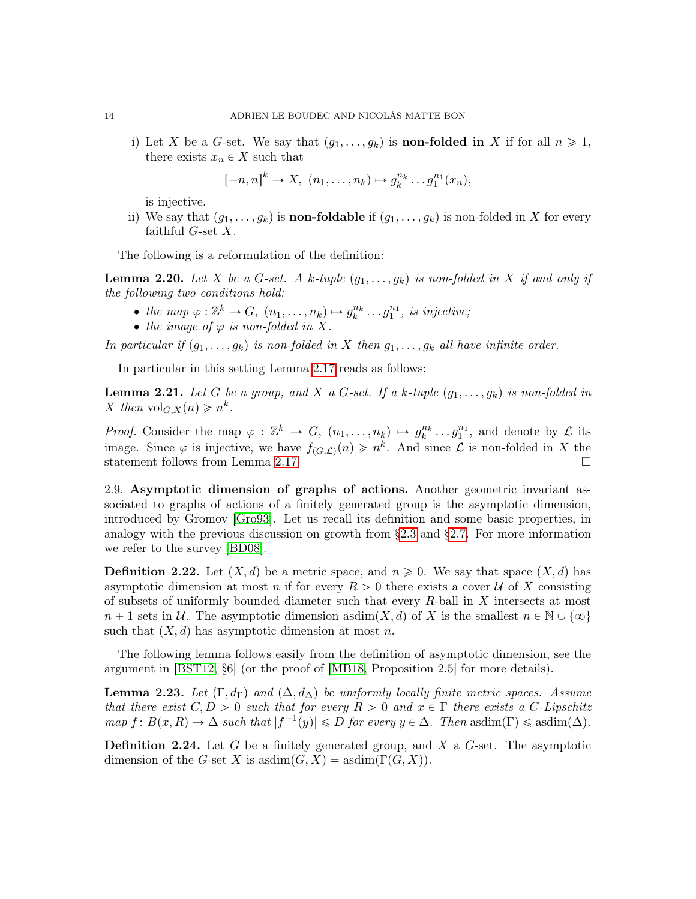i) Let X be a G-set. We say that  $(g_1, \ldots, g_k)$  is **non-folded in** X if for all  $n \geq 1$ , there exists  $x_n \in X$  such that

$$
[-n,n]^k \to X, (n_1,\ldots,n_k) \mapsto g_k^{n_k}\ldots g_1^{n_1}(x_n),
$$

is injective.

ii) We say that  $(g_1, \ldots, g_k)$  is **non-foldable** if  $(g_1, \ldots, g_k)$  is non-folded in X for every faithful  $G$ -set  $X$ .

The following is a reformulation of the definition:

<span id="page-13-1"></span>**Lemma 2.20.** Let X be a G-set. A k-tuple  $(g_1, \ldots, g_k)$  is non-folded in X if and only if the following two conditions hold:

- the map  $\varphi : \mathbb{Z}^k \to G$ ,  $(n_1, \ldots, n_k) \mapsto g_k^{n_k} \ldots g_1^{n_1}$ , is injective;
- the image of  $\varphi$  is non-folded in X.

In particular if  $(g_1, \ldots, g_k)$  is non-folded in X then  $g_1, \ldots, g_k$  all have infinite order.

In particular in this setting Lemma [2.17](#page-12-0) reads as follows:

**Lemma 2.21.** Let G be a group, and X a G-set. If a k-tuple  $(g_1, \ldots, g_k)$  is non-folded in X then  $\mathrm{vol}_{G,X}(n) \geqslant n^k$ .

*Proof.* Consider the map  $\varphi : \mathbb{Z}^k \to G$ ,  $(n_1, \ldots, n_k) \mapsto g_k^{n_k} \ldots g_1^{n_1}$ , and denote by  $\mathcal L$  its image. Since  $\varphi$  is injective, we have  $f_{(G,\mathcal{L})}(n) \geqslant n^k$ . And since  $\mathcal L$  is non-folded in X the statement follows from Lemma [2.17.](#page-12-0)

2.9. Asymptotic dimension of graphs of actions. Another geometric invariant associated to graphs of actions of a finitely generated group is the asymptotic dimension, introduced by Gromov [\[Gro93\]](#page-46-3). Let us recall its definition and some basic properties, in analogy with the previous discussion on growth from [§2.3](#page-7-1) and [§2.7.](#page-11-2) For more information we refer to the survey [\[BD08\]](#page-45-9).

**Definition 2.22.** Let  $(X, d)$  be a metric space, and  $n \geq 0$ . We say that space  $(X, d)$  has asymptotic dimension at most n if for every  $R > 0$  there exists a cover U of X consisting of subsets of uniformly bounded diameter such that every R-ball in X intersects at most  $n + 1$  sets in U. The asymptotic dimension asdim $(X, d)$  of X is the smallest  $n \in \mathbb{N} \cup \{\infty\}$ such that  $(X, d)$  has asymptotic dimension at most n.

The following lemma follows easily from the definition of asymptotic dimension, see the argument in [\[BST12,](#page-45-10) §6] (or the proof of [\[MB18,](#page-47-7) Proposition 2.5] for more details).

<span id="page-13-0"></span>**Lemma 2.23.** Let  $(\Gamma, d_{\Gamma})$  and  $(\Delta, d_{\Delta})$  be uniformly locally finite metric spaces. Assume that there exist  $C, D > 0$  such that for every  $R > 0$  and  $x \in \Gamma$  there exists a C-Lipschitz  $map f: B(x, R) \to \Delta$  such that  $|f^{-1}(y)| \leq D$  for every  $y \in \Delta$ . Then asdim $(\Gamma) \leq \text{asdim}(\Delta)$ .

**Definition 2.24.** Let G be a finitely generated group, and X a G-set. The asymptotic dimension of the G-set X is asdim $(G, X) = \text{asdim}(\Gamma(G, X)).$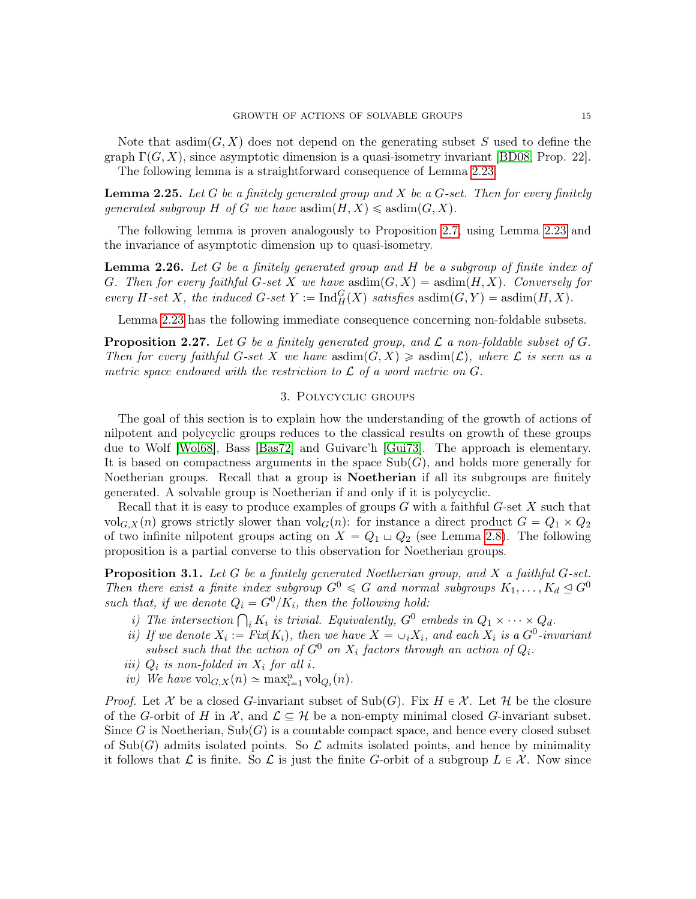Note that asdim $(G, X)$  does not depend on the generating subset S used to define the graph  $\Gamma(G, X)$ , since asymptotic dimension is a quasi-isometry invariant [\[BD08,](#page-45-9) Prop. 22]. The following lemma is a straightforward consequence of Lemma [2.23.](#page-13-0)

**Lemma 2.25.** Let G be a finitely generated group and X be a G-set. Then for every finitely generated subgroup H of G we have  $\text{asdim}(H, X) \leq \text{asdim}(G, X)$ .

The following lemma is proven analogously to Proposition [2.7,](#page-8-1) using Lemma [2.23](#page-13-0) and the invariance of asymptotic dimension up to quasi-isometry.

**Lemma 2.26.** Let  $G$  be a finitely generated group and  $H$  be a subgroup of finite index of G. Then for every faithful G-set X we have asdim $(G, X) = \text{asdim}(H, X)$ . Conversely for every H-set X, the induced G-set  $Y := \text{Ind}_{H}^{G}(X)$  satisfies asdim $(G, Y) = \text{asdim}(H, X)$ .

Lemma [2.23](#page-13-0) has the following immediate consequence concerning non-foldable subsets.

<span id="page-14-1"></span>**Proposition 2.27.** Let G be a finitely generated group, and  $\mathcal L$  a non-foldable subset of  $G$ . Then for every faithful G-set X we have  $\text{asdim}(G, X) \geq \text{asdim}(\mathcal{L})$ , where  $\mathcal L$  is seen as a metric space endowed with the restriction to  $\mathcal L$  of a word metric on  $G$ .

### 3. Polycyclic groups

<span id="page-14-0"></span>The goal of this section is to explain how the understanding of the growth of actions of nilpotent and polycyclic groups reduces to the classical results on growth of these groups due to Wolf [\[Wol68\]](#page-47-1), Bass [\[Bas72\]](#page-45-11) and Guivarc'h [\[Gui73\]](#page-46-18). The approach is elementary. It is based on compactness arguments in the space  $\text{Sub}(G)$ , and holds more generally for Noetherian groups. Recall that a group is Noetherian if all its subgroups are finitely generated. A solvable group is Noetherian if and only if it is polycyclic.

Recall that it is easy to produce examples of groups  $G$  with a faithful  $G$ -set  $X$  such that vol<sub>G,X</sub>(n) grows strictly slower than vol<sub>G</sub> $(n)$ : for instance a direct product  $G = Q_1 \times Q_2$ of two infinite nilpotent groups acting on  $X = Q_1 \sqcup Q_2$  (see Lemma [2.8\)](#page-8-2). The following proposition is a partial converse to this observation for Noetherian groups.

<span id="page-14-6"></span>**Proposition 3.1.** Let G be a finitely generated Noetherian group, and X a faithful G-set. Then there exist a finite index subgroup  $G^0 \leq G$  and normal subgroups  $K_1, \ldots, K_d \trianglelefteq G^0$ such that, if we denote  $Q_i = G^0/K_i$ , then the following hold:

- <span id="page-14-2"></span>i) The intersection  $\bigcap_i K_i$  is trivial. Equivalently,  $G^0$  embeds in  $Q_1 \times \cdots \times Q_d$ .
- <span id="page-14-3"></span>ii) If we denote  $X_i := Fix(K_i)$ , then we have  $X = \bigcup_i X_i$ , and each  $X_i$  is a  $G^0$ -invariant subset such that the action of  $G^0$  on  $X_i$  factors through an action of  $Q_i$ .
- <span id="page-14-4"></span>iii)  $Q_i$  is non-folded in  $X_i$  for all i.
- <span id="page-14-5"></span>iv) We have  $\mathrm{vol}_{G,X}(n) \simeq \max_{i=1}^n \mathrm{vol}_{Q_i}(n)$ .

*Proof.* Let X be a closed G-invariant subset of  $\text{Sub}(G)$ . Fix  $H \in \mathcal{X}$ . Let H be the closure of the G-orbit of H in  $\mathcal{X}$ , and  $\mathcal{L} \subseteq \mathcal{H}$  be a non-empty minimal closed G-invariant subset. Since G is Noetherian,  $\text{Sub}(G)$  is a countable compact space, and hence every closed subset of Sub(G) admits isolated points. So  $\mathcal L$  admits isolated points, and hence by minimality it follows that L is finite. So L is just the finite G-orbit of a subgroup  $L \in \mathcal{X}$ . Now since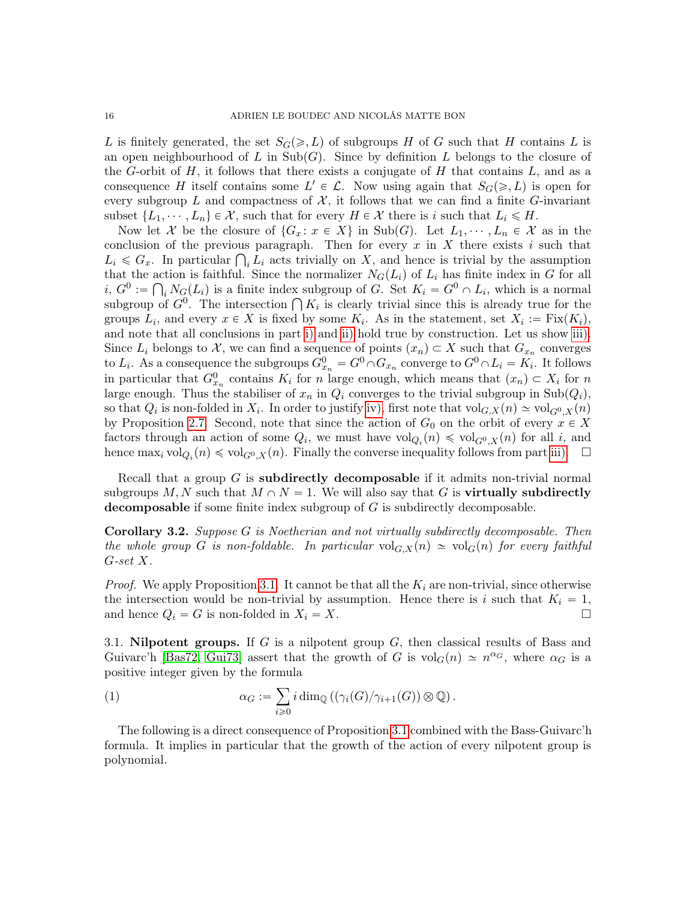L is finitely generated, the set  $S_G(\geq, L)$  of subgroups H of G such that H contains L is an open neighbourhood of L in  $\text{Sub}(G)$ . Since by definition L belongs to the closure of the G-orbit of H, it follows that there exists a conjugate of H that contains  $L$ , and as a consequence H itself contains some  $L' \in \mathcal{L}$ . Now using again that  $S_G(\geq, L)$  is open for every subgroup L and compactness of  $\mathcal{X}$ , it follows that we can find a finite G-invariant subset  $\{L_1, \dots, L_n\} \in \mathcal{X}$ , such that for every  $H \in \mathcal{X}$  there is i such that  $L_i \leq H$ .

Now let X be the closure of  $\{G_x : x \in X\}$  in Sub(G). Let  $L_1, \dots, L_n \in X$  as in the conclusion of the previous paragraph. Then for every  $x$  in  $X$  there exists  $i$  such that conclusion of the previous paragraph. Then for every x in X there exists i such that  $L_i \leq G_x$ . In particular  $\bigcap_i L_i$  acts trivially on X, and hence is trivial by the assumption that the action is faithful. Since the normalizer  $N_G(L_i)$  of  $L_i$  has finite index in G for all  $i, G^0 := \bigcap_i N_G(L_i)$  is a finite index subgroup of G. Set  $K_i = G^0 \cap L_i$ , which is a normal  $u, G^{\circ} := \int_{i} N_G(L_i)$  is a finite index subgroup of G. Set  $K_i = G^{\circ} \cap L_i$ , which is a normal subgroup of  $G^0$ . The intersection  $\bigcap K_i$  is clearly trivial since this is already true for the groups  $L_i$ , and every  $x \in X$  is fixed by some  $K_i$ . As in the statement, set  $X_i := \text{Fix}(K_i)$ , and note that all conclusions in part [i\)](#page-14-2) and [ii\)](#page-14-3) hold true by construction. Let us show [iii\).](#page-14-4) Since  $L_i$  belongs to X, we can find a sequence of points  $(x_n) \subset X$  such that  $G_{x_n}$  converges to  $L_i$ . As a consequence the subgroups  $G_{x_n}^0 = G^0 \cap G_{x_n}$  converge to  $G^0 \cap L_i = K_i$ . It follows in particular that  $G_{x_n}^0$  contains  $K_i$  for n large enough, which means that  $(x_n) \subset X_i$  for n large enough. Thus the stabiliser of  $x_n$  in  $Q_i$  converges to the trivial subgroup in Sub $(Q_i)$ , so that  $Q_i$  is non-folded in  $X_i$ . In order to justify [iv\),](#page-14-5) first note that  $\text{vol}_{G,X}(n) \simeq \text{vol}_{G^0,X}(n)$ by Proposition [2.7.](#page-8-1) Second, note that since the action of  $G_0$  on the orbit of every  $x \in X$ factors through an action of some  $Q_i$ , we must have  $\text{vol}_{Q_i}(n) \leq \text{vol}_{G^0,X}(n)$  for all i, and hence  $\max_i \text{vol}_{Q_i}(n) \leq \text{vol}_{G^0,X}(n)$ . Finally the converse inequality follows from part [iii\).](#page-14-4)  $\Box$ 

Recall that a group  $G$  is subdirectly decomposable if it admits non-trivial normal subgroups M, N such that  $M \cap N = 1$ . We will also say that G is **virtually subdirectly** decomposable if some finite index subgroup of  $G$  is subdirectly decomposable.

<span id="page-15-0"></span>Corollary 3.2. Suppose G is Noetherian and not virtually subdirectly decomposable. Then the whole group G is non-foldable. In particular  $\mathrm{vol}_{G,X}(n) \simeq \mathrm{vol}_G(n)$  for every faithful G-set X.

*Proof.* We apply Proposition [3.1.](#page-14-6) It cannot be that all the  $K_i$  are non-trivial, since otherwise the intersection would be non-trivial by assumption. Hence there is i such that  $K_i = 1$ , and hence  $Q_i = G$  is non-folded in  $X_i = X$ .

3.1. Nilpotent groups. If  $G$  is a nilpotent group  $G$ , then classical results of Bass and Guivarc'h [\[Bas72,](#page-45-11) [Gui73\]](#page-46-18) assert that the growth of G is  $\text{vol}_G(n) \simeq n^{\alpha_G}$ , where  $\alpha_G$  is a positive integer given by the formula

(1) 
$$
\alpha_G := \sum_{i \geq 0} i \dim_{\mathbb{Q}} ((\gamma_i(G)/\gamma_{i+1}(G)) \otimes \mathbb{Q}).
$$

The following is a direct consequence of Proposition [3.1](#page-14-6) combined with the Bass-Guivarc'h formula. It implies in particular that the growth of the action of every nilpotent group is polynomial.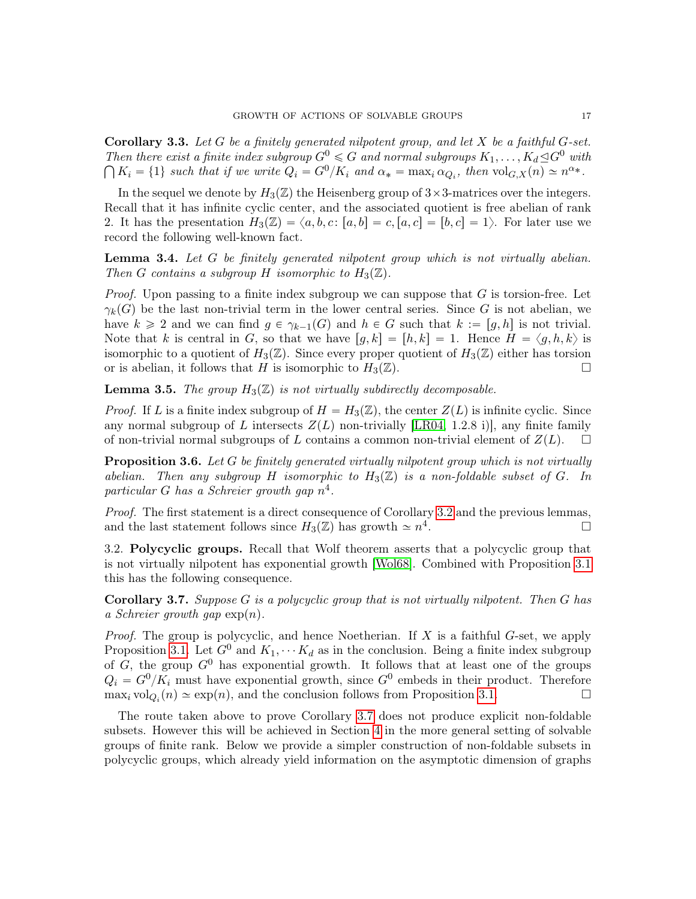Corollary 3.3. Let  $G$  be a finitely generated nilpotent group, and let  $X$  be a faithful  $G$ -set. Then there exist a finite index subgroup  $G^0 \le G$  and normal subgroups  $K_1, \ldots, K_d \trianglelefteq G^0$  with  $K_i = \{1\}$  such that if we write  $Q_i = G^0/K_i$  and  $\alpha_* = \max_i \alpha_{Q_i}$ , then  $\text{vol}_{G,X}(n) \simeq n^{\alpha_*}$ .

In the sequel we denote by  $H_3(\mathbb{Z})$  the Heisenberg group of  $3\times3$ -matrices over the integers. Recall that it has infinite cyclic center, and the associated quotient is free abelian of rank 2. It has the presentation  $H_3(\mathbb{Z}) = \langle a, b, c : [a, b] = c, [a, c] = [b, c] = 1 \rangle$ . For later use we record the following well-known fact.

<span id="page-16-1"></span>**Lemma 3.4.** Let  $G$  be finitely generated nilpotent group which is not virtually abelian. Then G contains a subgroup H isomorphic to  $H_3(\mathbb{Z})$ .

*Proof.* Upon passing to a finite index subgroup we can suppose that  $G$  is torsion-free. Let  $\gamma_k(G)$  be the last non-trivial term in the lower central series. Since G is not abelian, we have  $k \geq 2$  and we can find  $g \in \gamma_{k-1}(G)$  and  $h \in G$  such that  $k := [g, h]$  is not trivial. Note that k is central in G, so that we have  $[q, k] = [h, k] = 1$ . Hence  $H = \langle g, h, k \rangle$  is isomorphic to a quotient of  $H_3(\mathbb{Z})$ . Since every proper quotient of  $H_3(\mathbb{Z})$  either has torsion or is abelian, it follows that H is isomorphic to  $H_3(\mathbb{Z})$ .

<span id="page-16-2"></span>**Lemma 3.5.** The group  $H_3(\mathbb{Z})$  is not virtually subdirectly decomposable.

*Proof.* If L is a finite index subgroup of  $H = H_3(\mathbb{Z})$ , the center  $Z(L)$  is infinite cyclic. Since any normal subgroup of L intersects  $Z(L)$  non-trivially [\[LR04,](#page-46-15) 1.2.8 i)], any finite family of non-trivial normal subgroups of L contains a common non-trivial element of  $Z(L)$ .  $\square$ 

<span id="page-16-3"></span>**Proposition 3.6.** Let  $G$  be finitely generated virtually nilpotent group which is not virtually abelian. Then any subgroup H isomorphic to  $H_3(\mathbb{Z})$  is a non-foldable subset of G. In particular G has a Schreier growth gap  $n^4$ .

Proof. The first statement is a direct consequence of Corollary [3.2](#page-15-0) and the previous lemmas, and the last statement follows since  $H_3(\mathbb{Z})$  has growth  $\simeq n^4$ .

3.2. Polycyclic groups. Recall that Wolf theorem asserts that a polycyclic group that is not virtually nilpotent has exponential growth [\[Wol68\]](#page-47-1). Combined with Proposition [3.1](#page-14-6) this has the following consequence.

<span id="page-16-0"></span>**Corollary 3.7.** Suppose  $G$  is a polycyclic group that is not virtually nilpotent. Then  $G$  has a Schreier growth gap  $\exp(n)$ .

*Proof.* The group is polycyclic, and hence Noetherian. If  $X$  is a faithful  $G$ -set, we apply Proposition [3.1.](#page-14-6) Let  $G^0$  and  $K_1, \cdots K_d$  as in the conclusion. Being a finite index subgroup of  $G$ , the group  $G^0$  has exponential growth. It follows that at least one of the groups  $Q_i = G^0/K_i$  must have exponential growth, since  $G^0$  embeds in their product. Therefore  $\max_i \text{vol}_{Q_i}(n) \simeq \exp(n)$ , and the conclusion follows from Proposition [3.1.](#page-14-6)

The route taken above to prove Corollary [3.7](#page-16-0) does not produce explicit non-foldable subsets. However this will be achieved in Section [4](#page-18-0) in the more general setting of solvable groups of finite rank. Below we provide a simpler construction of non-foldable subsets in polycyclic groups, which already yield information on the asymptotic dimension of graphs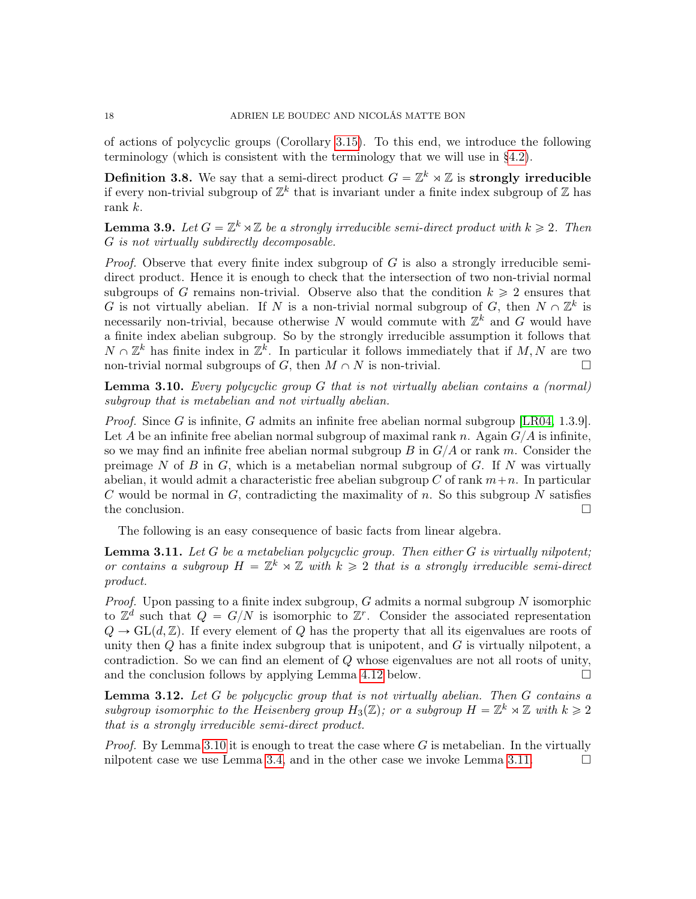of actions of polycyclic groups (Corollary [3.15\)](#page-18-1). To this end, we introduce the following terminology (which is consistent with the terminology that we will use in [§4.2\)](#page-20-0).

**Definition 3.8.** We say that a semi-direct product  $G = \mathbb{Z}^k \rtimes \mathbb{Z}$  is strongly irreducible if every non-trivial subgroup of  $\mathbb{Z}^k$  that is invariant under a finite index subgroup of  $\mathbb Z$  has rank k.

<span id="page-17-3"></span>**Lemma 3.9.** Let  $G = \mathbb{Z}^k \rtimes \mathbb{Z}$  be a strongly irreducible semi-direct product with  $k \geq 2$ . Then G is not virtually subdirectly decomposable.

*Proof.* Observe that every finite index subgroup of  $G$  is also a strongly irreducible semidirect product. Hence it is enough to check that the intersection of two non-trivial normal subgroups of G remains non-trivial. Observe also that the condition  $k \geq 2$  ensures that G is not virtually abelian. If N is a non-trivial normal subgroup of G, then  $N \cap \mathbb{Z}^k$  is necessarily non-trivial, because otherwise N would commute with  $\mathbb{Z}^k$  and G would have a finite index abelian subgroup. So by the strongly irreducible assumption it follows that  $N \cap \mathbb{Z}^k$  has finite index in  $\mathbb{Z}^k$ . In particular it follows immediately that if  $M, N$  are two non-trivial normal subgroups of G, then  $M \cap N$  is non-trivial.

<span id="page-17-0"></span>**Lemma 3.10.** Every polycyclic group  $G$  that is not virtually abelian contains a (normal) subgroup that is metabelian and not virtually abelian.

*Proof.* Since G is infinite, G admits an infinite free abelian normal subgroup  $[LR04, 1.3.9]$  $[LR04, 1.3.9]$ . Let A be an infinite free abelian normal subgroup of maximal rank n. Again  $G/A$  is infinite, so we may find an infinite free abelian normal subgroup  $B$  in  $G/A$  or rank m. Consider the preimage N of B in  $G$ , which is a metabelian normal subgroup of  $G$ . If N was virtually abelian, it would admit a characteristic free abelian subgroup C of rank  $m+n$ . In particular C would be normal in  $G$ , contradicting the maximality of n. So this subgroup N satisfies the conclusion.

The following is an easy consequence of basic facts from linear algebra.

<span id="page-17-1"></span>**Lemma 3.11.** Let G be a metabelian polycyclic group. Then either G is virtually nilpotent; or contains a subgroup  $H = \mathbb{Z}^k \rtimes \mathbb{Z}$  with  $k \geq 2$  that is a strongly irreducible semi-direct product.

*Proof.* Upon passing to a finite index subgroup, G admits a normal subgroup N isomorphic to  $\mathbb{Z}^d$  such that  $Q = G/N$  is isomorphic to  $\mathbb{Z}^r$ . Consider the associated representation  $Q \to GL(d, \mathbb{Z})$ . If every element of Q has the property that all its eigenvalues are roots of unity then  $Q$  has a finite index subgroup that is unipotent, and  $G$  is virtually nilpotent, a contradiction. So we can find an element of Q whose eigenvalues are not all roots of unity, and the conclusion follows by applying Lemma [4.12](#page-23-1) below.  $\square$ 

<span id="page-17-2"></span>**Lemma 3.12.** Let  $G$  be polycyclic group that is not virtually abelian. Then  $G$  contains a subgroup isomorphic to the Heisenberg group  $H_3(\mathbb{Z})$ ; or a subgroup  $H = \mathbb{Z}^k \rtimes \mathbb{Z}$  with  $k \geq 2$ that is a strongly irreducible semi-direct product.

*Proof.* By Lemma [3.10](#page-17-0) it is enough to treat the case where G is metabelian. In the virtually nilpotent case we use Lemma [3.4,](#page-16-1) and in the other case we invoke Lemma [3.11.](#page-17-1)  $\Box$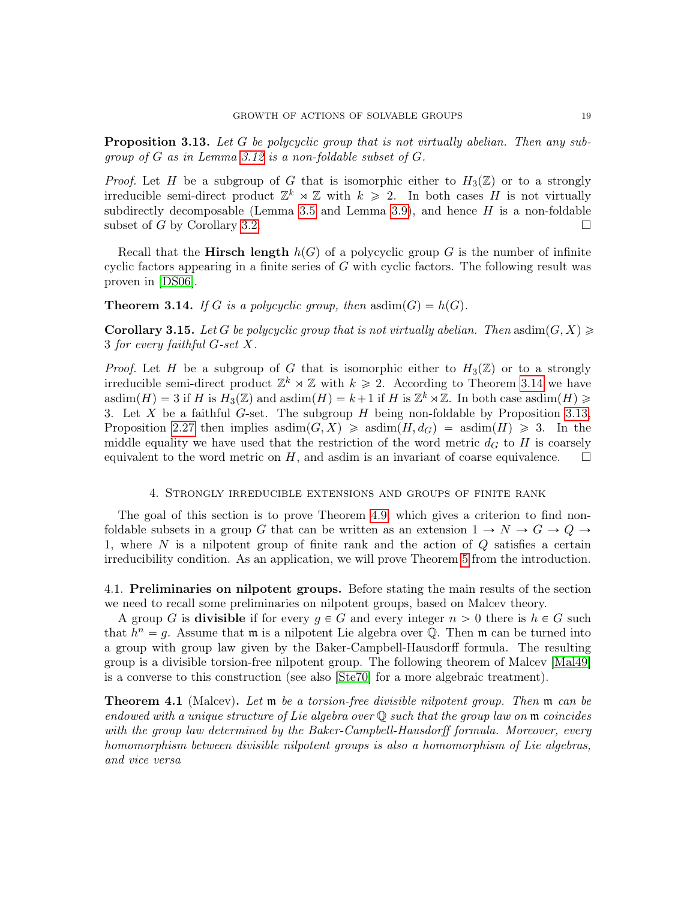<span id="page-18-3"></span>**Proposition 3.13.** Let G be polycyclic group that is not virtually abelian. Then any subgroup of  $G$  as in Lemma [3.12](#page-17-2) is a non-foldable subset of  $G$ .

*Proof.* Let H be a subgroup of G that is isomorphic either to  $H_3(\mathbb{Z})$  or to a strongly irreducible semi-direct product  $\mathbb{Z}^k \rtimes \mathbb{Z}$  with  $k \geq 2$ . In both cases H is not virtually subdirectly decomposable (Lemma [3.5](#page-16-2) and Lemma [3.9\)](#page-17-3), and hence  $H$  is a non-foldable subset of G by Corollary [3.2.](#page-15-0)

Recall that the **Hirsch length**  $h(G)$  of a polycyclic group G is the number of infinite cyclic factors appearing in a finite series of  $G$  with cyclic factors. The following result was proven in [\[DS06\]](#page-46-19).

<span id="page-18-2"></span>**Theorem 3.14.** If G is a polycyclic group, then asdim(G) =  $h(G)$ .

<span id="page-18-1"></span>**Corollary 3.15.** Let G be polycyclic group that is not virtually abelian. Then asdim $(G, X) \geq$ 3 for every faithful G-set X.

*Proof.* Let H be a subgroup of G that is isomorphic either to  $H_3(\mathbb{Z})$  or to a strongly irreducible semi-direct product  $\mathbb{Z}^k \rtimes \mathbb{Z}$  with  $k \geq 2$ . According to Theorem [3.14](#page-18-2) we have asdim $(H) = 3$  if H is  $H_3(\mathbb{Z})$  and asdim $(H) = k+1$  if H is  $\mathbb{Z}^k \rtimes \mathbb{Z}$ . In both case asdim $(H) \geq$ 3. Let X be a faithful G-set. The subgroup  $H$  being non-foldable by Proposition [3.13,](#page-18-3) Proposition [2.27](#page-14-1) then implies asdim $(G, X) \geq \text{asdim}(H, d_G) = \text{asdim}(H) \geq 3$ . In the middle equality we have used that the restriction of the word metric  $d_G$  to H is coarsely equivalent to the word metric on  $H$ , and asdim is an invariant of coarse equivalence.  $\Box$ 

### 4. Strongly irreducible extensions and groups of finite rank

<span id="page-18-0"></span>The goal of this section is to prove Theorem [4.9,](#page-21-0) which gives a criterion to find nonfoldable subsets in a group G that can be written as an extension  $1 \to N \to G \to Q \to$ 1, where  $N$  is a nilpotent group of finite rank and the action of  $Q$  satisfies a certain irreducibility condition. As an application, we will prove Theorem [5](#page-5-0) from the introduction.

4.1. Preliminaries on nilpotent groups. Before stating the main results of the section we need to recall some preliminaries on nilpotent groups, based on Malcev theory.

A group G is **divisible** if for every  $g \in G$  and every integer  $n > 0$  there is  $h \in G$  such that  $h^n = g$ . Assume that m is a nilpotent Lie algebra over Q. Then m can be turned into a group with group law given by the Baker-Campbell-Hausdorff formula. The resulting group is a divisible torsion-free nilpotent group. The following theorem of Malcev [\[Mal49\]](#page-47-13) is a converse to this construction (see also [\[Ste70\]](#page-47-14) for a more algebraic treatment).

<span id="page-18-4"></span>**Theorem 4.1** (Malcev). Let **m** be a torsion-free divisible nilpotent group. Then **m** can be endowed with a unique structure of Lie algebra over  $\mathbb Q$  such that the group law on  $\mathfrak m$  coincides with the group law determined by the Baker-Campbell-Hausdorff formula. Moreover, every homomorphism between divisible nilpotent groups is also a homomorphism of Lie algebras, and vice versa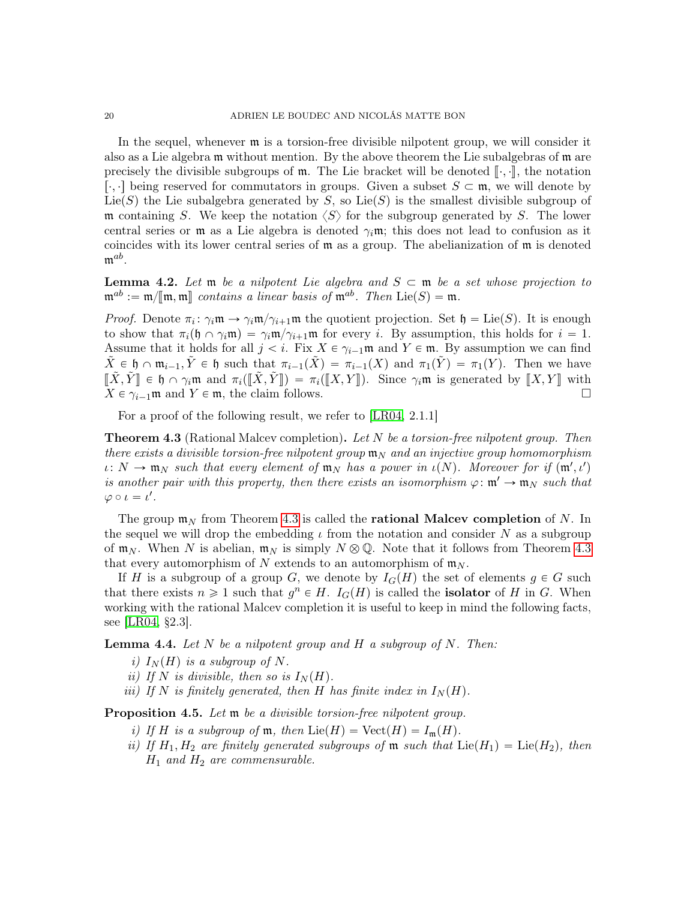In the sequel, whenever m is a torsion-free divisible nilpotent group, we will consider it also as a Lie algebra m without mention. By the above theorem the Lie subalgebras of m are precisely the divisible subgroups of  $m$ . The Lie bracket will be denoted  $\lbrack \cdot , \cdot \rbrack$ , the notation [∴.] being reserved for commutators in groups. Given a subset  $S \subset \mathfrak{m}$ , we will denote by Lie(S) the Lie subalgebra generated by S, so Lie(S) is the smallest divisible subgroup of m containing S. We keep the notation  $\langle S \rangle$  for the subgroup generated by S. The lower central series or m as a Lie algebra is denoted  $\gamma_i$ m; this does not lead to confusion as it coincides with its lower central series of  $m$  as a group. The abelianization of  $m$  is denoted  $\mathfrak{m}^{ab}.$ 

<span id="page-19-2"></span>**Lemma 4.2.** Let  $\mathfrak{m}$  be a nilpotent Lie algebra and  $S \subset \mathfrak{m}$  be a set whose projection to  $\mathfrak{m}^{ab} := \mathfrak{m}/\mathfrak{m}, \mathfrak{m}$  contains a linear basis of  $\mathfrak{m}^{ab}$ . Then  $Lie(S) = \mathfrak{m}$ .

*Proof.* Denote  $\pi_i: \gamma_i \mathfrak{m} \to \gamma_i \mathfrak{m}/\gamma_{i+1} \mathfrak{m}$  the quotient projection. Set  $\mathfrak{h} = \text{Lie}(S)$ . It is enough to show that  $\pi_i(\mathfrak{h} \cap \gamma_i \mathfrak{m}) = \gamma_i \mathfrak{m}/\gamma_{i+1} \mathfrak{m}$  for every i. By assumption, this holds for  $i = 1$ . Assume that it holds for all  $j < i$ . Fix  $X \in \gamma_{i-1} \mathfrak{m}$  and  $Y \in \mathfrak{m}$ . By assumption we can find  $\tilde{X} \in \mathfrak{h} \cap \mathfrak{m}_{i-1}, \tilde{Y} \in \mathfrak{h}$  such that  $\pi_{i-1}(\tilde{X}) = \pi_{i-1}(X)$  and  $\pi_1(\tilde{Y}) = \pi_1(Y)$ . Then we have  $[\![\tilde{X}, \tilde{Y}]\!] \in \mathfrak{h} \cap \gamma_i \mathfrak{m}$  and  $\pi_i([\![\tilde{X}, \tilde{Y}]\!]) = \pi_i([\![X, Y]\!])$ . Since  $\gamma_i \mathfrak{m}$  is generated by  $[\![X, Y]\!]$  with  $X \in \gamma_{i-1} \mathfrak{m}$  and  $Y \in \mathfrak{m}$ , the claim follows.  $X \in \gamma_{i-1}$ m and  $Y \in \mathfrak{m}$ , the claim follows.

For a proof of the following result, we refer to [\[LR04,](#page-46-15) 2.1.1]

<span id="page-19-0"></span>**Theorem 4.3** (Rational Malcev completion). Let  $N$  be a torsion-free nilpotent group. Then there exists a divisible torsion-free nilpotent group  $\mathfrak{m}_N$  and an injective group homomorphism  $\iota: N \to \mathfrak{m}_N$  such that every element of  $\mathfrak{m}_N$  has a power in  $\iota(N)$ . Moreover for if  $(\mathfrak{m}', \iota')$ is another pair with this property, then there exists an isomorphism  $\varphi: \mathfrak{m}' \to \mathfrak{m}_N$  such that  $\varphi \circ \iota = \iota'.$ 

The group  $m_N$  from Theorem [4.3](#page-19-0) is called the **rational Malcev completion** of N. In the sequel we will drop the embedding  $\iota$  from the notation and consider N as a subgroup of  $\mathfrak{m}_N$ . When N is abelian,  $\mathfrak{m}_N$  is simply  $N \otimes \mathbb{Q}$ . Note that it follows from Theorem [4.3](#page-19-0) that every automorphism of N extends to an automorphism of  $m_N$ .

If H is a subgroup of a group G, we denote by  $I_G(H)$  the set of elements  $g \in G$  such that there exists  $n \geq 1$  such that  $g^n \in H$ .  $I_G(H)$  is called the **isolator** of H in G. When working with the rational Malcev completion it is useful to keep in mind the following facts, see [\[LR04,](#page-46-15) §2.3].

<span id="page-19-1"></span>**Lemma 4.4.** Let N be a nilpotent group and H a subgroup of N. Then:

- i)  $I_N(H)$  is a subgroup of N.
- ii) If N is divisible, then so is  $I_N(H)$ .
- iii) If N is finitely generated, then H has finite index in  $I<sub>N</sub>(H)$ .

<span id="page-19-3"></span>Proposition 4.5. Let  $m$  be a divisible torsion-free nilpotent group.

- i) If H is a subgroup of  $\mathfrak{m}$ , then  $\text{Lie}(H) = \text{Vect}(H) = I_{\mathfrak{m}}(H)$ .
- ii) If  $H_1, H_2$  are finitely generated subgroups of m such that  $Lie(H_1) = Lie(H_2)$ , then  $H_1$  and  $H_2$  are commensurable.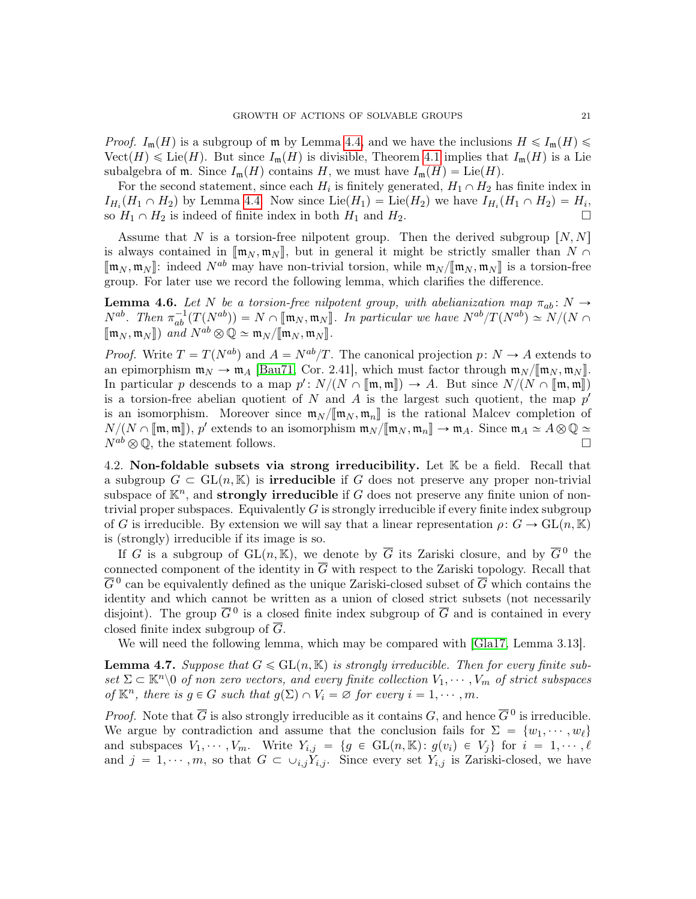*Proof.*  $I_m(H)$  is a subgroup of m by Lemma [4.4,](#page-19-1) and we have the inclusions  $H \leq I_m(H)$  $Vect(H) \leq Lie(H)$ . But since  $I_m(H)$  is divisible, Theorem [4.1](#page-18-4) implies that  $I_m(H)$  is a Lie subalgebra of  $\mathfrak{m}$ . Since  $I_{\mathfrak{m}}(H)$  contains H, we must have  $I_{\mathfrak{m}}(H) = \text{Lie}(H)$ .

For the second statement, since each  $H_i$  is finitely generated,  $H_1 \cap H_2$  has finite index in  $I_{H_i}(H_1 \cap H_2)$  by Lemma [4.4.](#page-19-1) Now since  $Lie(H_1) = Lie(H_2)$  we have  $I_{H_i}(H_1 \cap H_2) = H_i$ , so  $H_1 \cap H_2$  is indeed of finite index in both  $H_1$  and  $H_2$ .

Assume that N is a torsion-free nilpotent group. Then the derived subgroup  $[N, N]$ is always contained in  $[\mathfrak{m}_N, \mathfrak{m}_N]$ , but in general it might be strictly smaller than  $N \cap$  $[\mathbf{m}_N, \mathbf{m}_N]$ : indeed  $N^{ab}$  may have non-trivial torsion, while  $\mathbf{m}_N / [\mathbf{m}_N, \mathbf{m}_N]$  is a torsion-free group. For later use we record the following lemma, which clarifies the difference.

<span id="page-20-1"></span>**Lemma 4.6.** Let N be a torsion-free nilpotent group, with abelianization map  $\pi_{ab}$ : N  $\rightarrow$  $N^{ab}$ . Then  $\pi_{ab}^{-1}(T(N^{ab})) = N \cap [\![\mathfrak{m}_N, \mathfrak{m}_N]\!]$ . In particular we have  $N^{ab}/T(N^{ab}) \simeq N/(N \cap \![\mathfrak{m}_N, \mathfrak{m}_N]\!]$ .  $[\![\mathfrak{m}_N, \mathfrak{m}_N]\!]$  and  $N^{ab} \otimes \mathbb{Q} \simeq \mathfrak{m}_N / [\![\mathfrak{m}_N, \mathfrak{m}_N]\!]$ .

*Proof.* Write  $T = T(N^{ab})$  and  $A = N^{ab}/T$ . The canonical projection  $p: N \to A$  extends to an epimorphism  $\mathfrak{m}_N \to \mathfrak{m}_A$  [\[Bau71,](#page-45-12) Cor. 2.41], which must factor through  $\mathfrak{m}_N / [\![\mathfrak{m}_N, \mathfrak{m}_N]\!]$ . In particular p descends to a map  $p': N/(N \cap [\![\mathfrak{m}, \mathfrak{m}]\!]) \to A$ . But since  $N/(N \cap [\![\mathfrak{m}, \mathfrak{m}]\!])$ <br>is a torsion free abelian quotient of N and A is the largest such quotient, the map  $p'$ is a torsion-free abelian quotient of N and A is the largest such quotient, the map  $p'$ is an isomorphism. Moreover since  $\mathfrak{m}_N/\llbracket \mathfrak{m}_N, \mathfrak{m}_n \rrbracket$  is the rational Malcev completion of  $N/(N \cap [\![\mathfrak{m},\mathfrak{m}]\!])$ , p' extends to an isomorphism  $\mathfrak{m}_N/[\![\mathfrak{m}_N,\mathfrak{m}_n]\!] \to \mathfrak{m}_A$ . Since  $\mathfrak{m}_A \simeq A \otimes \mathbb{Q} \simeq$  $N^{ab} \otimes \mathbb{Q}$ , the statement follows.

<span id="page-20-0"></span>4.2. Non-foldable subsets via strong irreducibility. Let  $K$  be a field. Recall that a subgroup  $G \subset GL(n, \mathbb{K})$  is **irreducible** if G does not preserve any proper non-trivial subspace of  $\mathbb{K}^n$ , and **strongly irreducible** if G does not preserve any finite union of nontrivial proper subspaces. Equivalently  $G$  is strongly irreducible if every finite index subgroup of G is irreducible. By extension we will say that a linear representation  $\rho: G \to \text{GL}(n, \mathbb{K})$ is (strongly) irreducible if its image is so.

If G is a subgroup of  $GL(n, \mathbb{K})$ , we denote by  $\overline{G}$  its Zariski closure, and by  $\overline{G}^0$  the connected component of the identity in  $\overline{G}$  with respect to the Zariski topology. Recall that  $\overline{G}{}^0$  can be equivalently defined as the unique Zariski-closed subset of  $\overline{G}$  which contains the identity and which cannot be written as a union of closed strict subsets (not necessarily disjoint). The group  $\overline{G}^0$  is a closed finite index subgroup of  $\overline{G}$  and is contained in every closed finite index subgroup of  $\overline{G}$ .

We will need the following lemma, which may be compared with [\[Gla17,](#page-46-20) Lemma 3.13].

<span id="page-20-2"></span>**Lemma 4.7.** Suppose that  $G \leq \mathrm{GL}(n, \mathbb{K})$  is strongly irreducible. Then for every finite subset  $\Sigma \subset \mathbb{K}^n \setminus 0$  of non zero vectors, and every finite collection  $V_1, \dots, V_m$  of strict subspaces of  $\mathbb{K}^n$ , there is  $g \in G$  such that  $g(\Sigma) \cap V_i = \emptyset$  for every  $i = 1, \dots, m$ .

*Proof.* Note that  $\overline{G}$  is also strongly irreducible as it contains G, and hence  $\overline{G}^0$  is irreducible. We argue by contradiction and assume that the conclusion fails for  $\Sigma = \{w_1, \dots, w_\ell\}$ and subspaces  $V_1, \dots, V_m$ . Write  $Y_{i,j} = \{g \in GL(n, \mathbb{K}) : g(v_i) \in V_j\}$  for  $i = 1, \dots, \ell$ and  $j = 1, \dots, m$ , so that  $G \subset \cup_{i,j} Y_{i,j}$ . Since every set  $Y_{i,j}$  is Zariski-closed, we have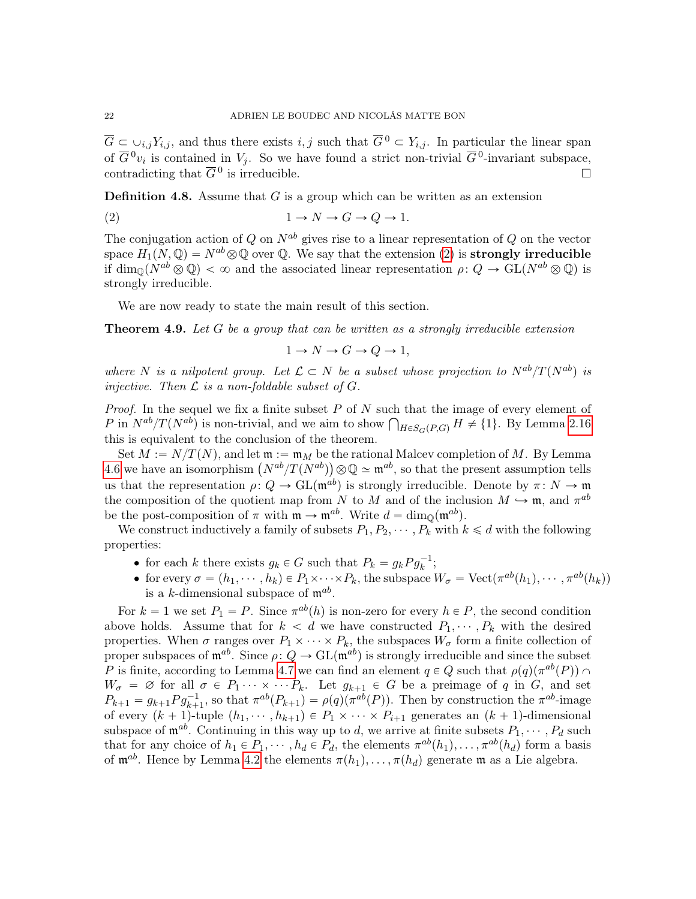$\overline{G} \subset \cup_{i,j} Y_{i,j}$ , and thus there exists  $i, j$  such that  $\overline{G}^0 \subset Y_{i,j}$ . In particular the linear span of  $\overline{G}^0v_i$  is contained in  $V_j$ . So we have found a strict non-trivial  $\overline{G}^0$ -invariant subspace, contradicting that  $\overline{G}^0$  is irreducible.

**Definition 4.8.** Assume that  $G$  is a group which can be written as an extension

$$
(2) \t 1 \to N \to G \to Q \to 1.
$$

The conjugation action of Q on  $N^{ab}$  gives rise to a linear representation of Q on the vector space  $H_1(N, \mathbb{Q}) = N^{ab} \otimes \mathbb{Q}$  over  $\mathbb{Q}$ . We say that the extension [\(2\)](#page-21-1) is **strongly irreducible** if  $\dim_{\mathbb{Q}}(N^{ab}\otimes\mathbb{Q}) < \infty$  and the associated linear representation  $\rho: Q \to \text{GL}(N^{ab}\otimes\mathbb{Q})$  is strongly irreducible.

We are now ready to state the main result of this section.

<span id="page-21-0"></span>**Theorem 4.9.** Let  $G$  be a group that can be written as a strongly irreducible extension

<span id="page-21-1"></span>
$$
1 \to N \to G \to Q \to 1,
$$

where N is a nilpotent group. Let  $\mathcal{L} \subset N$  be a subset whose projection to  $N^{ab}/T(N^{ab})$  is injective. Then  $\mathcal L$  is a non-foldable subset of  $G$ .

*Proof.* In the sequel we fix a finite subset  $P$  of  $N$  such that the image of every element of *Proof.* In the sequel we fix a finite subset P of N such that the image of every element of P in  $N^{ab}/T(N^{ab})$  is non-trivial, and we aim to show  $\bigcap_{H \in S_G(P,G)} H \neq \{1\}$ . By Lemma [2.16](#page-12-3) this is equivalent to the conclusion of the theorem.

Set  $M := N/T(N)$ , and let  $\mathfrak{m} := \mathfrak{m}_M$  be the rational Malcev completion of M. By Lemma Set  $M := N/T(N)$ , and let  $\mathfrak{m} := \mathfrak{m}_M$  be the rational Malcev completion of M. By Lemma [4.6](#page-20-1) we have an isomorphism  $(N^{ab}/T(N^{ab})) \otimes \mathbb{Q} \simeq \mathfrak{m}^{ab}$ , so that the present assumption tells us that the representation  $\rho: Q \to GL(\mathfrak{m}^{ab})$  is strongly irreducible. Denote by  $\pi: N \to \mathfrak{m}$ the composition of the quotient map from N to M and of the inclusion  $M \hookrightarrow \mathfrak{m}$ , and  $\pi^{ab}$ be the post-composition of  $\pi$  with  $\mathfrak{m} \to \mathfrak{m}^{ab}$ . Write  $d = \dim_{\mathbb{Q}}(\mathfrak{m}^{ab})$ .

We construct inductively a family of subsets  $P_1, P_2, \cdots, P_k$  with  $k \le d$  with the following properties:

- for each k there exists  $g_k \in G$  such that  $P_k = g_k P g_k^{-1}$ ;
- for every  $\sigma = (h_1, \dots, h_k) \in P_1 \times \dots \times P_k$ , the subspace  $W_{\sigma} = \text{Vect}(\pi^{ab}(h_1), \dots, \pi^{ab}(h_k))$ is a k-dimensional subspace of  $\mathfrak{m}^{ab}$ .

For  $k = 1$  we set  $P_1 = P$ . Since  $\pi^{ab}(h)$  is non-zero for every  $h \in P$ , the second condition above holds. Assume that for  $k < d$  we have constructed  $P_1, \dots, P_k$  with the desired properties. When  $\sigma$  ranges over  $P_1 \times \cdots \times P_k$ , the subspaces  $W_{\sigma}$  form a finite collection of proper subspaces of  $\mathfrak{m}^{ab}$ . Since  $\rho: Q \to GL(\mathfrak{m}^{ab})$  is strongly irreducible and since the subset P is finite, according to Lemma [4.7](#page-20-2) we can find an element  $q \in Q$  such that  $\rho(q)(\pi^{ab}(P)) \cap$  $W_{\sigma} = \emptyset$  for all  $\sigma \in P_1 \cdots \times \cdots P_k$ . Let  $g_{k+1} \in G$  be a preimage of q in G, and set  $P_{k+1} = g_{k+1} P g_{k+1}^{-1}$ , so that  $\pi^{ab}(P_{k+1}) = \rho(q)(\pi^{ab}(P))$ . Then by construction the  $\pi^{ab}$ -image of every  $(k + 1)$ -tuple  $(h_1, \dots, h_{k+1}) \in P_1 \times \dots \times P_{i+1}$  generates an  $(k + 1)$ -dimensional subspace of  $\mathfrak{m}^{ab}$ . Continuing in this way up to d, we arrive at finite subsets  $P_1, \cdots, P_d$  such that for any choice of  $h_1 \in P_1, \dots, h_d \in P_d$ , the elements  $\pi^{ab}(h_1), \dots, \pi^{ab}(h_d)$  form a basis of  $\mathfrak{m}^{ab}$ . Hence by Lemma [4.2](#page-19-2) the elements  $\pi(h_1), \ldots, \pi(h_d)$  generate m as a Lie algebra.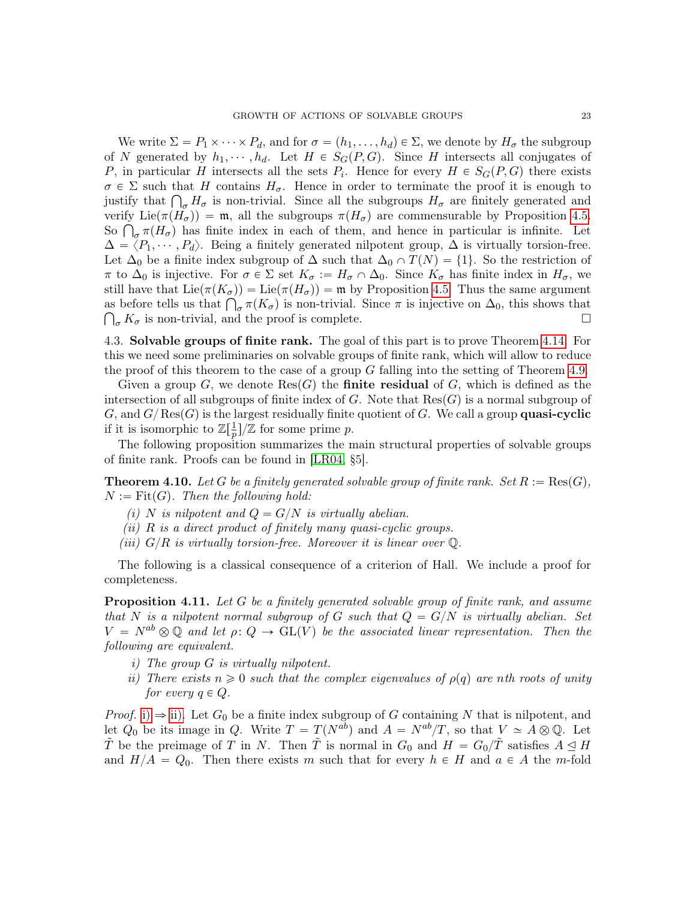We write  $\Sigma = P_1 \times \cdots \times P_d$ , and for  $\sigma = (h_1, \ldots, h_d) \in \Sigma$ , we denote by  $H_{\sigma}$  the subgroup of N generated by  $h_1, \dots, h_d$ . Let  $H \in S_G(P, G)$ . Since H intersects all conjugates of P, in particular H intersects all the sets  $P_i$ . Hence for every  $H \in S_G(P, G)$  there exists  $\sigma \in \Sigma$  such that H contains  $H_{\sigma}$ . Hence in order to terminate the proof it is enough to  $\sigma \in \Sigma$  such that H contains  $H_{\sigma}$ . Hence in order to terminate the proof it is enough to justify that  $\bigcap_{\sigma} H_{\sigma}$  is non-trivial. Since all the subgroups  $H_{\sigma}$  are finitely generated and verify  $\text{Lie}(\pi(H_{\sigma})) = \mathfrak{m}$ , all the subgroups  $\pi(H_{\sigma})$  are commensurable by Proposition [4.5.](#page-19-3) verity Lie( $\pi(H_{\sigma})$ ) = **m**, all the subgroups  $\pi(H_{\sigma})$  are commensurable by Proposition 4.5.<br>So  $\bigcap_{\sigma} \pi(H_{\sigma})$  has finite index in each of them, and hence in particular is infinite. Let  $\Delta = \langle P_1, \cdots, P_d \rangle$ . Being a finitely generated nilpotent group,  $\Delta$  is virtually torsion-free. Let  $\Delta_0$  be a finite index subgroup of  $\Delta$  such that  $\Delta_0 \cap T(N) = \{1\}$ . So the restriction of  $\pi$  to  $\Delta_0$  is injective. For  $\sigma \in \Sigma$  set  $K_{\sigma} := H_{\sigma} \cap \Delta_0$ . Since  $K_{\sigma}$  has finite index in  $H_{\sigma}$ , we still have that  $\text{Lie}(\pi(K_{\sigma})) = \text{Lie}(\pi(H_{\sigma})) = \mathfrak{m}$  by Proposition [4.5.](#page-19-3) Thus the same argument still have that  $\text{Lie}(\pi(K_{\sigma})) = \text{Lie}(\pi(H_{\sigma})) = \mathfrak{m}$  by Proposition 4.5. Thus the same argument as before tells us that  $\bigcap_{\sigma} \pi(K_{\sigma})$  is non-trivial. Since  $\pi$  is injective on  $\Delta_0$ , this shows that  $\bigcap_{\sigma} K_{\sigma}$  is non-trivial, and the proof is complete.

4.3. Solvable groups of finite rank. The goal of this part is to prove Theorem [4.14.](#page-24-0) For this we need some preliminaries on solvable groups of finite rank, which will allow to reduce the proof of this theorem to the case of a group G falling into the setting of Theorem [4.9.](#page-21-0)

Given a group G, we denote  $\text{Res}(G)$  the **finite residual** of G, which is defined as the intersection of all subgroups of finite index of G. Note that  $\text{Res}(G)$  is a normal subgroup of G, and  $G/Res(G)$  is the largest residually finite quotient of G. We call a group **quasi-cyclic** if it is isomorphic to  $\mathbb{Z}[\frac{1}{n}]$  $\frac{1}{p}$ ]/Z for some prime p.

The following proposition summarizes the main structural properties of solvable groups of finite rank. Proofs can be found in [\[LR04,](#page-46-15) §5].

<span id="page-22-2"></span>**Theorem 4.10.** Let G be a finitely generated solvable group of finite rank. Set  $R := \text{Res}(G)$ ,  $N := \text{Fit}(G)$ . Then the following hold:

- (i) N is nilpotent and  $Q = G/N$  is virtually abelian.
- (ii)  $R$  is a direct product of finitely many quasi-cyclic groups.
- (iii)  $G/R$  is virtually torsion-free. Moreover it is linear over  $\mathbb Q$ .

The following is a classical consequence of a criterion of Hall. We include a proof for completeness.

<span id="page-22-3"></span>**Proposition 4.11.** Let G be a finitely generated solvable group of finite rank, and assume that N is a nilpotent normal subgroup of G such that  $Q = G/N$  is virtually abelian. Set  $V = N^{ab} \otimes \mathbb{Q}$  and let  $\rho: Q \to GL(V)$  be the associated linear representation. Then the following are equivalent.

- <span id="page-22-0"></span>i) The group G is virtually nilpotent.
- <span id="page-22-1"></span>ii) There exists  $n \geq 0$  such that the complex eigenvalues of  $\rho(q)$  are nth roots of unity for every  $q \in Q$ .

*Proof.* [i\)](#page-22-0)  $\Rightarrow$  [ii\).](#page-22-1) Let  $G_0$  be a finite index subgroup of G containing N that is nilpotent, and let  $Q_0$  be its image in  $Q$ . Write  $T = T(N^{ab})$  and  $A = N^{ab}/T$ , so that  $V \simeq A \otimes \mathbb{Q}$ . Let  $\tilde{T}$  be the preimage of T in N. Then  $\tilde{T}$  is normal in  $G_0$  and  $H = G_0/\tilde{T}$  satisfies  $A \leq H$ and  $H/A = Q_0$ . Then there exists m such that for every  $h \in H$  and  $a \in A$  the m-fold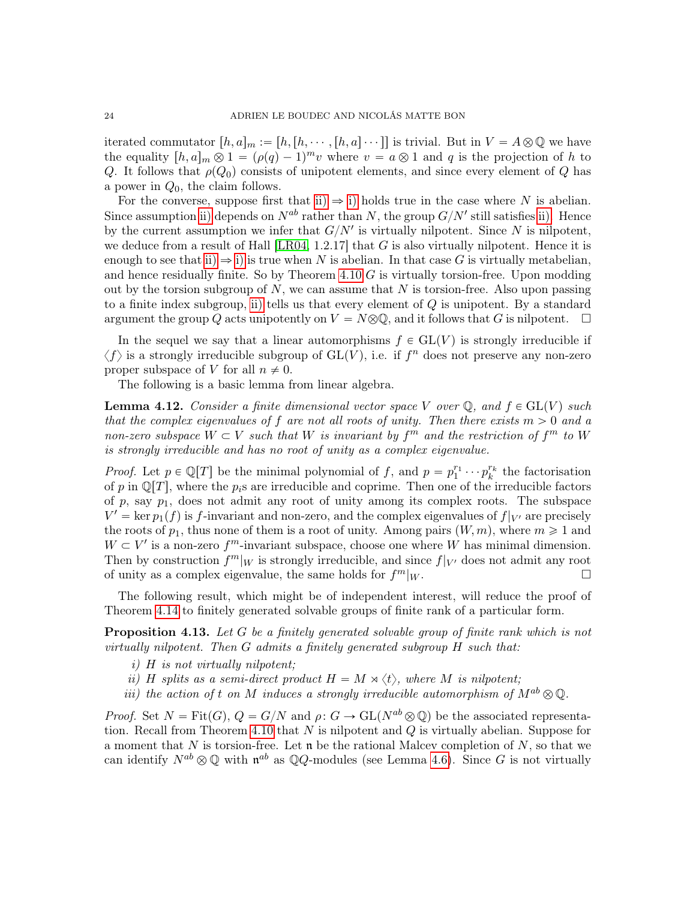iterated commutator  $[h, a]_m := [h,[h,\cdots,[h,a]\cdots]]$  is trivial. But in  $V = A \otimes \mathbb{Q}$  we have the equality  $[h, a]_m \otimes 1 = (\rho(q) - 1)^m v$  where  $v = a \otimes 1$  and q is the projection of h to Q. It follows that  $\rho(Q_0)$  consists of unipotent elements, and since every element of Q has a power in  $Q_0$ , the claim follows.

For the converse, suppose first that [ii\)](#page-22-1)  $\Rightarrow$  [i\)](#page-22-0) holds true in the case where N is abelian. Since assumption [ii\)](#page-22-1) depends on  $N^{ab}$  rather than N, the group  $G/N'$  still satisfies [ii\).](#page-22-1) Hence by the current assumption we infer that  $G/N'$  is virtually nilpotent. Since N is nilpotent, we deduce from a result of Hall  $[LR04, 1.2.17]$  $[LR04, 1.2.17]$  that G is also virtually nilpotent. Hence it is enough to see that [ii\)](#page-22-1)  $\Rightarrow$  [i\)](#page-22-0) is true when N is abelian. In that case G is virtually metabelian, and hence residually finite. So by Theorem  $4.10$  G is virtually torsion-free. Upon modding out by the torsion subgroup of N, we can assume that  $N$  is torsion-free. Also upon passing to a finite index subgroup, [ii\)](#page-22-1) tells us that every element of Q is unipotent. By a standard argument the group Q acts unipotently on  $V = N \otimes \mathbb{Q}$ , and it follows that G is nilpotent.  $\Box$ 

In the sequel we say that a linear automorphisms  $f \in GL(V)$  is strongly irreducible if  $\langle f \rangle$  is a strongly irreducible subgroup of  $\mathrm{GL}(V)$ , i.e. if  $f^n$  does not preserve any non-zero proper subspace of V for all  $n \neq 0$ .

The following is a basic lemma from linear algebra.

<span id="page-23-1"></span>**Lemma 4.12.** Consider a finite dimensional vector space V over  $\mathbb{Q}$ , and  $f \in GL(V)$  such that the complex eigenvalues of f are not all roots of unity. Then there exists  $m > 0$  and a non-zero subspace  $W \subset V$  such that W is invariant by  $f^m$  and the restriction of  $f^m$  to W is strongly irreducible and has no root of unity as a complex eigenvalue.

*Proof.* Let  $p \in \mathbb{Q}[T]$  be the minimal polynomial of f, and  $p = p_1^{r_1} \cdots p_k^{r_k}$  the factorisation of p in  $\mathbb{Q}[T]$ , where the  $p_i$ s are irreducible and coprime. Then one of the irreducible factors of p, say  $p_1$ , does not admit any root of unity among its complex roots. The subspace  $V' = \ker p_1(f)$  is f-invariant and non-zero, and the complex eigenvalues of  $f|_{V'}$  are precisely the roots of  $p_1$ , thus none of them is a root of unity. Among pairs  $(W, m)$ , where  $m \geq 1$  and  $W \subset V'$  is a non-zero  $f<sup>m</sup>$ -invariant subspace, choose one where W has minimal dimension. Then by construction  $f<sup>m</sup>|<sub>W</sub>$  is strongly irreducible, and since  $f|_{V'}$  does not admit any root of unity as a complex eigenvalue, the same holds for  $f<sup>m</sup>|<sub>W</sub>$ .

The following result, which might be of independent interest, will reduce the proof of Theorem [4.14](#page-24-0) to finitely generated solvable groups of finite rank of a particular form.

<span id="page-23-0"></span>**Proposition 4.13.** Let G be a finitely generated solvable group of finite rank which is not virtually nilpotent. Then  $G$  admits a finitely generated subgroup  $H$  such that:

- i) H is not virtually nilpotent;
- ii) H splits as a semi-direct product  $H = M \rtimes \langle t \rangle$ , where M is nilpotent;
- iii) the action of t on M induces a strongly irreducible automorphism of  $M^{ab} \otimes \mathbb{Q}$ .

*Proof.* Set  $N = \text{Fit}(G), Q = G/N$  and  $\rho: G \to \text{GL}(N^{ab} \otimes \mathbb{Q})$  be the associated representa-tion. Recall from Theorem [4.10](#page-22-2) that  $N$  is nilpotent and  $Q$  is virtually abelian. Suppose for a moment that N is torsion-free. Let  $\mathfrak n$  be the rational Malcev completion of N, so that we can identify  $N^{ab} \otimes \mathbb{Q}$  with  $\mathfrak{n}^{ab}$  as  $\mathbb{Q}Q$ -modules (see Lemma [4.6\)](#page-20-1). Since G is not virtually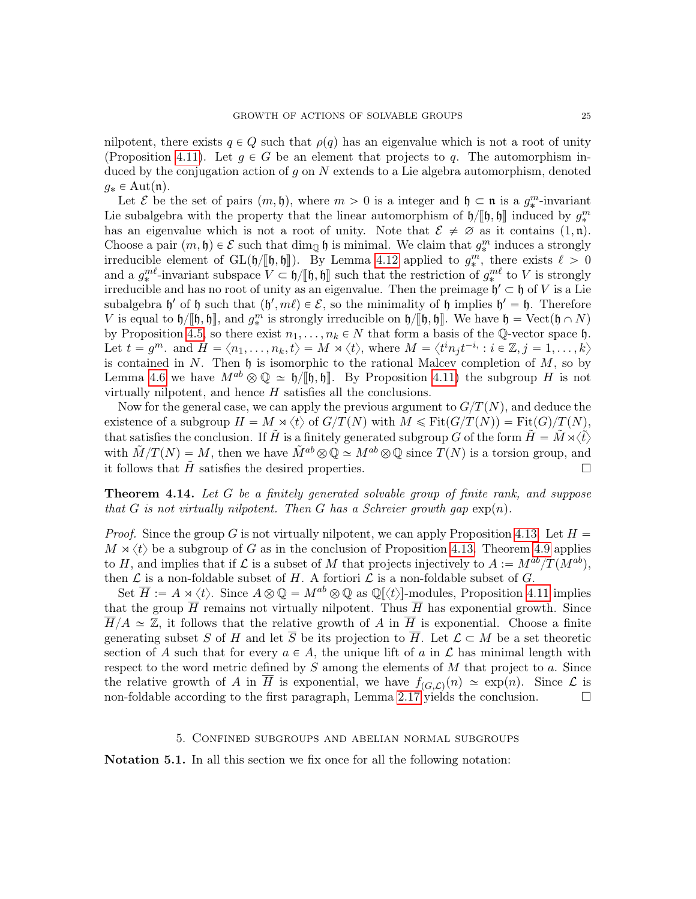nilpotent, there exists  $q \in Q$  such that  $\rho(q)$  has an eigenvalue which is not a root of unity (Proposition [4.11\)](#page-22-3). Let  $g \in G$  be an element that projects to q. The automorphism induced by the conjugation action of  $g$  on  $N$  extends to a Lie algebra automorphism, denoted  $g_* \in \text{Aut}(\mathfrak{n})$ .

Let  $\mathcal E$  be the set of pairs  $(m, \mathfrak{h})$ , where  $m > 0$  is a integer and  $\mathfrak{h} \subset \mathfrak{n}$  is a  $g_*^m$ -invariant Lie subalgebra with the property that the linear automorphism of  $\mathfrak{h}/[\mathfrak{h}, \mathfrak{h}]$  induced by  $g^m$ <br>has an eigenvalue which is not a rest of unity. Note that  $S \neq \emptyset$  as it contains  $(1, \mathfrak{p})$ has an eigenvalue which is not a root of unity. Note that  $\mathcal{E} \neq \emptyset$  as it contains  $(1, \mathfrak{n})$ . Choose a pair  $(m, \mathfrak{h}) \in \mathcal{E}$  such that  $\dim_{\mathbb{Q}} \mathfrak{h}$  is minimal. We claim that  $g_*^m$  induces a strongly irreducible element of  $GL(b/[\![\mathfrak{h},\mathfrak{h}]\!])$ . By Lemma [4.12](#page-23-1) applied to  $g_*^m$ , there exists  $\ell > 0$ and a  $g^{m\ell}$ -invariant subspace  $V \subset \mathfrak{h}/[\mathfrak{h}, \mathfrak{h}]$  such that the restriction of  $g^{m\ell}$  to V is strongly<br>irreducible and has no rest of unity as an eigenvalue. Then the preimage  $\mathfrak{h}' \subset \mathfrak{h}$  of V is a Lie irreducible and has no root of unity as an eigenvalue. Then the preimage  $\mathfrak{h}' \subset \mathfrak{h}$  of V is a Lie subalgebra  $\mathfrak{h}'$  of  $\mathfrak{h}$  such that  $(\mathfrak{h}', m\ell) \in \mathcal{E}$ , so the minimality of  $\mathfrak{h}$  implies  $\mathfrak{h}' = \mathfrak{h}$ . Therefore V is equal to  $h/\llbracket \mathfrak{h}, \mathfrak{h}\rrbracket$ , and  $g_*^m$  is strongly irreducible on  $h/\llbracket \mathfrak{h}, \mathfrak{h}\rrbracket$ . We have  $\mathfrak{h} = \text{Vect}(\mathfrak{h} \cap N)$ <br>by Proposition 4.5, so there exist  $m_*$  and  $\mathfrak{h}$ , that form a basis of the  $\$ by Proposition [4.5,](#page-19-3) so there exist  $n_1, \ldots, n_k \in N$  that form a basis of the Q-vector space h. Let  $t = g^m$ . and  $H = \langle n_1, \ldots, n_k, t \rangle = M \rtimes \langle t \rangle$ , where  $M = \langle t^n i_1 t^{-i} : i \in \mathbb{Z}, j = 1, \ldots, k \rangle$ is contained in  $N$ . Then  $\mathfrak h$  is isomorphic to the rational Malcev completion of  $M$ , so by Lemma [4.6](#page-20-1) we have  $M^{ab} \otimes \mathbb{Q} \simeq \mathfrak{h}/\mathfrak{h}, \mathfrak{h}$ . By Proposition [4.11\)](#page-22-3) the subgroup H is not virtually nilpotent, and hence  $H$  satisfies all the conclusions.

Now for the general case, we can apply the previous argument to  $G/T(N)$ , and deduce the existence of a subgroup  $H = M \times \langle t \rangle$  of  $G/T(N)$  with  $M \leq$  Fit $(G/T(N)) =$  Fit $(G)/T(N)$ , that satisfies the conclusion. If  $\tilde{H}$  is a finitely generated subgroup G of the form  $\tilde{H} = \tilde{M} \rtimes \langle \tilde{t} \rangle$ with  $\tilde{M}/T(N) = M$ , then we have  $\tilde{M}^{ab} \otimes \mathbb{Q} \simeq M^{ab} \otimes \mathbb{Q}$  since  $T(N)$  is a torsion group, and it follows that  $\tilde{H}$  satisfies the desired properties.

<span id="page-24-0"></span>Theorem 4.14. Let G be a finitely generated solvable group of finite rank, and suppose that G is not virtually nilpotent. Then G has a Schreier growth gap  $\exp(n)$ .

*Proof.* Since the group G is not virtually nilpotent, we can apply Proposition [4.13.](#page-23-0) Let  $H =$  $M \rtimes \langle t \rangle$  be a subgroup of G as in the conclusion of Proposition [4.13.](#page-23-0) Theorem [4.9](#page-21-0) applies to H, and implies that if  $\mathcal L$  is a subset of M that projects injectively to  $A := M^{ab}/T(M^{ab})$ , then  $\mathcal L$  is a non-foldable subset of H. A fortiori  $\mathcal L$  is a non-foldable subset of G.

Set  $\overline{H} := A \rtimes \langle t \rangle$ . Since  $A \otimes \mathbb{Q} = M^{ab} \otimes \mathbb{Q}$  as  $\mathbb{Q}[\langle t \rangle]$ -modules, Proposition [4.11](#page-22-3) implies that the group  $\overline{H}$  remains not virtually nilpotent. Thus  $\overline{H}$  has exponential growth. Since  $\overline{H}/A \simeq \mathbb{Z}$ , it follows that the relative growth of A in  $\overline{H}$  is exponential. Choose a finite generating subset S of H and let  $\overline{S}$  be its projection to  $\overline{H}$ . Let  $\mathcal{L} \subset M$  be a set theoretic section of A such that for every  $a \in A$ , the unique lift of a in  $\mathcal L$  has minimal length with respect to the word metric defined by  $S$  among the elements of  $M$  that project to  $a$ . Since the relative growth of A in  $\overline{H}$  is exponential, we have  $f_{(G,\mathcal{L})}(n) \simeq \exp(n)$ . Since  $\mathcal L$  is non-foldable according to the first paragraph, Lemma [2.17](#page-12-0) yields the conclusion.  $\square$ 

### 5. Confined subgroups and abelian normal subgroups

Notation 5.1. In all this section we fix once for all the following notation: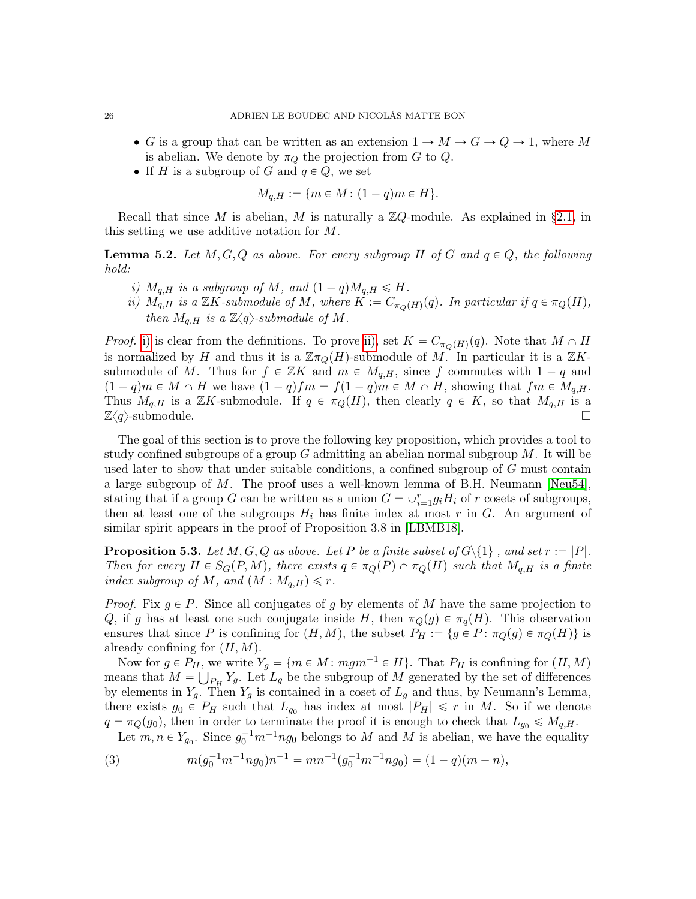- G is a group that can be written as an extension  $1 \to M \to G \to Q \to 1$ , where M is abelian. We denote by  $\pi_Q$  the projection from G to Q.
- If H is a subgroup of G and  $q \in Q$ , we set

 $M_{q,H} := \{m \in M : (1 - q)m \in H\}.$ 

Recall that since M is abelian, M is naturally a  $\mathbb{Z}Q$ -module. As explained in [§2.1,](#page-6-0) in this setting we use additive notation for M.

**Lemma 5.2.** Let  $M, G, Q$  as above. For every subgroup H of G and  $q \in Q$ , the following hold:

- <span id="page-25-0"></span>i)  $M_{q,H}$  is a subgroup of M, and  $(1 - q)M_{q,H} \leq H$ .
- <span id="page-25-1"></span>ii)  $M_{q,H}$  is a  $\mathbb{Z}K$ -submodule of M, where  $K := C_{\pi_Q(H)}(q)$ . In particular if  $q \in \pi_Q(H)$ , then  $M_{a,H}$  is a  $\mathbb{Z}\langle q \rangle$ -submodule of M.

*Proof.* [i\)](#page-25-0) is clear from the definitions. To prove [ii\),](#page-25-1) set  $K = C_{\pi_Q(H)}(q)$ . Note that  $M \cap H$ is normalized by H and thus it is a  $\mathbb{Z}\pi_Q(H)$ -submodule of M. In particular it is a  $\mathbb{Z}K$ submodule of M. Thus for  $f \in \mathbb{Z}K$  and  $m \in M_{q,H}$ , since f commutes with  $1 - q$  and  $(1 - q)m \in M \cap H$  we have  $(1 - q)fm = f(1 - q)m \in M \cap H$ , showing that  $fm \in M_{q,H}$ . Thus  $M_{q,H}$  is a ZK-submodule. If  $q \in \pi_Q(H)$ , then clearly  $q \in K$ , so that  $M_{q,H}$  is a  $\mathbb{Z}\langle q \rangle$ -submodule.

The goal of this section is to prove the following key proposition, which provides a tool to study confined subgroups of a group  $G$  admitting an abelian normal subgroup  $M$ . It will be used later to show that under suitable conditions, a confined subgroup of  $G$  must contain a large subgroup of M. The proof uses a well-known lemma of B.H. Neumann [\[Neu54\]](#page-47-15), stating that if a group G can be written as a union  $G = \bigcup_{i=1}^{r} g_i H_i$  of r cosets of subgroups, then at least one of the subgroups  $H_i$  has finite index at most r in G. An argument of similar spirit appears in the proof of Proposition 3.8 in [\[LBMB18\]](#page-46-8).

<span id="page-25-3"></span>**Proposition 5.3.** Let  $M, G, Q$  as above. Let P be a finite subset of  $G\setminus\{1\}$ , and set  $r := |P|$ . Then for every  $H \in S_G(P, M)$ , there exists  $q \in \pi_Q(P) \cap \pi_Q(H)$  such that  $M_{q,H}$  is a finite index subgroup of M, and  $(M : M_{q,H}) \leq r$ .

*Proof.* Fix  $g \in P$ . Since all conjugates of g by elements of M have the same projection to Q, if g has at least one such conjugate inside H, then  $\pi_Q(g) \in \pi_q(H)$ . This observation ensures that since P is confining for  $(H, M)$ , the subset  $P_H := \{g \in P : \pi_Q(g) \in \pi_Q(H)\}\$ is already confining for  $(H, M)$ .

Now for  $g \in P_H$ , we write  $Y_g = \{ m \in M : mgm^{-1} \in H \}$ . That  $P_H$  is confining for  $(H, M)$ means that  $M = \bigcup_{P_H} Y_g$ . Let  $L_g$  be the subgroup of M generated by the set of differences by elements in  $Y_q$ . Then  $Y_q$  is contained in a coset of  $L_q$  and thus, by Neumann's Lemma, there exists  $g_0 \in P_H$  such that  $L_{g_0}$  has index at most  $|P_H| \leq r$  in M. So if we denote  $q = \pi_Q(g_0)$ , then in order to terminate the proof it is enough to check that  $L_{g_0} \leqslant M_{q,H}$ .

<span id="page-25-2"></span>Let  $m, n \in Y_{g_0}$ . Since  $g_0^{-1}m^{-1}ng_0$  belongs to M and M is abelian, we have the equality

(3) 
$$
m(g_0^{-1}m^{-1}ng_0)n^{-1} = mn^{-1}(g_0^{-1}m^{-1}ng_0) = (1-q)(m-n),
$$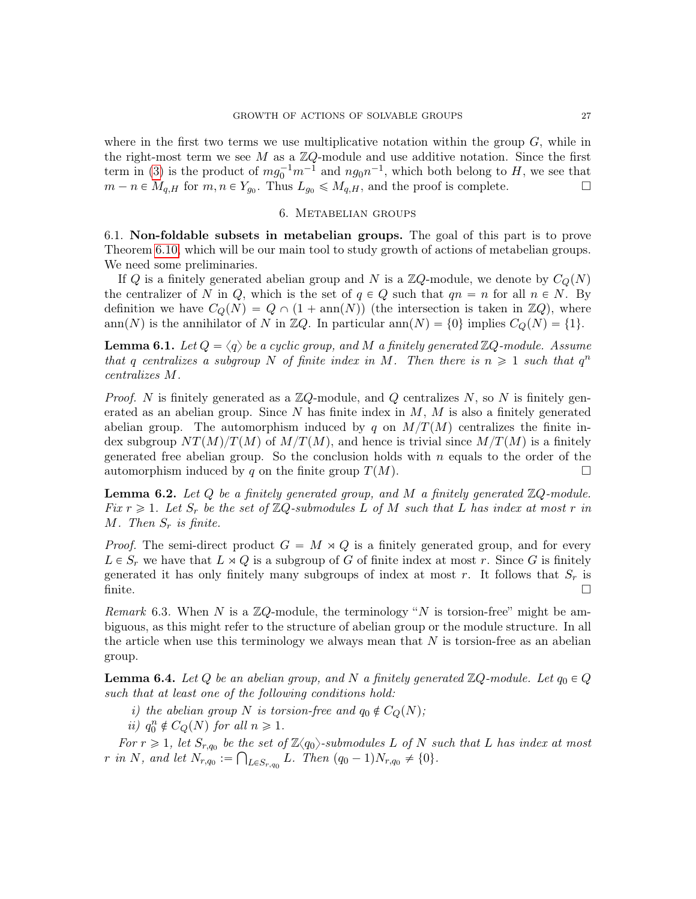where in the first two terms we use multiplicative notation within the group  $G$ , while in the right-most term we see M as a  $\mathbb{Z}Q$ -module and use additive notation. Since the first term in [\(3\)](#page-25-2) is the product of  $mg_0^{-1}m^{-1}$  and  $ng_0n^{-1}$ , which both belong to H, we see that  $m - n \in M_{q,H}$  for  $m, n \in Y_{g_0}$ . Thus  $L_{g_0} \leqslant M_{q,H}$ , and the proof is complete.

### 6. Metabelian groups

<span id="page-26-4"></span><span id="page-26-0"></span>6.1. Non-foldable subsets in metabelian groups. The goal of this part is to prove Theorem [6.10,](#page-28-0) which will be our main tool to study growth of actions of metabelian groups. We need some preliminaries.

If Q is a finitely generated abelian group and N is a  $\mathbb{Z}Q$ -module, we denote by  $C_Q(N)$ the centralizer of N in Q, which is the set of  $q \in Q$  such that  $qn = n$  for all  $n \in N$ . By definition we have  $C_Q(N) = Q \cap (1 + \text{ann}(N))$  (the intersection is taken in  $\mathbb{Z}_Q$ ), where ann(N) is the annihilator of N in ZQ. In particular ann(N) = {0} implies  $C_Q(N) = \{1\}$ .

<span id="page-26-2"></span>**Lemma 6.1.** Let  $Q = \langle q \rangle$  be a cyclic group, and M a finitely generated  $\mathbb{Z}Q$ -module. Assume that q centralizes a subgroup N of finite index in M. Then there is  $n \geq 1$  such that  $q^n$ centralizes M.

*Proof.* N is finitely generated as a  $\mathbb{Z}Q$ -module, and Q centralizes N, so N is finitely generated as an abelian group. Since  $N$  has finite index in  $M$ ,  $M$  is also a finitely generated abelian group. The automorphism induced by q on  $M/T(M)$  centralizes the finite index subgroup  $NT(M)/T(M)$  of  $M/T(M)$ , and hence is trivial since  $M/T(M)$  is a finitely generated free abelian group. So the conclusion holds with  $n$  equals to the order of the automorphism induced by q on the finite group  $T(M)$ .

<span id="page-26-1"></span>**Lemma 6.2.** Let  $Q$  be a finitely generated group, and  $M$  a finitely generated  $\mathbb{Z}Q$ -module. Fix  $r \geq 1$ . Let  $S_r$  be the set of  $\mathbb{Z}Q$ -submodules L of M such that L has index at most r in  $M.$  Then  $S_r$  is finite.

*Proof.* The semi-direct product  $G = M \times Q$  is a finitely generated group, and for every  $L \in S_r$  we have that  $L \rtimes Q$  is a subgroup of G of finite index at most r. Since G is finitely generated it has only finitely many subgroups of index at most r. It follows that  $S_r$  is  $\overline{\text{finite}}$ .

Remark 6.3. When N is a  $\mathbb{Z}Q$ -module, the terminology "N is torsion-free" might be ambiguous, as this might refer to the structure of abelian group or the module structure. In all the article when use this terminology we always mean that  $N$  is torsion-free as an abelian group.

<span id="page-26-3"></span>**Lemma 6.4.** Let Q be an abelian group, and N a finitely generated  $\mathbb{Z}Q$ -module. Let  $q_0 \in Q$ such that at least one of the following conditions hold:

i) the abelian group N is torsion-free and  $q_0 \notin C_Q(N)$ ;

ii)  $q_0^n \notin C_Q(N)$  for all  $n \geq 1$ .

For  $r \geq 1$ , let  $S_{r,q_0}$  be the set of  $\mathbb{Z}\langle q_0 \rangle$ -submodules L of N such that L has index at most r in N, and let  $N_{r,q_0} :=$  $th$  $_{L\in S_{r,q_0}} L$ . Then  $(q_0 - 1)N_{r,q_0} \neq \{0\}$ .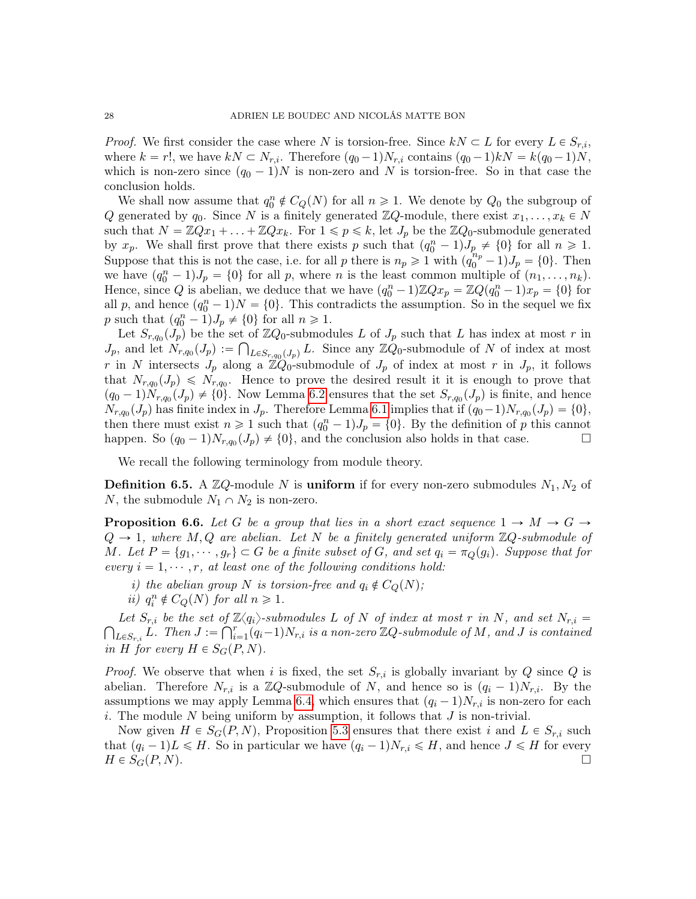*Proof.* We first consider the case where N is torsion-free. Since  $kN \subset L$  for every  $L \in S_{r,i}$ , where  $k = r!$ , we have  $kN \subset N_{r,i}$ . Therefore  $(q_0 - 1)N_{r,i}$  contains  $(q_0 - 1)kN = k(q_0 - 1)N$ , which is non-zero since  $(q_0 - 1)N$  is non-zero and N is torsion-free. So in that case the conclusion holds.

We shall now assume that  $q_0^n \notin C_Q(N)$  for all  $n \geq 1$ . We denote by  $Q_0$  the subgroup of Q generated by  $q_0$ . Since N is a finitely generated  $\mathbb{Z}Q$ -module, there exist  $x_1, \ldots, x_k \in N$ such that  $N = \mathbb{Z}Qx_1 + \ldots + \mathbb{Z}Qx_k$ . For  $1 \leq p \leq k$ , let  $J_p$  be the  $\mathbb{Z}Q_0$ -submodule generated by  $x_p$ . We shall first prove that there exists p such that  $(q_0^n - 1)J_p \neq \{0\}$  for all  $n \geq 1$ . Suppose that this is not the case, i.e. for all p there is  $n_p \geq 1$  with  $(q_0^{n_p} - 1)J_p = \{0\}$ . Then we have  $(q_0^n - 1)J_p = \{0\}$  for all p, where n is the least common multiple of  $(n_1, \ldots, n_k)$ . Hence, since Q is abelian, we deduce that we have  $(q_0^n - 1) \mathbb{Z} Q x_p = \mathbb{Z} Q (q_0^n - 1) x_p = \{0\}$  for all p, and hence  $(q_0^n - 1)N = \{0\}$ . This contradicts the assumption. So in the sequel we fix p such that  $(q_0^n - 1)J_p \neq \{0\}$  for all  $n \geq 1$ .

Let  $S_{r,q_0}(J_p)$  be the set of  $\mathbb{Z}Q_0$ -submodules L of  $J_p$  such that L has index at most r in  $J_p$ , and let  $N_{r,q_0}(J_p) := \bigcap_{L \in S_{r,q_0}(J_p)} L$ . Since any  $\mathbb{Z}Q_0$ -submodule of N of index at most r in N intersects  $J_p$  along a  $\mathbb{Z}Q_0$ -submodule of  $J_p$  of index at most r in  $J_p$ , it follows that  $N_{r,q_0}(J_p) \le N_{r,q_0}$ . Hence to prove the desired result it it is enough to prove that  $(q_0 - 1)N_{r,q_0}(J_p) \neq \{0\}$ . Now Lemma [6.2](#page-26-1) ensures that the set  $S_{r,q_0}(J_p)$  is finite, and hence  $N_{r,q_0}(J_p)$  has finite index in  $J_p$ . Therefore Lemma [6.1](#page-26-2) implies that if  $(q_0-1)N_{r,q_0}(J_p) = \{0\},$ then there must exist  $n \geq 1$  such that  $(q_0^n - 1)J_p = \{0\}$ . By the definition of p this cannot happen. So  $(q_0 - 1)N_{r,q_0}(J_p) \neq \{0\}$ , and the conclusion also holds in that case.

We recall the following terminology from module theory.

**Definition 6.5.** A  $\mathbb{Z}Q$ -module N is uniform if for every non-zero submodules  $N_1, N_2$  of N, the submodule  $N_1 \cap N_2$  is non-zero.

<span id="page-27-0"></span>**Proposition 6.6.** Let G be a group that lies in a short exact sequence  $1 \rightarrow M \rightarrow G \rightarrow$  $Q \rightarrow 1$ , where M, Q are abelian. Let N be a finitely generated uniform  $\mathbb{Z}Q$ -submodule of M. Let  $P = \{g_1, \dots, g_r\} \subset G$  be a finite subset of G, and set  $q_i = \pi_Q(g_i)$ . Suppose that for every  $i = 1, \dots, r$ , at least one of the following conditions hold:

- i) the abelian group N is torsion-free and  $q_i \notin C_O(N);$
- ii)  $q_i^n \notin C_Q(N)$  for all  $n \geq 1$ .

<span id="page-27-1"></span>ş Let  $S_{r,i}$  be the set of  $\mathbb{Z}\langle q_i \rangle$ -submodules L of N of index at most r in N, and set  $N_{r,i} = I$ <br>  $\Gamma$  Then  $I \subset \mathbb{C}^r$  (c 1) N is a non-zero  $\mathbb{Z}^r$  exhanglule of M and Lie contained  $_{L\in S_{r,i}} L$ . Then  $J := \bigcap_{i=1}^r (q_i-1)N_{r,i}$  is a non-zero  $\mathbb{Z} Q$ -submodule of M, and J is contained in H for every  $H \in S_G(P, N)$ .

*Proof.* We observe that when i is fixed, the set  $S_{r,i}$  is globally invariant by Q since Q is abelian. Therefore  $N_{r,i}$  is a ZQ-submodule of N, and hence so is  $(q_i - 1)N_{r,i}$ . By the assumptions we may apply Lemma [6.4,](#page-26-3) which ensures that  $(q_i - 1)N_{r,i}$  is non-zero for each i. The module N being uniform by assumption, it follows that  $J$  is non-trivial.

Now given  $H \in S_G(P, N)$ , Proposition [5.3](#page-25-3) ensures that there exist i and  $L \in S_{r,i}$  such that  $(q_i - 1)L \leq H$ . So in particular we have  $(q_i - 1)N_{r,i} \leq H$ , and hence  $J \leq H$  for every  $H \in S_G(P, N)$ .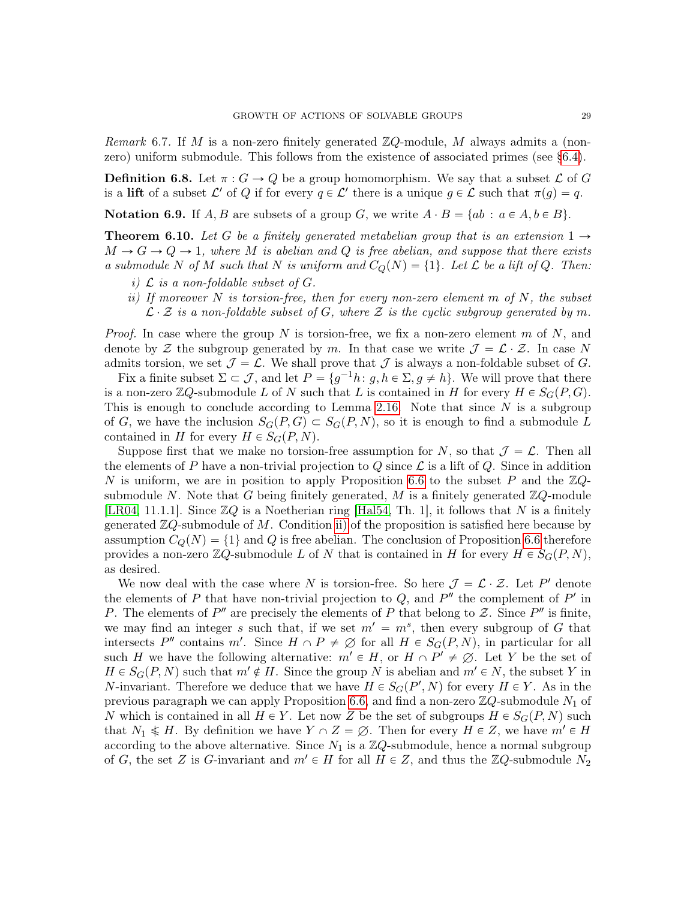Remark 6.7. If M is a non-zero finitely generated  $\mathbb{Z}Q$ -module, M always admits a (nonzero) uniform submodule. This follows from the existence of associated primes (see [§6.4\)](#page-32-0).

**Definition 6.8.** Let  $\pi: G \to Q$  be a group homomorphism. We say that a subset  $\mathcal L$  of G is a lift of a subset  $\mathcal{L}'$  of Q if for every  $q \in \mathcal{L}'$  there is a unique  $g \in \mathcal{L}$  such that  $\pi(g) = q$ .

**Notation 6.9.** If A, B are subsets of a group G, we write  $A \cdot B = \{ab : a \in A, b \in B\}$ .

<span id="page-28-0"></span>**Theorem 6.10.** Let G be a finitely generated metabelian group that is an extension  $1 \rightarrow$  $M \to G \to Q \to 1$ , where M is abelian and Q is free abelian, and suppose that there exists a submodule N of M such that N is uniform and  $C_Q(N) = \{1\}$ . Let L be a lift of Q. Then:

- i)  $\mathcal L$  is a non-foldable subset of  $G$ .
- ii) If moreover N is torsion-free, then for every non-zero element  $m$  of  $N$ , the subset  $\mathcal{L} \cdot \mathcal{Z}$  is a non-foldable subset of G, where  $\mathcal{Z}$  is the cyclic subgroup generated by m.

*Proof.* In case where the group N is torsion-free, we fix a non-zero element m of N, and denote by Z the subgroup generated by m. In that case we write  $\mathcal{J} = \mathcal{L} \cdot \mathcal{Z}$ . In case N admits torsion, we set  $\mathcal{J} = \mathcal{L}$ . We shall prove that  $\mathcal{J}$  is always a non-foldable subset of G.

Fix a finite subset  $\Sigma \subset \mathcal{J}$ , and let  $P = \{g^{-1}h: g, h \in \Sigma, g \neq h\}$ . We will prove that there is a non-zero  $\mathbb{Z}Q$ -submodule L of N such that L is contained in H for every  $H \in S_G(P, G)$ . This is enough to conclude according to Lemma [2.16.](#page-12-3) Note that since  $N$  is a subgroup of G, we have the inclusion  $S_G(P, G) \subset S_G(P, N)$ , so it is enough to find a submodule L contained in H for every  $H \in S_G(P, N)$ .

Suppose first that we make no torsion-free assumption for N, so that  $\mathcal{J} = \mathcal{L}$ . Then all the elements of P have a non-trivial projection to Q since  $\mathcal L$  is a lift of Q. Since in addition N is uniform, we are in position to apply Proposition [6.6](#page-27-0) to the subset P and the  $\mathbb{Z}Q$ submodule N. Note that G being finitely generated, M is a finitely generated  $\mathbb{Z}Q$ -module [\[LR04,](#page-46-15) 11.1.1]. Since  $\mathbb{Z}Q$  is a Noetherian ring [\[Hal54,](#page-46-13) Th. 1], it follows that N is a finitely generated  $\mathbb{Z}Q$ -submodule of M. Condition [ii\)](#page-27-1) of the proposition is satisfied here because by assumption  $C_Q(N) = \{1\}$  and Q is free abelian. The conclusion of Proposition [6.6](#page-27-0) therefore provides a non-zero  $\mathbb{Z}Q$ -submodule L of N that is contained in H for every  $H \in S<sub>G</sub>(P, N)$ , as desired.

We now deal with the case where N is torsion-free. So here  $\mathcal{J} = \mathcal{L} \cdot \mathcal{Z}$ . Let P' denote the elements of P that have non-trivial projection to  $Q$ , and  $P''$  the complement of  $P'$  in P. The elements of  $P''$  are precisely the elements of P that belong to Z. Since  $P''$  is finite, we may find an integer s such that, if we set  $m' = m^s$ , then every subgroup of G that intersects P'' contains m'. Since  $H \cap P \neq \emptyset$  for all  $H \in S_G(P, N)$ , in particular for all such H we have the following alternative:  $m' \in H$ , or  $H \cap P' \neq \emptyset$ . Let Y be the set of  $H \in S_G(P, N)$  such that  $m' \notin H$ . Since the group N is abelian and  $m' \in N$ , the subset Y in *N*-invariant. Therefore we deduce that we have  $H \in S_G(P', N)$  for every  $H \in Y$ . As in the previous paragraph we can apply Proposition [6.6,](#page-27-0) and find a non-zero  $\mathbb{Z}Q$ -submodule  $N_1$  of N which is contained in all  $H \in Y$ . Let now Z be the set of subgroups  $H \in S<sub>G</sub>(P, N)$  such that  $N_1 \nless H$ . By definition we have  $Y \cap Z = \emptyset$ . Then for every  $H \in Z$ , we have  $m' \in H$ according to the above alternative. Since  $N_1$  is a  $\mathbb{Z}Q$ -submodule, hence a normal subgroup of G, the set Z is G-invariant and  $m' \in H$  for all  $H \in Z$ , and thus the  $\mathbb{Z}Q$ -submodule  $N_2$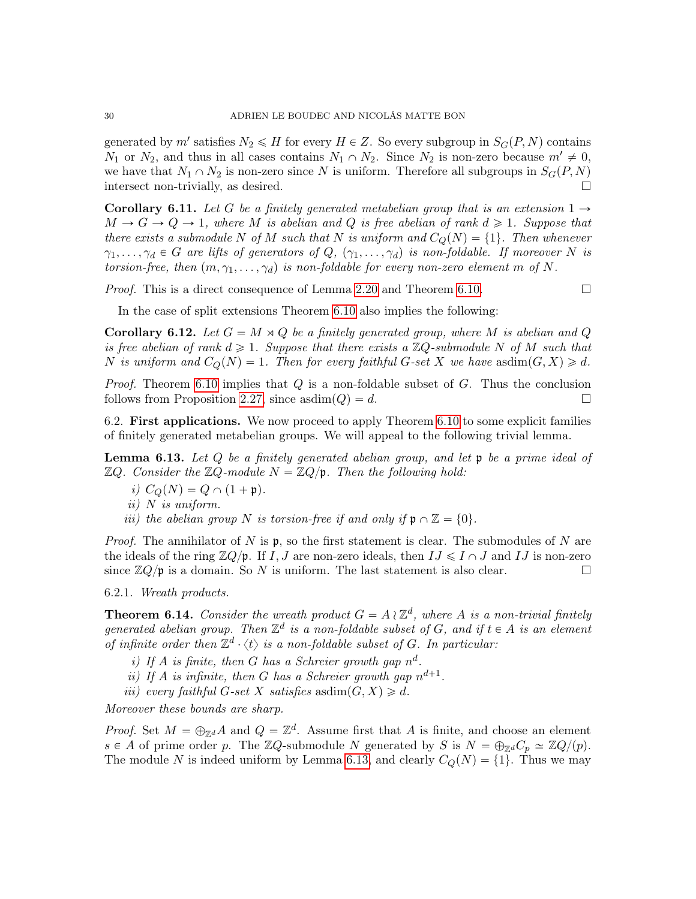generated by m' satisfies  $N_2 \le H$  for every  $H \in Z$ . So every subgroup in  $S_G(P, N)$  contains  $N_1$  or  $N_2$ , and thus in all cases contains  $N_1 \cap N_2$ . Since  $N_2$  is non-zero because  $m' \neq 0$ , we have that  $N_1 \cap N_2$  is non-zero since N is uniform. Therefore all subgroups in  $S_G(P, N)$ intersect non-trivially, as desired.

<span id="page-29-4"></span>**Corollary 6.11.** Let G be a finitely generated metabelian group that is an extension  $1 \rightarrow$  $M \to G \to Q \to 1$ , where M is abelian and Q is free abelian of rank  $d \geq 1$ . Suppose that there exists a submodule N of M such that N is uniform and  $C_Q(N) = \{1\}$ . Then whenever  $\gamma_1, \ldots, \gamma_d \in G$  are lifts of generators of  $Q, (\gamma_1, \ldots, \gamma_d)$  is non-foldable. If moreover N is torsion-free, then  $(m, \gamma_1, \ldots, \gamma_d)$  is non-foldable for every non-zero element m of N.

*Proof.* This is a direct consequence of Lemma [2.20](#page-13-1) and Theorem [6.10.](#page-28-0)

In the case of split extensions Theorem [6.10](#page-28-0) also implies the following:

**Corollary 6.12.** Let  $G = M \rtimes Q$  be a finitely generated group, where M is abelian and Q is free abelian of rank  $d \geq 1$ . Suppose that there exists a  $\mathbb{Z}Q$ -submodule N of M such that N is uniform and  $C_Q(N) = 1$ . Then for every faithful G-set X we have asdim $(G, X) \ge d$ .

*Proof.* Theorem [6.10](#page-28-0) implies that  $Q$  is a non-foldable subset of  $G$ . Thus the conclusion follows from Proposition [2.27,](#page-14-1) since  $\text{asdim}(Q) = d$ .

<span id="page-29-0"></span>6.2. First applications. We now proceed to apply Theorem [6.10](#page-28-0) to some explicit families of finitely generated metabelian groups. We will appeal to the following trivial lemma.

<span id="page-29-1"></span>**Lemma 6.13.** Let Q be a finitely generated abelian group, and let  $\mathfrak{p}$  be a prime ideal of  $\mathbb{Z}Q$ . Consider the  $\mathbb{Z}Q$ -module  $N = \mathbb{Z}Q/\mathfrak{p}$ . Then the following hold:

- i)  $C_O(N) = Q \cap (1 + \mathfrak{p}).$
- ii) N is uniform.
- iii) the abelian group N is torsion-free if and only if  $\mathfrak{p} \cap \mathbb{Z} = \{0\}.$

*Proof.* The annihilator of N is  $\mathfrak{p}$ , so the first statement is clear. The submodules of N are the ideals of the ring  $\mathbb{Z}Q/\mathfrak{p}$ . If I, J are non-zero ideals, then  $IJ \leq I \cap J$  and IJ is non-zero since  $\mathbb{Z}Q/\mathfrak{p}$  is a domain. So N is uniform. The last statement is also clear.

6.2.1. Wreath products.

<span id="page-29-3"></span>**Theorem 6.14.** Consider the wreath product  $G = A \wr \mathbb{Z}^d$ , where A is a non-trivial finitely generated abelian group. Then  $\mathbb{Z}^d$  is a non-foldable subset of G, and if  $t \in A$  is an element of infinite order then  $\mathbb{Z}^d \cdot \langle t \rangle$  is a non-foldable subset of G. In particular:

- <span id="page-29-2"></span>i) If A is finite, then G has a Schreier growth gap  $n^d$ .
- ii) If A is infinite, then G has a Schreier growth gap  $n^{d+1}$ .
- iii) every faithful G-set X satisfies as $dim(G, X) \ge d$ .

Moreover these bounds are sharp.

*Proof.* Set  $M = \bigoplus_{\mathbb{Z}^d} A$  and  $Q = \mathbb{Z}^d$ . Assume first that A is finite, and choose an element  $s \in A$  of prime order p. The ZQ-submodule N generated by S is  $N = \bigoplus_{\mathbb{Z}^d} C_p \simeq \mathbb{Z}Q/(p)$ . The module N is indeed uniform by Lemma [6.13,](#page-29-1) and clearly  $C_Q(N) = \{1\}$ . Thus we may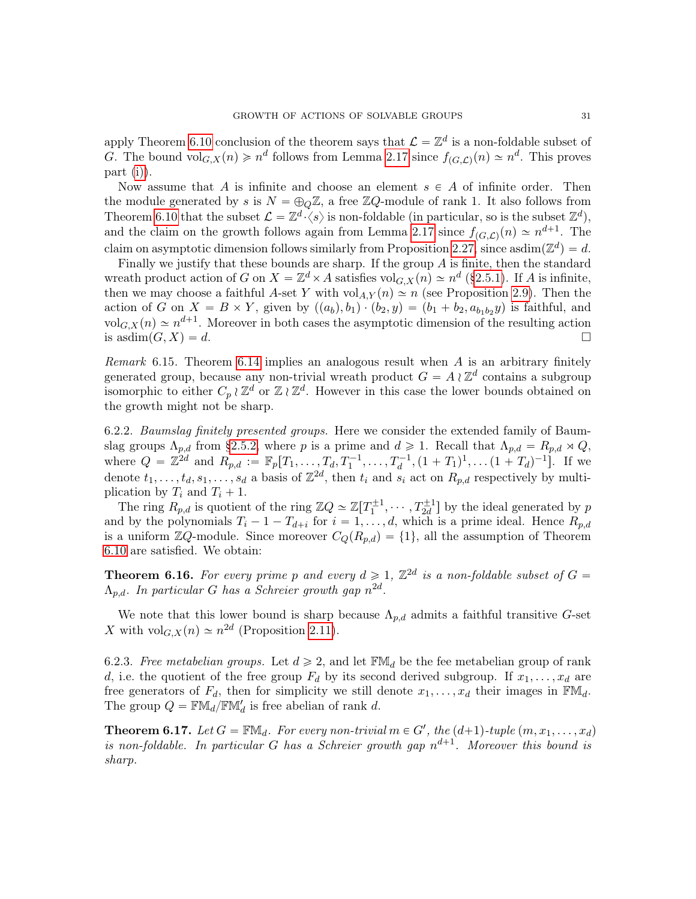apply Theorem [6.10](#page-28-0) conclusion of the theorem says that  $\mathcal{L} = \mathbb{Z}^d$  is a non-foldable subset of G. The bound  $vol_{G,X}(n) \geq n^d$  follows from Lemma [2.17](#page-12-0) since  $f_{(G,\mathcal{L})}(n) \simeq n^d$ . This proves part [\(i\)\)](#page-29-2).

Now assume that A is infinite and choose an element  $s \in A$  of infinite order. Then the module generated by s is  $N = \bigoplus_{Q} \mathbb{Z}$ , a free  $\mathbb{Z}Q$ -module of rank 1. It also follows from Theorem [6.10](#page-28-0) that the subset  $\mathcal{L} = \mathbb{Z}^d \cdot \langle s \rangle$  is non-foldable (in particular, so is the subset  $\mathbb{Z}^d$ ), and the claim on the growth follows again from Lemma [2.17](#page-12-0) since  $f_{(G,\mathcal{L})}(n) \simeq n^{d+1}$ . The claim on asymptotic dimension follows similarly from Proposition [2.27,](#page-14-1) since asdim $(\mathbb{Z}^d) = d$ .

Finally we justify that these bounds are sharp. If the group  $A$  is finite, then the standard wreath product action of G on  $X = \mathbb{Z}^d \times A$  satisfies vol $_{G,X}(n) \simeq n^d$  ([§2.5.1\)](#page-9-2). If A is infinite, then we may choose a faithful A-set Y with  $\text{vol}_{A,Y}(n) \simeq n$  (see Proposition [2.9\)](#page-9-0). Then the action of G on  $X = B \times Y$ , given by  $((a_b), b_1) \cdot (b_2, y) = (b_1 + b_2, a_{b_1b_2}y)$  is faithful, and  $\mathrm{vol}_{G,X}(n) \simeq n^{d+1}$ . Moreover in both cases the asymptotic dimension of the resulting action is asdim $(G, X) = d$ .

Remark 6.15. Theorem [6.14](#page-29-3) implies an analogous result when A is an arbitrary finitely generated group, because any non-trivial wreath product  $G = A \wr \mathbb{Z}^d$  contains a subgroup isomorphic to either  $C_p \wr \mathbb{Z}^d$  or  $\mathbb{Z} \wr \mathbb{Z}^d$ . However in this case the lower bounds obtained on the growth might not be sharp.

6.2.2. Baumslag finitely presented groups. Here we consider the extended family of Baumslag groups  $\Lambda_{p,d}$  from [§2.5.2,](#page-9-1) where p is a prime and  $d \geq 1$ . Recall that  $\Lambda_{p,d} = R_{p,d} \rtimes Q$ , where  $Q = \mathbb{Z}^{2d}$  and  $R_{p,d} := \mathbb{F}_p[T_1, \ldots, T_d, T_1^{-1}, \ldots, T_d^{-1}, (1 + T_1)^1, \ldots (1 + T_d)^{-1}]$ . If we denote  $t_1, \ldots, t_d, s_1, \ldots, s_d$  a basis of  $\mathbb{Z}^{2d}$ , then  $t_i$  and  $s_i$  act on  $R_{p,d}$  respectively by multiplication by  $T_i$  and  $T_i + 1$ .

The ring  $R_{p,d}$  is quotient of the ring  $\mathbb{Z}Q \simeq \mathbb{Z}[T_1^{\pm 1}, \cdots, T_{2d}^{\pm 1}]$  by the ideal generated by p and by the polynomials  $T_i - 1 - T_{d+i}$  for  $i = 1, ..., d$ , which is a prime ideal. Hence  $R_{p,d}$ is a uniform  $\mathbb{Z}Q$ -module. Since moreover  $C_Q(R_{p,d}) = \{1\}$ , all the assumption of Theorem [6.10](#page-28-0) are satisfied. We obtain:

**Theorem 6.16.** For every prime p and every  $d \ge 1$ ,  $\mathbb{Z}^{2d}$  is a non-foldable subset of  $G =$  $\Lambda_{p,d}$ . In particular G has a Schreier growth gap  $n^{2d}$ .

We note that this lower bound is sharp because  $\Lambda_{p,d}$  admits a faithful transitive G-set X with  $\mathrm{vol}_{G,X}(n) \simeq n^{2d}$  (Proposition [2.11\)](#page-11-0).

6.2.3. Free metabelian groups. Let  $d \geq 2$ , and let  $\mathbb{F}M_d$  be the fee metabelian group of rank d, i.e. the quotient of the free group  $F_d$  by its second derived subgroup. If  $x_1, \ldots, x_d$  are free generators of  $F_d$ , then for simplicity we still denote  $x_1, \ldots, x_d$  their images in  $\mathbb{F}M_d$ . The group  $Q = \mathbb{F} \mathbb{M}_d / \mathbb{F} \mathbb{M}'_d$  is free abelian of rank d.

<span id="page-30-0"></span>**Theorem 6.17.** Let  $G = \mathbb{F}M_d$ . For every non-trivial  $m \in G'$ , the  $(d+1)$ -tuple  $(m, x_1, \ldots, x_d)$ is non-foldable. In particular G has a Schreier growth gap  $n^{d+1}$ . Moreover this bound is sharp.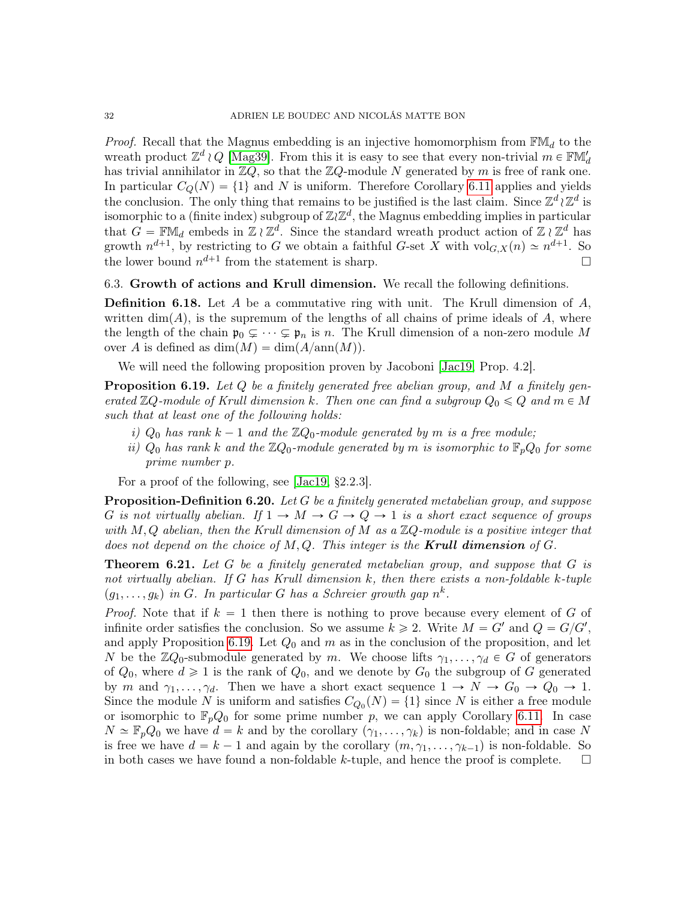*Proof.* Recall that the Magnus embedding is an injective homomorphism from  $\mathbb{F}M_d$  to the wreath product  $\mathbb{Z}^d \wr Q$  [\[Mag39\]](#page-46-21). From this it is easy to see that every non-trivial  $m \in \mathbb{F}M'_d$ has trivial annihilator in  $\mathbb{Z}Q$ , so that the  $\mathbb{Z}Q$ -module N generated by m is free of rank one. In particular  $C_Q(N) = \{1\}$  and N is uniform. Therefore Corollary [6.11](#page-29-4) applies and yields the conclusion. The only thing that remains to be justified is the last claim. Since  $\mathbb{Z}^d \wr \mathbb{Z}^d$  is isomorphic to a (finite index) subgroup of  $\mathbb{Z}/\mathbb{Z}^d$ , the Magnus embedding implies in particular that  $G = \mathbb{F} \mathbb{M}_d$  embeds in  $\mathbb{Z} \wr \mathbb{Z}^d$ . Since the standard wreath product action of  $\mathbb{Z} \wr \mathbb{Z}^d$  has growth  $n^{d+1}$ , by restricting to G we obtain a faithful G-set X with  $\text{vol}_{G,X}(n) \simeq n^{d+1}$ . So the lower bound  $n^{d+1}$  from the statement is sharp.  $\square$ 

<span id="page-31-0"></span>6.3. Growth of actions and Krull dimension. We recall the following definitions.

**Definition 6.18.** Let A be a commutative ring with unit. The Krull dimension of  $A$ , written  $\dim(A)$ , is the supremum of the lengths of all chains of prime ideals of A, where the length of the chain  $\mathfrak{p}_0 \subsetneq \cdots \subsetneq \mathfrak{p}_n$  is n. The Krull dimension of a non-zero module M over A is defined as  $\dim(M) = \dim(A/\text{ann}(M)).$ 

We will need the following proposition proven by Jacoboni [\[Jac19,](#page-46-14) Prop. 4.2].

<span id="page-31-1"></span>**Proposition 6.19.** Let  $Q$  be a finitely generated free abelian group, and  $M$  a finitely generated  $\mathbb{Z}Q$ -module of Krull dimension k. Then one can find a subgroup  $Q_0 \leq Q$  and  $m \in M$ such that at least one of the following holds:

- i)  $Q_0$  has rank  $k 1$  and the  $\mathbb{Z}Q_0$ -module generated by m is a free module;
- ii)  $Q_0$  has rank k and the  $\mathbb{Z}Q_0$ -module generated by m is isomorphic to  $\mathbb{F}_pQ_0$  for some prime number p.

For a proof of the following, see [\[Jac19,](#page-46-14) §2.2.3].

**Proposition-Definition 6.20.** Let  $G$  be a finitely generated metabelian group, and suppose G is not virtually abelian. If  $1 \to M \to G \to Q \to 1$  is a short exact sequence of groups with  $M, Q$  abelian, then the Krull dimension of M as a  $\mathbb{Z}Q$ -module is a positive integer that does not depend on the choice of  $M, Q$ . This integer is the **Krull dimension** of  $G$ .

**Theorem 6.21.** Let  $G$  be a finitely generated metabelian group, and suppose that  $G$  is not virtually abelian. If G has Krull dimension  $k$ , then there exists a non-foldable  $k$ -tuple  $(g_1, \ldots, g_k)$  in G. In particular G has a Schreier growth gap  $n^k$ .

*Proof.* Note that if  $k = 1$  then there is nothing to prove because every element of G of infinite order satisfies the conclusion. So we assume  $k \geq 2$ . Write  $M = G'$  and  $Q = G/G'$ , and apply Proposition [6.19.](#page-31-1) Let  $Q_0$  and m as in the conclusion of the proposition, and let N be the  $\mathbb{Z}Q_0$ -submodule generated by m. We choose lifts  $\gamma_1, \ldots, \gamma_d \in G$  of generators of  $Q_0$ , where  $d \geq 1$  is the rank of  $Q_0$ , and we denote by  $G_0$  the subgroup of G generated by m and  $\gamma_1, \ldots, \gamma_d$ . Then we have a short exact sequence  $1 \to N \to G_0 \to Q_0 \to 1$ . Since the module N is uniform and satisfies  $C_{Q_0}(N) = \{1\}$  since N is either a free module or isomorphic to  $\mathbb{F}_pQ_0$  for some prime number p, we can apply Corollary [6.11.](#page-29-4) In case  $N \simeq \mathbb{F}_p Q_0$  we have  $d = k$  and by the corollary  $(\gamma_1, \ldots, \gamma_k)$  is non-foldable; and in case N is free we have  $d = k - 1$  and again by the corollary  $(m, \gamma_1, \ldots, \gamma_{k-1})$  is non-foldable. So in both cases we have found a non-foldable k-tuple, and hence the proof is complete.  $\Box$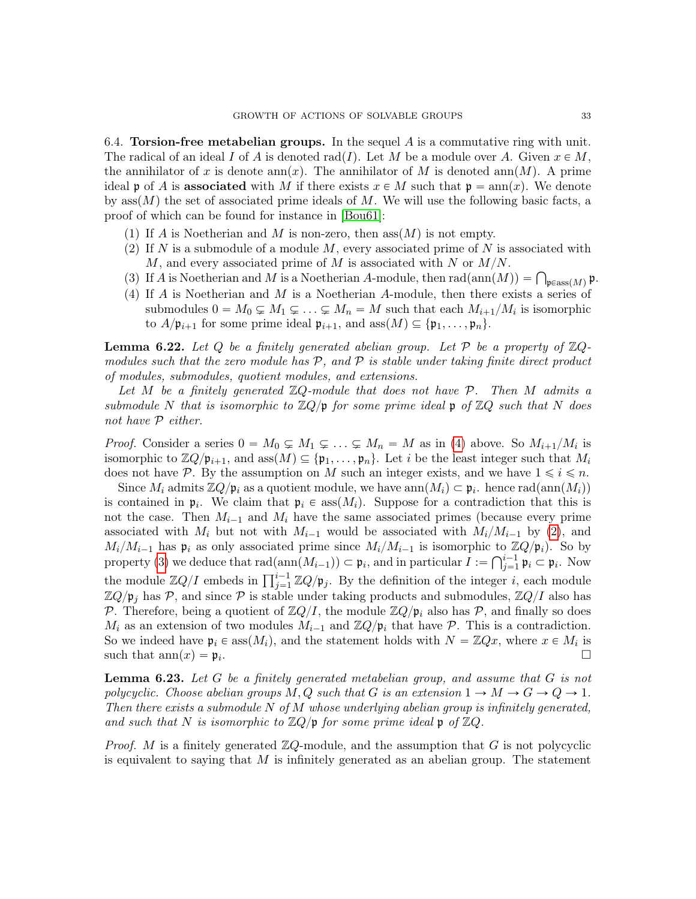<span id="page-32-0"></span>6.4. Torsion-free metabelian groups. In the sequel  $A$  is a commutative ring with unit. The radical of an ideal I of A is denoted rad(I). Let M be a module over A. Given  $x \in M$ , the annihilator of x is denote ann $(x)$ . The annihilator of M is denoted ann $(M)$ . A prime ideal p of A is associated with M if there exists  $x \in M$  such that  $p = ann(x)$ . We denote by ass $(M)$  the set of associated prime ideals of M. We will use the following basic facts, a proof of which can be found for instance in [\[Bou61\]](#page-45-13):

- (1) If A is Noetherian and M is non-zero, then  $\operatorname{ass}(M)$  is not empty.
- <span id="page-32-2"></span>(2) If N is a submodule of a module  $M$ , every associated prime of N is associated with M, and every associated prime of M is associated with N or  $M/N$ .
- <span id="page-32-3"></span>M, and every associated prime of M is associated with N or  $M/N$ .<br>(3) If A is Noetherian and M is a Noetherian A-module, then  $rad(ann(M)) = \bigcap_{\mathfrak{p} \in \text{ass}(M)} \mathfrak{p}$ .
- <span id="page-32-1"></span>(4) If A is Noetherian and M is a Noetherian A-module, then there exists a series of submodules  $0 = M_0 \subsetneq M_1 \subsetneq \ldots \subsetneq M_n = M$  such that each  $M_{i+1}/M_i$  is isomorphic to  $A/\mathfrak{p}_{i+1}$  for some prime ideal  $\mathfrak{p}_{i+1}$ , and  $\operatorname{ass}(M) \subseteq {\mathfrak{p}_1, \ldots, \mathfrak{p}_n}.$

<span id="page-32-4"></span>**Lemma 6.22.** Let Q be a finitely generated abelian group. Let P be a property of  $\mathbb{Z}Q$ modules such that the zero module has  $P$ , and  $P$  is stable under taking finite direct product of modules, submodules, quotient modules, and extensions.

Let M be a finitely generated  $\mathbb{Z}Q$ -module that does not have P. Then M admits a submodule N that is isomorphic to  $\mathbb{Z}Q/\mathfrak{p}$  for some prime ideal  $\mathfrak{p}$  of  $\mathbb{Z}Q$  such that N does not have P either.

*Proof.* Consider a series  $0 = M_0 \subsetneq M_1 \subsetneq \ldots \subsetneq M_n = M$  as in [\(4\)](#page-32-1) above. So  $M_{i+1}/M_i$  is isomorphic to  $\mathbb{Z}Q/\mathfrak{p}_{i+1}$ , and ass $(M) \subseteq {\mathfrak{p}_1, \ldots, \mathfrak{p}_n}$ . Let i be the least integer such that  $M_i$ does not have P. By the assumption on M such an integer exists, and we have  $1 \leq i \leq n$ .

Since  $M_i$  admits  $\mathbb{Z}Q/\mathfrak{p}_i$  as a quotient module, we have  $ann(M_i) \subset \mathfrak{p}_i$ . hence  $rad(ann(M_i))$ is contained in  $\mathfrak{p}_i$ . We claim that  $\mathfrak{p}_i \in \text{ass}(M_i)$ . Suppose for a contradiction that this is not the case. Then  $M_{i-1}$  and  $M_i$  have the same associated primes (because every prime associated with  $M_i$  but not with  $M_{i-1}$  would be associated with  $M_i/M_{i-1}$  by [\(2\)](#page-32-2), and  $M_i/M_{i-1}$  has  $\mathfrak{p}_i$  as only associated prime since  $M_i/M_{i-1}$  is isomorphic to  $\mathbb{Z}Q/\mathfrak{p}_i$ . So by<br>property (3) we deduce that  $\text{rad}(p_1/M_{i-1}) \subset \mathfrak{p}_i$ , and in particular  $I := Q^{i-1} \mathfrak{p}_i \subset \mathfrak{p}_i$ . Now property [\(3\)](#page-32-3) we deduce that  $rad(ann(M_{i-1})) \subset \mathfrak{p}_i$ , and in particular  $I := \bigcap_{j=1}^{i-1} \mathfrak{p}_i \subset \mathfrak{p}_i$ . Now property (3) we detailed that radiating  $(M_{i-1}) \subseteq \mathfrak{p}_i$ , and in particular  $T := \prod_{j=1}^i \mathfrak{p}_i \subseteq \mathfrak{p}_i$ . Now the module  $\mathbb{Z}Q/I$  embeds in  $\prod_{j=1}^{i-1} \mathbb{Z}Q/\mathfrak{p}_j$ . By the definition of the integer i, each mo  $\mathbb{Z}Q/\mathfrak{p}_i$  has P, and since P is stable under taking products and submodules,  $\mathbb{Z}Q/I$  also has P. Therefore, being a quotient of  $\mathbb{Z}Q/I$ , the module  $\mathbb{Z}Q/\mathfrak{p}_i$  also has P, and finally so does  $M_i$  as an extension of two modules  $M_{i-1}$  and  $\mathbb{Z}Q/\mathfrak{p}_i$  that have P. This is a contradiction. So we indeed have  $\mathfrak{p}_i \in \text{ass}(M_i)$ , and the statement holds with  $N = \mathbb{Z}Qx$ , where  $x \in M_i$  is such that  $\text{ann}(x) = \mathfrak{p}_i$ . .

<span id="page-32-5"></span>**Lemma 6.23.** Let G be a finitely generated metabelian group, and assume that  $G$  is not polycyclic. Choose abelian groups  $M, Q$  such that G is an extension  $1 \to M \to G \to Q \to 1$ . Then there exists a submodule  $N$  of  $M$  whose underlying abelian group is infinitely generated, and such that N is isomorphic to  $\mathbb{Z}Q$ / $\mathfrak{p}$  for some prime ideal  $\mathfrak{p}$  of  $\mathbb{Z}Q$ .

*Proof.* M is a finitely generated  $\mathbb{Z}Q$ -module, and the assumption that G is not polycyclic is equivalent to saying that  $M$  is infinitely generated as an abelian group. The statement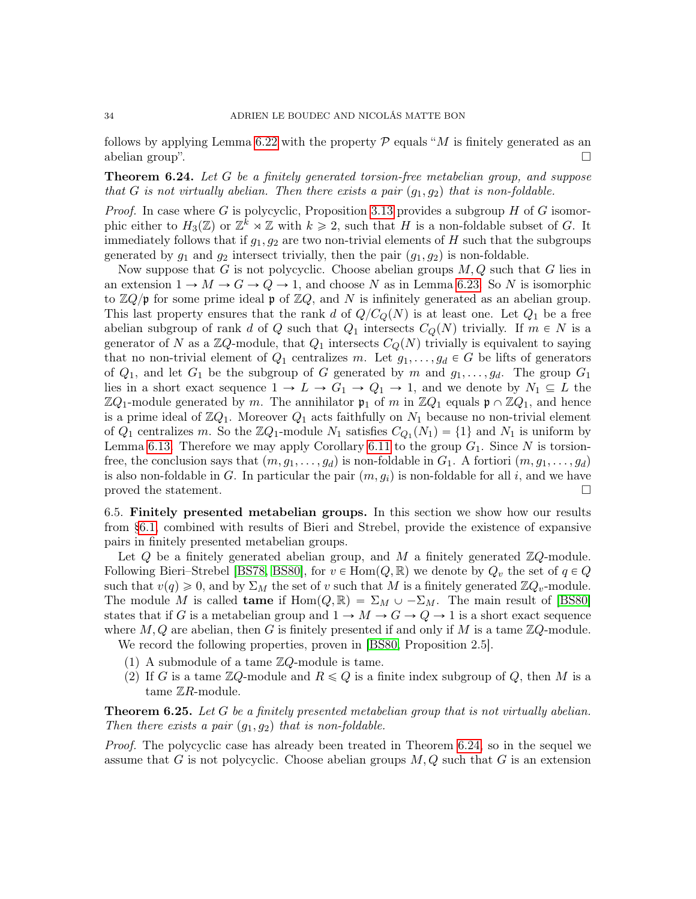follows by applying Lemma [6.22](#page-32-4) with the property  $P$  equals "M is finitely generated as an abelian group".  $\Box$ 

<span id="page-33-0"></span>**Theorem 6.24.** Let G be a finitely generated torsion-free metabelian group, and suppose that G is not virtually abelian. Then there exists a pair  $(g_1, g_2)$  that is non-foldable.

*Proof.* In case where G is polycyclic, Proposition [3.13](#page-18-3) provides a subgroup H of G isomorphic either to  $H_3(\mathbb{Z})$  or  $\mathbb{Z}^k \rtimes \mathbb{Z}$  with  $k \geq 2$ , such that H is a non-foldable subset of G. It immediately follows that if  $g_1, g_2$  are two non-trivial elements of H such that the subgroups generated by  $g_1$  and  $g_2$  intersect trivially, then the pair  $(g_1, g_2)$  is non-foldable.

Now suppose that G is not polycyclic. Choose abelian groups  $M, Q$  such that G lies in an extension  $1 \rightarrow M \rightarrow G \rightarrow Q \rightarrow 1$ , and choose N as in Lemma [6.23.](#page-32-5) So N is isomorphic to  $\mathbb{Z}Q/\mathfrak{p}$  for some prime ideal  $\mathfrak{p}$  of  $\mathbb{Z}Q$ , and N is infinitely generated as an abelian group. This last property ensures that the rank d of  $Q/C_Q(N)$  is at least one. Let  $Q_1$  be a free abelian subgroup of rank d of Q such that  $Q_1$  intersects  $C_Q(N)$  trivially. If  $m \in N$  is a generator of N as a  $\mathbb{Z}Q$ -module, that  $Q_1$  intersects  $C_Q(N)$  trivially is equivalent to saying that no non-trivial element of  $Q_1$  centralizes m. Let  $g_1, \ldots, g_d \in G$  be lifts of generators of  $Q_1$ , and let  $G_1$  be the subgroup of G generated by m and  $g_1, \ldots, g_d$ . The group  $G_1$ lies in a short exact sequence  $1 \to L \to G_1 \to Q_1 \to 1$ , and we denote by  $N_1 \subseteq L$  the  $\mathbb{Z}Q_1$ -module generated by m. The annihilator  $\mathfrak{p}_1$  of m in  $\mathbb{Z}Q_1$  equals  $\mathfrak{p} \cap \mathbb{Z}Q_1$ , and hence is a prime ideal of  $\mathbb{Z}Q_1$ . Moreover  $Q_1$  acts faithfully on  $N_1$  because no non-trivial element of  $Q_1$  centralizes m. So the  $\mathbb{Z}Q_1$ -module  $N_1$  satisfies  $C_{Q_1}(N_1) = \{1\}$  and  $N_1$  is uniform by Lemma [6.13.](#page-29-1) Therefore we may apply Corollary [6.11](#page-29-4) to the group  $G_1$ . Since N is torsionfree, the conclusion says that  $(m, g_1, \ldots, g_d)$  is non-foldable in  $G_1$ . A fortiori  $(m, g_1, \ldots, g_d)$ is also non-foldable in G. In particular the pair  $(m, g_i)$  is non-foldable for all i, and we have proved the statement.  $\Box$ 

6.5. Finitely presented metabelian groups. In this section we show how our results from [§6.1,](#page-26-4) combined with results of Bieri and Strebel, provide the existence of expansive pairs in finitely presented metabelian groups.

Let  $Q$  be a finitely generated abelian group, and M a finitely generated  $\mathbb{Z}Q$ -module. Following Bieri–Strebel [\[BS78,](#page-45-14) [BS80\]](#page-45-15), for  $v \in \text{Hom}(Q, \mathbb{R})$  we denote by  $Q_v$  the set of  $q \in Q$ such that  $v(q) \geq 0$ , and by  $\Sigma_M$  the set of v such that M is a finitely generated  $\mathbb{Z}Q_v$ -module. The module M is called **tame** if  $\text{Hom}(Q, \mathbb{R}) = \Sigma_M \cup -\Sigma_M$ . The main result of [\[BS80\]](#page-45-15) states that if G is a metabelian group and  $1 \rightarrow M \rightarrow G \rightarrow Q \rightarrow 1$  is a short exact sequence where  $M, Q$  are abelian, then G is finitely presented if and only if M is a tame  $\mathbb{Z}Q$ -module.

<span id="page-33-1"></span>We record the following properties, proven in [\[BS80,](#page-45-15) Proposition 2.5].

- (1) A submodule of a tame  $\mathbb{Z}Q$ -module is tame.
- <span id="page-33-2"></span>(2) If G is a tame  $\mathbb{Z}Q$ -module and  $R \leq Q$  is a finite index subgroup of Q, then M is a tame  $\mathbb{Z}R$ -module.

<span id="page-33-3"></span>**Theorem 6.25.** Let  $G$  be a finitely presented metabelian group that is not virtually abelian. Then there exists a pair  $(g_1, g_2)$  that is non-foldable.

Proof. The polycyclic case has already been treated in Theorem [6.24,](#page-33-0) so in the sequel we assume that G is not polycyclic. Choose abelian groups  $M, Q$  such that G is an extension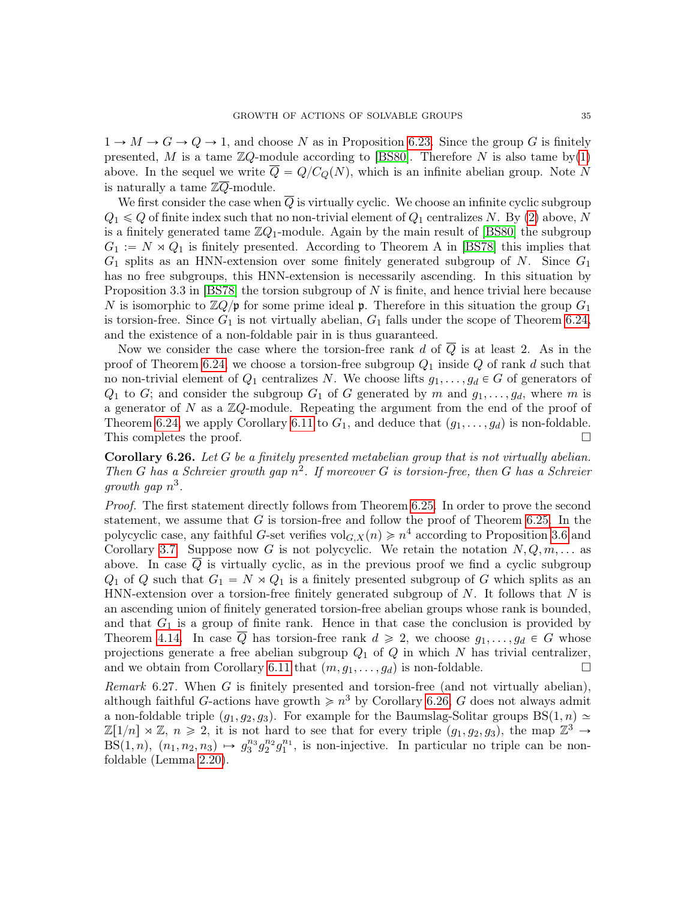$1 \rightarrow M \rightarrow G \rightarrow Q \rightarrow 1$ , and choose N as in Proposition [6.23.](#page-32-5) Since the group G is finitely presented, M is a tame  $\mathbb{Z}Q$ -module according to [\[BS80\]](#page-45-15). Therefore N is also tame by[\(1\)](#page-33-1) above. In the sequel we write  $\overline{Q} = Q/C_Q(N)$ , which is an infinite abelian group. Note N is naturally a tame  $\mathbb{Z}\overline{Q}$ -module.

We first consider the case when  $Q$  is virtually cyclic. We choose an infinite cyclic subgroup  $Q_1 \leq Q$  of finite index such that no non-trivial element of  $Q_1$  centralizes N. By [\(2\)](#page-33-2) above, N is a finitely generated tame  $\mathbb{Z}Q_1$ -module. Again by the main result of [\[BS80\]](#page-45-15) the subgroup  $G_1 := N \rtimes Q_1$  is finitely presented. According to Theorem A in [\[BS78\]](#page-45-14) this implies that  $G_1$  splits as an HNN-extension over some finitely generated subgroup of N. Since  $G_1$ has no free subgroups, this HNN-extension is necessarily ascending. In this situation by Proposition 3.3 in [\[BS78\]](#page-45-14) the torsion subgroup of N is finite, and hence trivial here because N is isomorphic to  $\mathbb{Z}Q/\mathfrak{p}$  for some prime ideal p. Therefore in this situation the group  $G_1$ is torsion-free. Since  $G_1$  is not virtually abelian,  $G_1$  falls under the scope of Theorem [6.24,](#page-33-0) and the existence of a non-foldable pair in is thus guaranteed.

Now we consider the case where the torsion-free rank d of  $\overline{Q}$  is at least 2. As in the proof of Theorem [6.24,](#page-33-0) we choose a torsion-free subgroup  $Q_1$  inside Q of rank d such that no non-trivial element of  $Q_1$  centralizes N. We choose lifts  $g_1, \ldots, g_d \in G$  of generators of  $Q_1$  to G; and consider the subgroup  $G_1$  of G generated by m and  $g_1, \ldots, g_d$ , where m is a generator of  $N$  as a  $\mathbb{Z}Q$ -module. Repeating the argument from the end of the proof of Theorem [6.24,](#page-33-0) we apply Corollary [6.11](#page-29-4) to  $G_1$ , and deduce that  $(g_1, \ldots, g_d)$  is non-foldable. This completes the proof.  $\Box$ 

<span id="page-34-0"></span>Corollary 6.26. Let G be a finitely presented metabelian group that is not virtually abelian. Then G has a Schreier growth gap  $n^2$ . If moreover G is torsion-free, then G has a Schreier growth gap  $n^3$ .

Proof. The first statement directly follows from Theorem [6.25.](#page-33-3) In order to prove the second statement, we assume that  $G$  is torsion-free and follow the proof of Theorem [6.25.](#page-33-3) In the polycyclic case, any faithful G-set verifies  $\text{vol}_{G,X}(n) \geq n^4$  according to Proposition [3.6](#page-16-3) and Corollary [3.7.](#page-16-0) Suppose now G is not polycyclic. We retain the notation  $N, Q, m, \ldots$  as above. In case Q is virtually cyclic, as in the previous proof we find a cyclic subgroup  $Q_1$  of Q such that  $G_1 = N \times Q_1$  is a finitely presented subgroup of G which splits as an HNN-extension over a torsion-free finitely generated subgroup of  $N$ . It follows that  $N$  is an ascending union of finitely generated torsion-free abelian groups whose rank is bounded, and that  $G_1$  is a group of finite rank. Hence in that case the conclusion is provided by Theorem [4.14.](#page-24-0) In case  $\overline{Q}$  has torsion-free rank  $d \geq 2$ , we choose  $g_1, \ldots, g_d \in G$  whose projections generate a free abelian subgroup  $Q_1$  of  $Q$  in which N has trivial centralizer, and we obtain from Corollary [6.11](#page-29-4) that  $(m, g_1, \ldots, g_d)$  is non-foldable.

Remark 6.27. When  $G$  is finitely presented and torsion-free (and not virtually abelian), although faithful G-actions have growth  $\geq n^3$  by Corollary [6.26,](#page-34-0) G does not always admit a non-foldable triple  $(g_1, g_2, g_3)$ . For example for the Baumslag-Solitar groups BS $(1, n) \simeq$  $\mathbb{Z}[1/n] \rtimes \mathbb{Z}, n \geq 2$ , it is not hard to see that for every triple  $(g_1, g_2, g_3)$ , the map  $\mathbb{Z}^3 \to$  $BS(1, n)$ ,  $(n_1, n_2, n_3) \mapsto g_3^{n_3} g_2^{n_2} g_1^{n_1}$ , is non-injective. In particular no triple can be nonfoldable (Lemma [2.20\)](#page-13-1).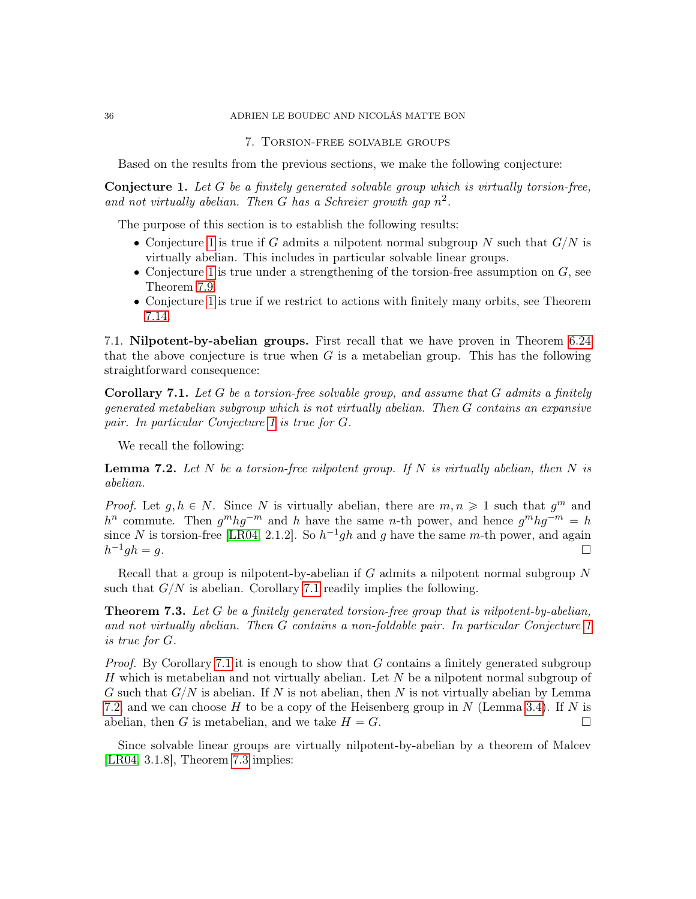### 36 ADRIEN LE BOUDEC AND NICOLÁS MATTE BON

#### 7. Torsion-free solvable groups

Based on the results from the previous sections, we make the following conjecture:

<span id="page-35-0"></span>**Conjecture 1.** Let  $G$  be a finitely generated solvable group which is virtually torsion-free, and not virtually abelian. Then G has a Schreier growth gap  $n^2$ .

The purpose of this section is to establish the following results:

- Conjecture [1](#page-35-0) is true if G admits a nilpotent normal subgroup N such that  $G/N$  is virtually abelian. This includes in particular solvable linear groups.
- $\bullet$  Conjecture [1](#page-35-0) is true under a strengthening of the torsion-free assumption on  $G$ , see Theorem [7.9.](#page-37-1)
- ' Conjecture [1](#page-35-0) is true if we restrict to actions with finitely many orbits, see Theorem [7.14.](#page-38-0)

7.1. Nilpotent-by-abelian groups. First recall that we have proven in Theorem [6.24](#page-33-0) that the above conjecture is true when  $G$  is a metabelian group. This has the following straightforward consequence:

<span id="page-35-1"></span>**Corollary 7.1.** Let G be a torsion-free solvable group, and assume that G admits a finitely generated metabelian subgroup which is not virtually abelian. Then G contains an expansive pair. In particular Conjecture [1](#page-35-0) is true for G.

We recall the following:

<span id="page-35-2"></span>**Lemma 7.2.** Let N be a torsion-free nilpotent group. If N is virtually abelian, then N is abelian.

*Proof.* Let  $g, h \in N$ . Since N is virtually abelian, there are  $m, n \geq 1$  such that  $g^m$  and  $h^n$  commute. Then  $g^m h g^{-m}$  and h have the same n-th power, and hence  $g^m h g^{-m} = h$ since N is torsion-free [\[LR04,](#page-46-15) 2.1.2]. So  $h^{-1}gh$  and g have the same m-th power, and again  $h^{-1}$  $gh = g.$ 

Recall that a group is nilpotent-by-abelian if  $G$  admits a nilpotent normal subgroup  $N$ such that  $G/N$  is abelian. Corollary [7.1](#page-35-1) readily implies the following.

<span id="page-35-3"></span>**Theorem 7.3.** Let G be a finitely generated torsion-free group that is nilpotent-by-abelian, and not virtually abelian. Then G contains a non-foldable pair. In particular Conjecture [1](#page-35-0) is true for G.

*Proof.* By Corollary [7.1](#page-35-1) it is enough to show that G contains a finitely generated subgroup H which is metabelian and not virtually abelian. Let  $N$  be a nilpotent normal subgroup of G such that  $G/N$  is abelian. If N is not abelian, then N is not virtually abelian by Lemma [7.2,](#page-35-2) and we can choose H to be a copy of the Heisenberg group in N (Lemma [3.4\)](#page-16-1). If N is abelian, then G is metabelian, and we take  $H = G$ .

Since solvable linear groups are virtually nilpotent-by-abelian by a theorem of Malcev [\[LR04,](#page-46-15) 3.1.8], Theorem [7.3](#page-35-3) implies: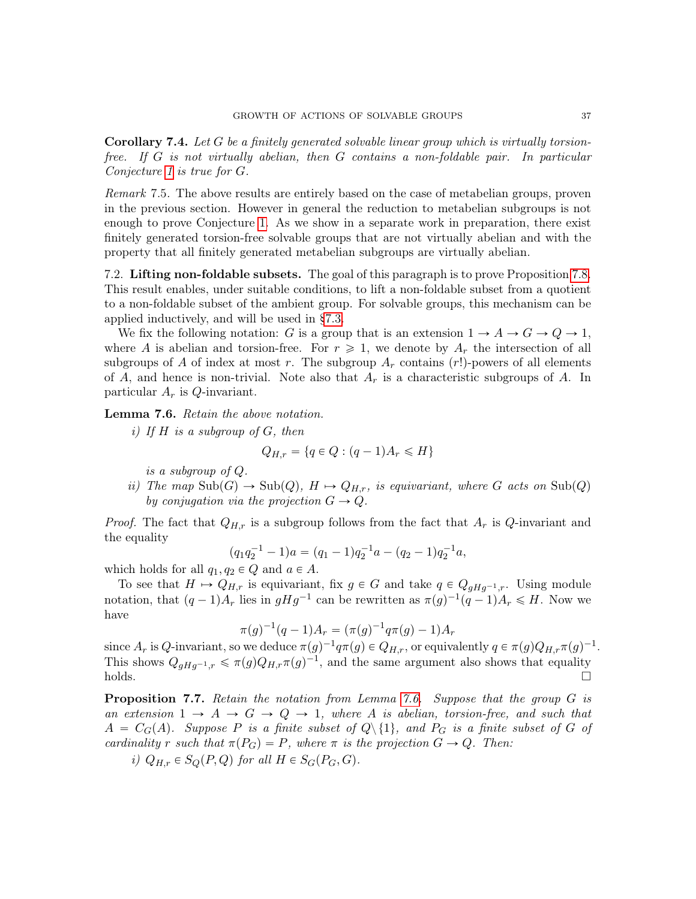Corollary 7.4. Let G be a finitely generated solvable linear group which is virtually torsionfree. If G is not virtually abelian, then G contains a non-foldable pair. In particular Conjecture [1](#page-35-0) is true for G.

Remark 7.5. The above results are entirely based on the case of metabelian groups, proven in the previous section. However in general the reduction to metabelian subgroups is not enough to prove Conjecture [1.](#page-35-0) As we show in a separate work in preparation, there exist finitely generated torsion-free solvable groups that are not virtually abelian and with the property that all finitely generated metabelian subgroups are virtually abelian.

<span id="page-36-0"></span>7.2. Lifting non-foldable subsets. The goal of this paragraph is to prove Proposition [7.8.](#page-37-2) This result enables, under suitable conditions, to lift a non-foldable subset from a quotient to a non-foldable subset of the ambient group. For solvable groups, this mechanism can be applied inductively, and will be used in [§7.3.](#page-37-0)

We fix the following notation: G is a group that is an extension  $1 \to A \to G \to Q \to 1$ , where A is abelian and torsion-free. For  $r \geq 1$ , we denote by  $A_r$  the intersection of all subgroups of A of index at most r. The subgroup  $A_r$  contains (r!)-powers of all elements of A, and hence is non-trivial. Note also that  $A_r$  is a characteristic subgroups of A. In particular  $A_r$  is *Q*-invariant.

<span id="page-36-1"></span>Lemma 7.6. Retain the above notation.

i) If  $H$  is a subgroup of  $G$ , then

$$
Q_{H,r} = \{q \in Q : (q-1)A_r \leq H\}
$$

is a subgroup of Q.

ii) The map  $\text{Sub}(G) \to \text{Sub}(Q)$ ,  $H \mapsto Q_{H,r}$ , is equivariant, where G acts on  $\text{Sub}(Q)$ by conjugation via the projection  $G \to Q$ .

*Proof.* The fact that  $Q_{H,r}$  is a subgroup follows from the fact that  $A_r$  is Q-invariant and the equality

$$
(q_1q_2^{-1} - 1)a = (q_1 - 1)q_2^{-1}a - (q_2 - 1)q_2^{-1}a,
$$

which holds for all  $q_1, q_2 \in Q$  and  $a \in A$ .

To see that  $H \mapsto Q_{H,r}$  is equivariant, fix  $g \in G$  and take  $q \in Q_{qHq^{-1},r}$ . Using module notation, that  $(q-1)A_r$  lies in  $gHg^{-1}$  can be rewritten as  $\pi(g)^{-1}(q-1)A_r \leq H$ . Now we have

$$
\pi(g)^{-1}(q-1)A_r = (\pi(g)^{-1}q\pi(g) - 1)A_r
$$

since  $A_r$  is Q-invariant, so we deduce  $\pi(g)^{-1}q\pi(g) \in Q_{H,r}$ , or equivalently  $q \in \pi(g)Q_{H,r}\pi(g)^{-1}$ . This shows  $Q_{gHg^{-1},r} \leq \pi(g)Q_{H,r}\pi(g)^{-1}$ , and the same argument also shows that equality  $holds.$ 

<span id="page-36-2"></span>Proposition 7.7. Retain the notation from Lemma [7.6.](#page-36-1) Suppose that the group G is an extension  $1 \rightarrow A \rightarrow G \rightarrow Q \rightarrow 1$ , where A is abelian, torsion-free, and such that  $A = C_G(A)$ . Suppose P is a finite subset of  $Q \setminus \{1\}$ , and  $P_G$  is a finite subset of G of cardinality r such that  $\pi(P_G) = P$ , where  $\pi$  is the projection  $G \to Q$ . Then:

i) 
$$
Q_{H,r} \in S_Q(P,Q)
$$
 for all  $H \in S_G(P_G,G)$ .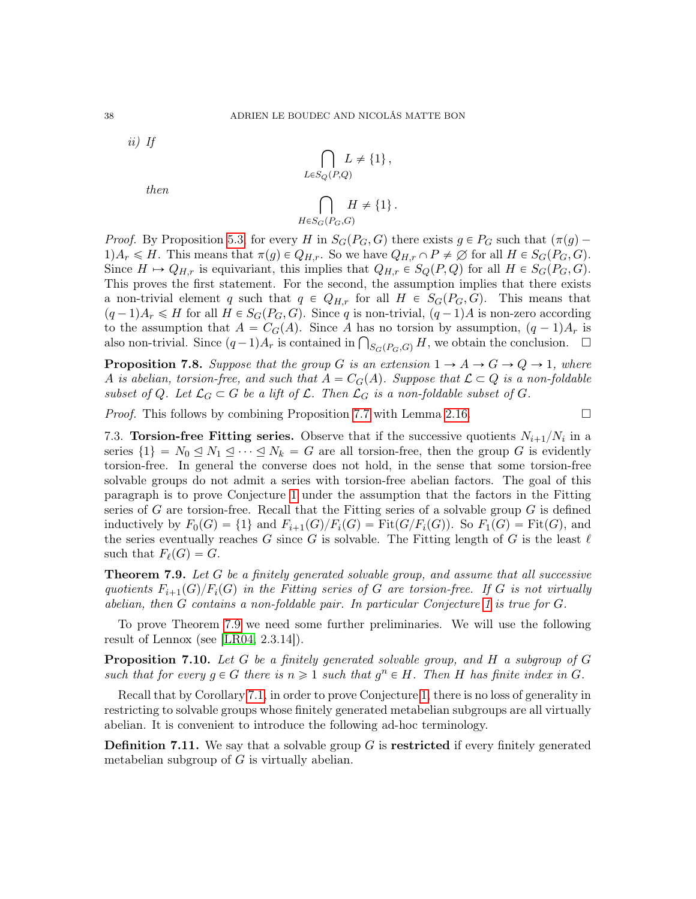ii) If

then

$$
\bigcap_{L \in S_Q(P,Q)} L \neq \{1\},
$$
  

$$
\bigcap_{H \in S_G(P_G,G)} H \neq \{1\}.
$$

*Proof.* By Proposition [5.3,](#page-25-3) for every H in  $S_G(P_G, G)$  there exists  $g \in P_G$  such that  $(\pi(g) 1)A_r \leq H$ . This means that  $\pi(g) \in Q_{H,r}$ . So we have  $Q_{H,r} \cap P \neq \emptyset$  for all  $H \in S_G(P_G, G)$ . Since  $H \mapsto Q_{H,r}$  is equivariant, this implies that  $Q_{H,r} \in S_Q(P,Q)$  for all  $H \in S_G(P_G, G)$ . This proves the first statement. For the second, the assumption implies that there exists a non-trivial element q such that  $q \in Q_{H,r}$  for all  $H \in S_G(P_G, G)$ . This means that  $(q-1)A_r \leq H$  for all  $H \in S_G(P_G, G)$ . Since q is non-trivial,  $(q-1)A$  is non-zero according to the assumption that  $A = C_G(A)$ . Since A has no torsion by assumption,  $(q - 1)A_r$  is to the assumption that  $A = C_G(A)$ . Since A has no torsion by assumption,  $(q-1)A_r$  is also non-trivial. Since  $(q-1)A_r$  is contained in  $\bigcap_{S_G(P_G,G)} H$ , we obtain the conclusion.  $\Box$ 

<span id="page-37-2"></span>**Proposition 7.8.** Suppose that the group G is an extension  $1 \rightarrow A \rightarrow G \rightarrow Q \rightarrow 1$ , where A is abelian, torsion-free, and such that  $A = C<sub>G</sub>(A)$ . Suppose that  $\mathcal{L} \subset Q$  is a non-foldable subset of Q. Let  $\mathcal{L}_G \subset G$  be a lift of  $\mathcal{L}$ . Then  $\mathcal{L}_G$  is a non-foldable subset of G.

*Proof.* This follows by combining Proposition [7.7](#page-36-2) with Lemma [2.16.](#page-12-3)

<span id="page-37-0"></span>7.3. Torsion-free Fitting series. Observe that if the successive quotients  $N_{i+1}/N_i$  in a series  $\{1\} = N_0 \leq N_1 \leq \cdots \leq N_k = G$  are all torsion-free, then the group G is evidently torsion-free. In general the converse does not hold, in the sense that some torsion-free solvable groups do not admit a series with torsion-free abelian factors. The goal of this paragraph is to prove Conjecture [1](#page-35-0) under the assumption that the factors in the Fitting series of G are torsion-free. Recall that the Fitting series of a solvable group  $G$  is defined inductively by  $F_0(G) = \{1\}$  and  $F_{i+1}(G)/F_i(G) = \text{Fit}(G/F_i(G))$ . So  $F_1(G) = \text{Fit}(G)$ , and the series eventually reaches G since G is solvable. The Fitting length of G is the least  $\ell$ such that  $F_{\ell}(G) = G$ .

<span id="page-37-1"></span>**Theorem 7.9.** Let G be a finitely generated solvable group, and assume that all successive quotients  $F_{i+1}(G)/F_i(G)$  in the Fitting series of G are torsion-free. If G is not virtually abelian, then G contains a non-foldable pair. In particular Conjecture [1](#page-35-0) is true for G.

To prove Theorem [7.9](#page-37-1) we need some further preliminaries. We will use the following result of Lennox (see [\[LR04,](#page-46-15) 2.3.14]).

<span id="page-37-3"></span>**Proposition 7.10.** Let G be a finitely generated solvable group, and H a subgroup of G such that for every  $g \in G$  there is  $n \geq 1$  such that  $g^n \in H$ . Then H has finite index in G.

Recall that by Corollary [7.1,](#page-35-1) in order to prove Conjecture [1,](#page-35-0) there is no loss of generality in restricting to solvable groups whose finitely generated metabelian subgroups are all virtually abelian. It is convenient to introduce the following ad-hoc terminology.

**Definition 7.11.** We say that a solvable group  $G$  is restricted if every finitely generated metabelian subgroup of  $G$  is virtually abelian.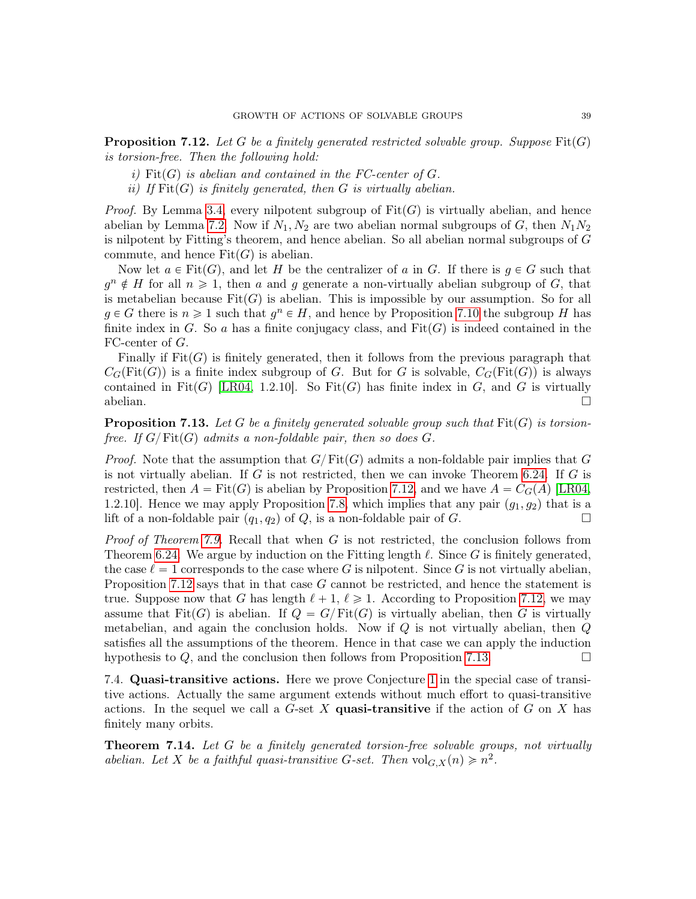<span id="page-38-1"></span>**Proposition 7.12.** Let G be a finitely generated restricted solvable group. Suppose  $Fit(G)$ is torsion-free. Then the following hold:

- i) Fit(G) is abelian and contained in the FC-center of  $G$ .
- ii) If  $\text{Fit}(G)$  is finitely generated, then G is virtually abelian.

*Proof.* By Lemma [3.4,](#page-16-1) every nilpotent subgroup of  $Fit(G)$  is virtually abelian, and hence abelian by Lemma [7.2.](#page-35-2) Now if  $N_1, N_2$  are two abelian normal subgroups of G, then  $N_1N_2$ is nilpotent by Fitting's theorem, and hence abelian. So all abelian normal subgroups of G commute, and hence  $Fit(G)$  is abelian.

Now let  $a \in \text{Fit}(G)$ , and let H be the centralizer of a in G. If there is  $q \in G$  such that  $g^n \notin H$  for all  $n \geq 1$ , then a and g generate a non-virtually abelian subgroup of G, that is metabelian because  $\text{Fit}(G)$  is abelian. This is impossible by our assumption. So for all  $g \in G$  there is  $n \geq 1$  such that  $g^n \in H$ , and hence by Proposition [7.10](#page-37-3) the subgroup H has finite index in G. So a has a finite conjugacy class, and  $Fit(G)$  is indeed contained in the FC-center of G.

Finally if  $Fit(G)$  is finitely generated, then it follows from the previous paragraph that  $C_G(\text{Fit}(G))$  is a finite index subgroup of G. But for G is solvable,  $C_G(\text{Fit}(G))$  is always contained in Fit $(G)$  [\[LR04,](#page-46-15) 1.2.10]. So Fit $(G)$  has finite index in G, and G is virtually  $\Box$ abelian.  $\Box$ 

<span id="page-38-2"></span>**Proposition 7.13.** Let G be a finitely generated solvable group such that  $\text{Fit}(G)$  is torsionfree. If  $G/\text{Fit}(G)$  admits a non-foldable pair, then so does G.

*Proof.* Note that the assumption that  $G/Fit(G)$  admits a non-foldable pair implies that G is not virtually abelian. If  $G$  is not restricted, then we can invoke Theorem [6.24.](#page-33-0) If  $G$  is restricted, then  $A = \text{Fit}(G)$  is abelian by Proposition [7.12,](#page-38-1) and we have  $A = C_G(A)$  [\[LR04,](#page-46-15) 1.2.10]. Hence we may apply Proposition [7.8,](#page-37-2) which implies that any pair  $(g_1, g_2)$  that is a lift of a non-foldable pair  $(q_1, q_2)$  of Q, is a non-foldable pair of G.

*Proof of Theorem [7.9.](#page-37-1)* Recall that when  $G$  is not restricted, the conclusion follows from Theorem [6.24.](#page-33-0) We argue by induction on the Fitting length  $\ell$ . Since G is finitely generated, the case  $\ell = 1$  corresponds to the case where G is nilpotent. Since G is not virtually abelian, Proposition [7.12](#page-38-1) says that in that case G cannot be restricted, and hence the statement is true. Suppose now that G has length  $\ell + 1, \ell \geq 1$ . According to Proposition [7.12,](#page-38-1) we may assume that  $Fit(G)$  is abelian. If  $Q = G/Fit(G)$  is virtually abelian, then G is virtually metabelian, and again the conclusion holds. Now if  $Q$  is not virtually abelian, then  $Q$ satisfies all the assumptions of the theorem. Hence in that case we can apply the induction hypothesis to  $Q$ , and the conclusion then follows from Proposition [7.13.](#page-38-2)

7.4. Quasi-transitive actions. Here we prove Conjecture [1](#page-35-0) in the special case of transitive actions. Actually the same argument extends without much effort to quasi-transitive actions. In the sequel we call a  $G$ -set X quasi-transitive if the action of  $G$  on X has finitely many orbits.

<span id="page-38-0"></span>**Theorem 7.14.** Let G be a finitely generated torsion-free solvable groups, not virtually abelian. Let X be a faithful quasi-transitive G-set. Then  $vol_{G,X}(n) \geq n^2$ .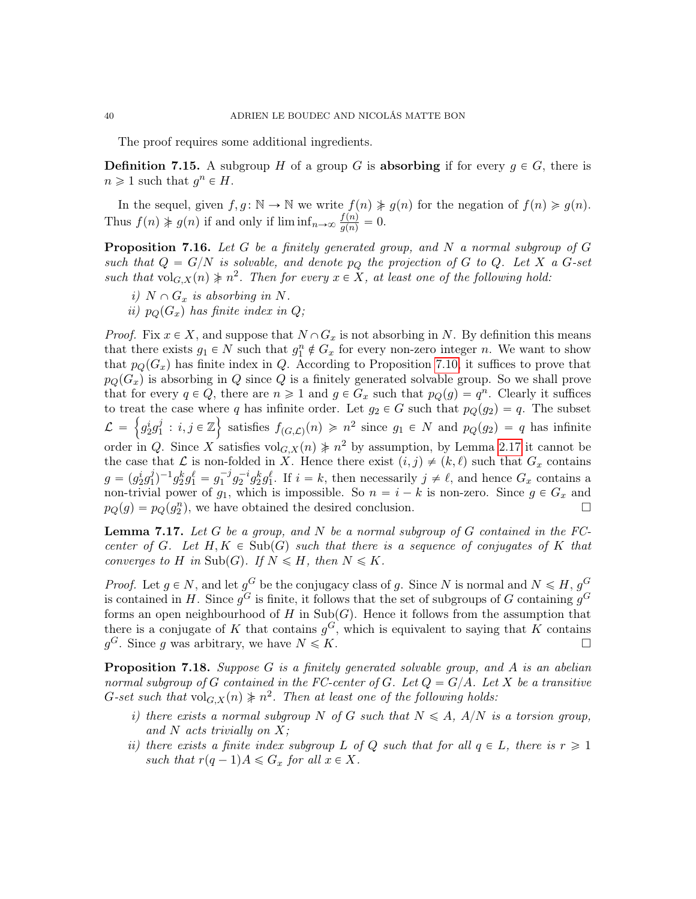The proof requires some additional ingredients.

**Definition 7.15.** A subgroup H of a group G is **absorbing** if for every  $g \in G$ , there is  $n \geq 1$  such that  $g^n \in H$ .

In the sequel, given  $f, g \colon \mathbb{N} \to \mathbb{N}$  we write  $f(n) \neq g(n)$  for the negation of  $f(n) \geq g(n)$ . Thus  $f(n) \not\geq g(n)$  if and only if  $\liminf_{n \to \infty} \frac{f(n)}{g(n)} = 0$ .

<span id="page-39-0"></span>**Proposition 7.16.** Let G be a finitely generated group, and N a normal subgroup of G such that  $Q = G/N$  is solvable, and denote  $p<sub>O</sub>$  the projection of G to Q. Let X a G-set such that  $\mathrm{vol}_{G,X}(n) \neq n^2$ . Then for every  $x \in X$ , at least one of the following hold:

- i)  $N \cap G_x$  is absorbing in N.
- ii)  $p_Q(G_x)$  has finite index in Q;

*Proof.* Fix  $x \in X$ , and suppose that  $N \cap G_x$  is not absorbing in N. By definition this means that there exists  $g_1 \in N$  such that  $g_1^n \notin G_x$  for every non-zero integer n. We want to show that  $p_{\mathcal{O}}(G_x)$  has finite index in Q. According to Proposition [7.10,](#page-37-3) it suffices to prove that  $p_Q(G_x)$  is absorbing in Q since Q is a finitely generated solvable group. So we shall prove that for every  $q \in Q$ , there are  $n \geq 1$  and  $g \in G_x$  such that  $p_Q(g) = q^n$ . Clearly it suffices to treat the case where q has infinite order. Let  $g_2 \in G$  such that  $p_Q(g_2) = q$ . The subset  $\mathcal{L} \ = \ \Big\{ g_2^i g_1^j$  $j : i, j \in \mathbb{Z}$  satisfies  $f_{(G,\mathcal{L})}(n) \geq n^2$  since  $g_1 \in N$  and  $p_Q(g_2) = q$  has infinite order in Q. Since X satisfies  $\text{vol}_{G,X}(n) \neq n^2$  by assumption, by Lemma [2.17](#page-12-0) it cannot be the case that L is non-folded in X. Hence there exist  $(i, j) \neq (k, \ell)$  such that  $G_x$  contains  $g = (g_2^i g_1^j)$  $j_1^{j}$  $-1g_2^kg_1^{\ell} = g_1^{-j}g_2^{-i}g_2^kg_1^{\ell}$ . If  $i = k$ , then necessarily  $j \neq \ell$ , and hence  $G_x$  contains a non-trivial power of  $g_1$ , which is impossible. So  $n = i - k$  is non-zero. Since  $g \in G_x$  and  $p_Q(g) = p_Q(g_2^n)$ , we have obtained the desired conclusion.

<span id="page-39-1"></span>**Lemma 7.17.** Let G be a group, and N be a normal subgroup of G contained in the  $FC$ center of G. Let  $H, K \in Sub(G)$  such that there is a sequence of conjugates of K that converges to H in Sub(G). If  $N \le H$ , then  $N \le K$ .

*Proof.* Let  $g \in N$ , and let  $g^G$  be the conjugacy class of g. Since N is normal and  $N \le H$ ,  $g^G$ is contained in H. Since  $g^G$  is finite, it follows that the set of subgroups of G containing  $g^G$ forms an open neighbourhood of H in  $\text{Sub}(G)$ . Hence it follows from the assumption that there is a conjugate of K that contains  $g^G$ , which is equivalent to saying that K contains  $g^G$ . Since g was arbitrary, we have  $N \leq K$ .

<span id="page-39-2"></span>**Proposition 7.18.** Suppose  $G$  is a finitely generated solvable group, and  $A$  is an abelian normal subgroup of G contained in the FC-center of G. Let  $Q = G/A$ . Let X be a transitive G-set such that  $\mathrm{vol}_{G,X}(n) \nless n^2$ . Then at least one of the following holds:

- i) there exists a normal subgroup N of G such that  $N \leq A$ ,  $A/N$  is a torsion group, and N acts trivially on  $X$ ;
- ii) there exists a finite index subgroup L of Q such that for all  $q \in L$ , there is  $r \geq 1$ such that  $r(q-1)A \leq G_x$  for all  $x \in X$ .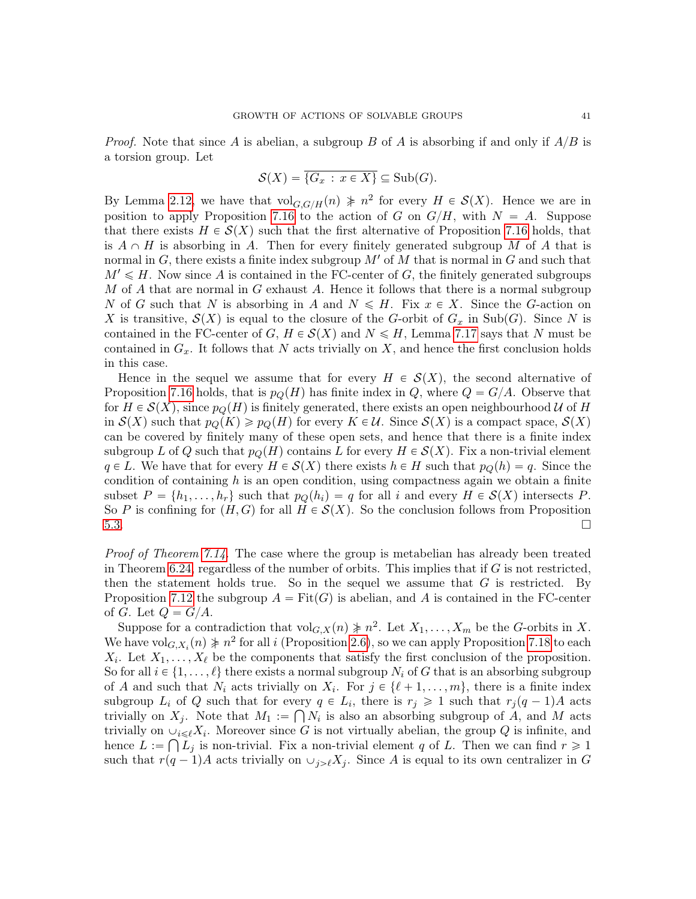*Proof.* Note that since A is abelian, a subgroup B of A is absorbing if and only if  $A/B$  is a torsion group. Let

$$
\mathcal{S}(X) = \overline{\{G_x \,:\, x \in X\}} \subseteq \mathrm{Sub}(G).
$$

By Lemma [2.12,](#page-11-1) we have that  $\text{vol}_{G,G/H}(n) \neq n^2$  for every  $H \in \mathcal{S}(X)$ . Hence we are in position to apply Proposition [7.16](#page-39-0) to the action of G on  $G/H$ , with  $N = A$ . Suppose that there exists  $H \in \mathcal{S}(X)$  such that the first alternative of Proposition [7.16](#page-39-0) holds, that is  $A \cap H$  is absorbing in A. Then for every finitely generated subgroup M of A that is normal in  $G$ , there exists a finite index subgroup  $M'$  of  $M$  that is normal in  $G$  and such that  $M' \leq H$ . Now since A is contained in the FC-center of G, the finitely generated subgroups M of A that are normal in G exhaust A. Hence it follows that there is a normal subgroup N of G such that N is absorbing in A and  $N \leq H$ . Fix  $x \in X$ . Since the G-action on X is transitive,  $\mathcal{S}(X)$  is equal to the closure of the G-orbit of  $G_x$  in Sub(G). Since N is contained in the FC-center of G,  $H \in \mathcal{S}(X)$  and  $N \leq H$ , Lemma [7.17](#page-39-1) says that N must be contained in  $G_x$ . It follows that N acts trivially on X, and hence the first conclusion holds in this case.

Hence in the sequel we assume that for every  $H \in \mathcal{S}(X)$ , the second alternative of Proposition [7.16](#page-39-0) holds, that is  $p_Q(H)$  has finite index in Q, where  $Q = G/A$ . Observe that for  $H \in \mathcal{S}(X)$ , since  $p_{\mathcal{Q}}(H)$  is finitely generated, there exists an open neighbourhood U of H in  $\mathcal{S}(X)$  such that  $p_Q(K) \geqslant p_Q(H)$  for every  $K \in \mathcal{U}$ . Since  $\mathcal{S}(X)$  is a compact space,  $\mathcal{S}(X)$ can be covered by finitely many of these open sets, and hence that there is a finite index subgroup L of Q such that  $p_Q(H)$  contains L for every  $H \in \mathcal{S}(X)$ . Fix a non-trivial element  $q \in L$ . We have that for every  $H \in \mathcal{S}(X)$  there exists  $h \in H$  such that  $p_O(h) = q$ . Since the condition of containing  $h$  is an open condition, using compactness again we obtain a finite subset  $P = \{h_1, \ldots, h_r\}$  such that  $p_Q(h_i) = q$  for all i and every  $H \in \mathcal{S}(X)$  intersects P. So P is confining for  $(H, G)$  for all  $H \in S(X)$ . So the conclusion follows from Proposition [5.3.](#page-25-3)

*Proof of Theorem*  $7.14$ *.* The case where the group is metabelian has already been treated in Theorem [6.24,](#page-33-0) regardless of the number of orbits. This implies that if  $G$  is not restricted, then the statement holds true. So in the sequel we assume that  $G$  is restricted. By Proposition [7.12](#page-38-1) the subgroup  $A = \text{Fit}(G)$  is abelian, and A is contained in the FC-center of G. Let  $Q = G/A$ .

Suppose for a contradiction that  $\mathrm{vol}_{G,X}(n) \neq n^2$ . Let  $X_1, \ldots, X_m$  be the G-orbits in X. We have  $\mathrm{vol}_{G,X_i}(n) \neq n^2$  for all i (Proposition [2.6\)](#page-8-0), so we can apply Proposition [7.18](#page-39-2) to each  $X_i$ . Let  $X_1, \ldots, X_\ell$  be the components that satisfy the first conclusion of the proposition. So for all  $i \in \{1, \ldots, \ell\}$  there exists a normal subgroup  $N_i$  of G that is an absorbing subgroup of A and such that  $N_i$  acts trivially on  $X_i$ . For  $j \in \{\ell + 1, \ldots, m\}$ , there is a finite index subgroup  $L_i$  of Q such that for every  $q \in L_i$ , there is  $r_j \geq 1$  such that  $r_j(q-1)A$  acts trivially on  $X_j$ . Note that  $M_1 := \bigcap N_i$  is also an absorbing subgroup of A, and M acts trivially on  $\cup_{i\leq \ell} X_i$ . Moreover since G is not virtually abelian, the group Q is infinite, and hence  $L := \bigcap L_j$  is non-trivial. Fix a non-trivial element q of L. Then we can find  $r \geq 1$ such that  $r(q-1)A$  acts trivially on  $\cup_{j>\ell}X_j$ . Since A is equal to its own centralizer in G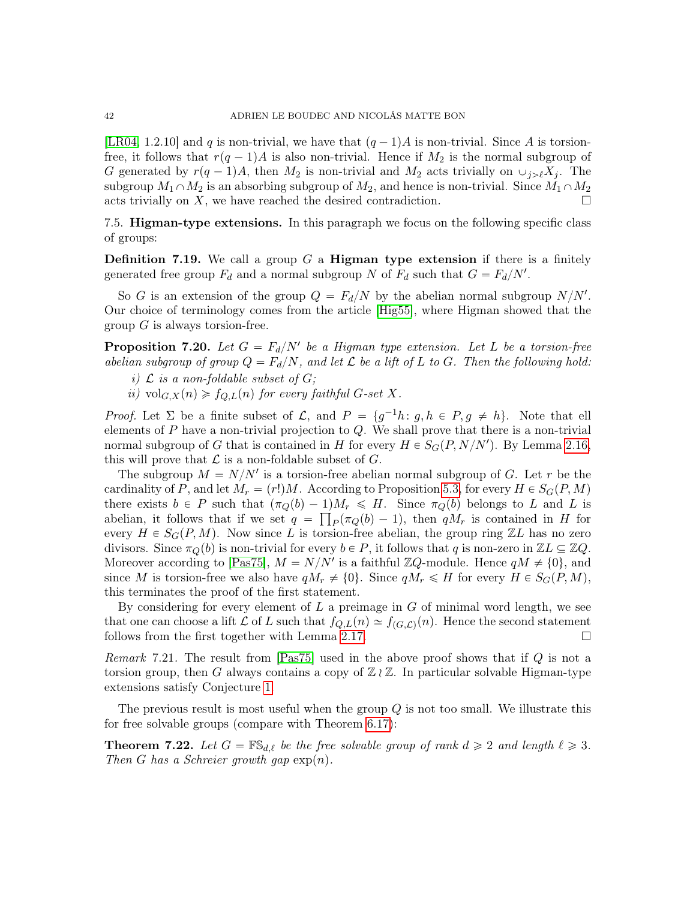[\[LR04,](#page-46-15) 1.2.10] and q is non-trivial, we have that  $(q - 1)A$  is non-trivial. Since A is torsionfree, it follows that  $r(q - 1)A$  is also non-trivial. Hence if  $M_2$  is the normal subgroup of G generated by  $r(q-1)A$ , then  $M_2$  is non-trivial and  $M_2$  acts trivially on  $\cup_{j\geq \ell} X_j$ . The subgroup  $M_1 \cap M_2$  is an absorbing subgroup of  $M_2$ , and hence is non-trivial. Since  $M_1 \cap M_2$ acts trivially on X, we have reached the desired contradiction.  $\Box$ 

7.5. Higman-type extensions. In this paragraph we focus on the following specific class of groups:

**Definition 7.19.** We call a group G a **Higman type extension** if there is a finitely generated free group  $F_d$  and a normal subgroup N of  $F_d$  such that  $G = F_d/N'$ .

So G is an extension of the group  $Q = F_d/N$  by the abelian normal subgroup  $N/N'$ . Our choice of terminology comes from the article [\[Hig55\]](#page-46-22), where Higman showed that the group  $G$  is always torsion-free.

<span id="page-41-1"></span>**Proposition 7.20.** Let  $G = F_d/N'$  be a Higman type extension. Let L be a torsion-free abelian subgroup of group  $Q = F_d/N$ , and let  $\mathcal L$  be a lift of L to G. Then the following hold:

- i)  $\mathcal L$  is a non-foldable subset of  $G$ ;
- ii) vol $_{G,X}(n) \geq f_{Q,L}(n)$  for every faithful G-set X.

*Proof.* Let  $\Sigma$  be a finite subset of  $\mathcal{L}$ , and  $P = \{g^{-1}h: g, h \in P, g \neq h\}$ . Note that ell elements of  $P$  have a non-trivial projection to  $Q$ . We shall prove that there is a non-trivial normal subgroup of G that is contained in H for every  $H \in S_G(P, N/N')$ . By Lemma [2.16,](#page-12-3) this will prove that  $\mathcal L$  is a non-foldable subset of  $G$ .

The subgroup  $M = N/N'$  is a torsion-free abelian normal subgroup of G. Let r be the cardinality of P, and let  $M_r = (r!)M$ . According to Proposition [5.3,](#page-25-3) for every  $H \in S_G(P, M)$ there exists  $b \in P$  such that  $(\pi_Q(b) - 1)M_r \leq H$ . Since  $\pi_Q(b)$  belongs to L and L is abelian, it follows that if we set  $q = \prod_P(\pi_Q(b) - 1)$ , then  $qM_r$  is contained in H for every  $H \in S_G(P, M)$ . Now since L is torsion-free abelian, the group ring ZL has no zero divisors. Since  $\pi_Q(b)$  is non-trivial for every  $b \in P$ , it follows that q is non-zero in  $\mathbb{Z}L \subseteq \mathbb{Z}Q$ . Moreover according to [\[Pas75\]](#page-47-16),  $M = N/N'$  is a faithful ZQ-module. Hence  $qM \neq \{0\}$ , and since M is torsion-free we also have  $qM_r \neq \{0\}$ . Since  $qM_r \leq H$  for every  $H \in S_G(P, M)$ , this terminates the proof of the first statement.

By considering for every element of  $L$  a preimage in  $G$  of minimal word length, we see that one can choose a lift  $\mathcal L$  of L such that  $f_{Q,L}(n) \simeq f_{(G,\mathcal L)}(n)$ . Hence the second statement follows from the first together with Lemma [2.17.](#page-12-0)  $\Box$ 

Remark 7.21. The result from [\[Pas75\]](#page-47-16) used in the above proof shows that if Q is not a torsion group, then G always contains a copy of  $\mathbb{Z} \wr \mathbb{Z}$ . In particular solvable Higman-type extensions satisfy Conjecture [1.](#page-35-0)

The previous result is most useful when the group Q is not too small. We illustrate this for free solvable groups (compare with Theorem [6.17\)](#page-30-0):

<span id="page-41-0"></span>**Theorem 7.22.** Let  $G = \mathbb{FS}_{d,\ell}$  be the free solvable group of rank  $d \geq 2$  and length  $\ell \geq 3$ . Then G has a Schreier growth gap  $\exp(n)$ .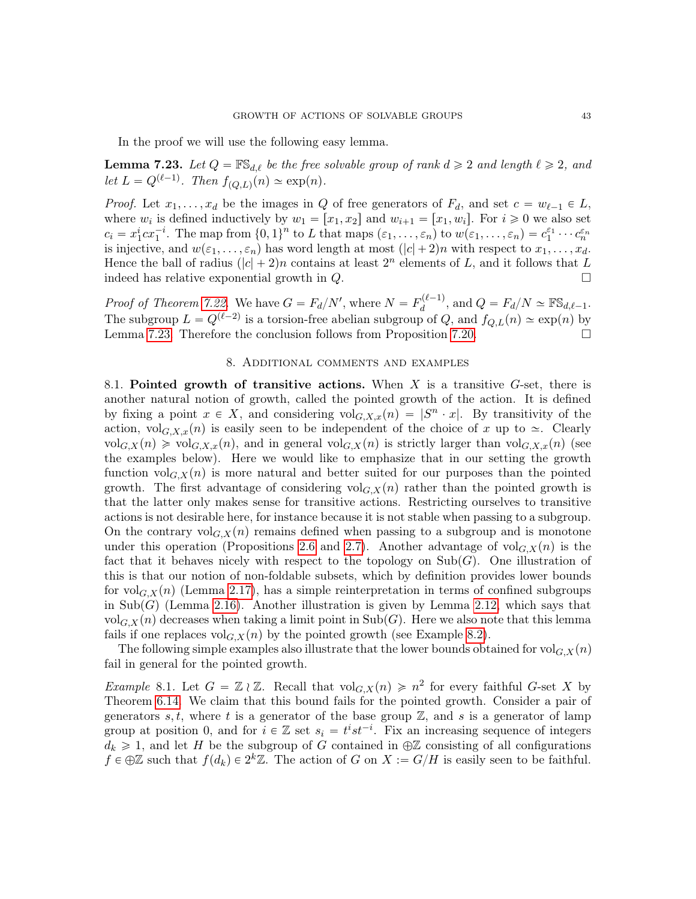In the proof we will use the following easy lemma.

<span id="page-42-0"></span>**Lemma 7.23.** Let  $Q = \mathbb{FS}_{d,\ell}$  be the free solvable group of rank  $d \geq 2$  and length  $\ell \geq 2$ , and let  $L = Q^{(\ell-1)}$ . Then  $f_{(Q,L)}(n) \simeq \exp(n)$ .

*Proof.* Let  $x_1, \ldots, x_d$  be the images in Q of free generators of  $F_d$ , and set  $c = w_{\ell-1} \in L$ , where  $w_i$  is defined inductively by  $w_1 = [x_1, x_2]$  and  $w_{i+1} = [x_1, w_i]$ . For  $i \geq 0$  we also set  $c_i = x_1^i c x_1^{-i}$ . The map from  $\{0,1\}^n$  to L that maps  $(\varepsilon_1,\ldots,\varepsilon_n)$  to  $w(\varepsilon_1,\ldots,\varepsilon_n) = c_1^{\varepsilon_1} \cdots c_n^{\varepsilon_n}$ is injective, and  $w(\varepsilon_1, \ldots, \varepsilon_n)$  has word length at most  $(|c| + 2)n$  with respect to  $x_1, \ldots, x_d$ . Hence the ball of radius  $(|c| + 2)n$  contains at least  $2^n$  elements of L, and it follows that L indeed has relative exponential growth in  $Q$ .

*Proof of Theorem [7.22.](#page-41-0)* We have  $G = F_d/N'$ , where  $N = F_d^{(\ell-1)}$  $\mathcal{A}_d^{(\ell-1)}$ , and  $Q = F_d/N \simeq \mathbb{F} \mathbb{S}_{d,\ell-1}.$ The subgroup  $L = Q^{(\ell-2)}$  is a torsion-free abelian subgroup of Q, and  $f_{Q,L}(n) \simeq \exp(n)$  by Lemma [7.23.](#page-42-0) Therefore the conclusion follows from Proposition [7.20.](#page-41-1)

#### 8. Additional comments and examples

8.1. Pointed growth of transitive actions. When  $X$  is a transitive  $G$ -set, there is another natural notion of growth, called the pointed growth of the action. It is defined by fixing a point  $x \in X$ , and considering  $vol_{G,X,x}(n) = |S^n \cdot x|$ . By transitivity of the action,  $\mathrm{vol}_{G,X,x}(n)$  is easily seen to be independent of the choice of x up to  $\approx$ . Clearly  $vol_{G,X}(n) \geqslant vol_{G,X,x}(n)$ , and in general  $vol_{G,X}(n)$  is strictly larger than  $vol_{G,X,x}(n)$  (see the examples below). Here we would like to emphasize that in our setting the growth function  $\mathrm{vol}_{G,X}(n)$  is more natural and better suited for our purposes than the pointed growth. The first advantage of considering  $\mathrm{vol}_{G,X}(n)$  rather than the pointed growth is that the latter only makes sense for transitive actions. Restricting ourselves to transitive actions is not desirable here, for instance because it is not stable when passing to a subgroup. On the contrary  $\mathrm{vol}_{G,X}(n)$  remains defined when passing to a subgroup and is monotone under this operation (Propositions [2.6](#page-8-0) and [2.7\)](#page-8-1). Another advantage of  $\text{vol}_{G,X}(n)$  is the fact that it behaves nicely with respect to the topology on  $\text{Sub}(G)$ . One illustration of this is that our notion of non-foldable subsets, which by definition provides lower bounds for vol $_{G,X}(n)$  (Lemma [2.17\)](#page-12-0), has a simple reinterpretation in terms of confined subgroups in Sub $(G)$  (Lemma [2.16\)](#page-12-3). Another illustration is given by Lemma [2.12,](#page-11-1) which says that  $\text{vol}_{G,X}(n)$  decreases when taking a limit point in  $\text{Sub}(G)$ . Here we also note that this lemma fails if one replaces  $\mathrm{vol}_{G,X}(n)$  by the pointed growth (see Example [8.2\)](#page-43-0).

The following simple examples also illustrate that the lower bounds obtained for  $\text{vol}_{G,X}(n)$ fail in general for the pointed growth.

*Example* 8.1. Let  $G = \mathbb{Z} \wr \mathbb{Z}$ . Recall that  $\mathrm{vol}_{G,X}(n) \geq n^2$  for every faithful G-set X by Theorem [6.14.](#page-29-3) We claim that this bound fails for the pointed growth. Consider a pair of generators s, t, where t is a generator of the base group  $\mathbb{Z}$ , and s is a generator of lamp group at position 0, and for  $i \in \mathbb{Z}$  set  $s_i = t^i s t^{-i}$ . Fix an increasing sequence of integers  $d_k \geq 1$ , and let H be the subgroup of G contained in  $\bigoplus \mathbb{Z}$  consisting of all configurations  $f \in \bigoplus \mathbb{Z}$  such that  $f(d_k) \in 2^k \mathbb{Z}$ . The action of G on  $X := G/H$  is easily seen to be faithful.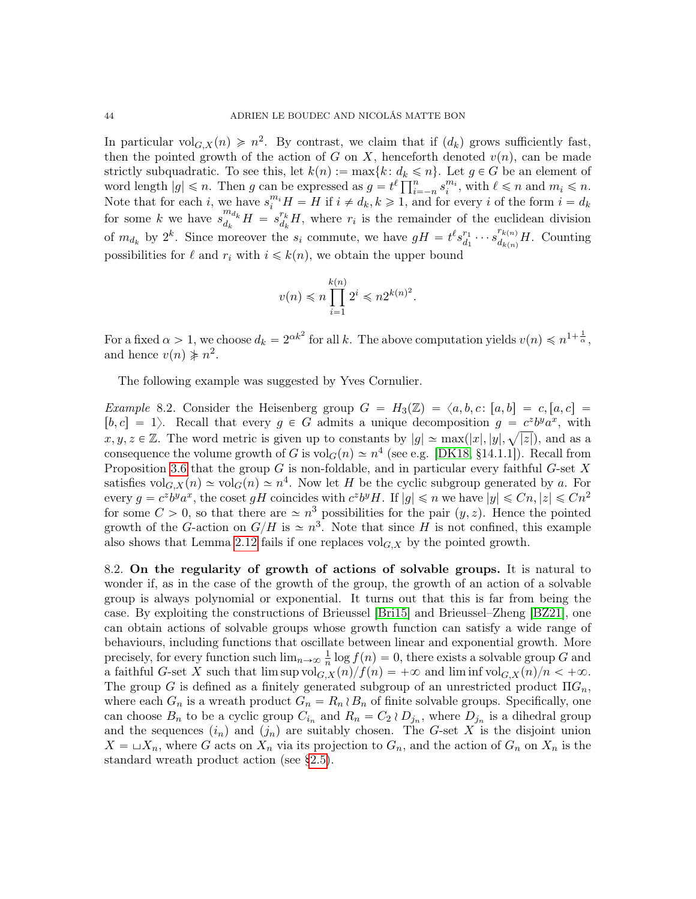In particular vol<sub>G,X</sub>(n)  $\geq n^2$ . By contrast, we claim that if  $(d_k)$  grows sufficiently fast, then the pointed growth of the action of G on X, henceforth denoted  $v(n)$ , can be made strictly subquadratic. To see this, let  $k(n) := \max\{k : d_k \leq n\}$ . Let  $g \in G$  be an element of strictly subquadratic. To see this, let  $k(n) := \max\{k : d_k \leq n\}$ . Let  $g \in G$  be an element of word length  $|g| \leq n$ . Then g can be expressed as  $g = t^{\ell} \prod_{i=-n}^{n} s_i^{m_i}$ , with  $\ell \leq n$  and  $m_i \leq n$ . Note that for each i, we have  $s_i^{m_i}H = H$  if  $i \neq d_k, k \geq 1$ , and for every i of the form  $i = d_k$ for some k we have  $s_{d_i}^{m_{d_k}}$  $\frac{m_{d_k}}{d_k}H = s_{d_k}^{r_k}$  $\frac{r_k}{d_k}H$ , where  $r_i$  is the remainder of the euclidean division of  $m_{d_k}$  by  $2^k$ . Since moreover the  $s_i$  commute, we have  $gH = t^{\ell} s_{d_l}^{r_1}$  $a_1^{r_1} \cdots s_{d_{k(n)}}^{r_{k(n)}}$  $d_{k(n)}^{(k(n))}$ *H*. Counting possibilities for  $\ell$  and  $r_i$  with  $i \leq k(n)$ , we obtain the upper bound

$$
v(n) \leqslant n \prod_{i=1}^{k(n)} 2^i \leqslant n 2^{k(n)^2}.
$$

For a fixed  $\alpha > 1$ , we choose  $d_k = 2^{\alpha k^2}$  for all k. The above computation yields  $v(n) \leq n^{1+\frac{1}{\alpha}}$ , and hence  $v(n) \nless n^2$ .

The following example was suggested by Yves Cornulier.

<span id="page-43-0"></span>*Example* 8.2. Consider the Heisenberg group  $G = H_3(\mathbb{Z}) = \langle a, b, c : [a, b] = c, [a, c] =$  $[b, c] = 1$ . Recall that every  $g \in G$  admits a unique decomposition  $g = c^2 b^y a^x$ , with  $x, y, z \in \mathbb{Z}$ . The word metric is given up to constants by  $|g| \simeq \max(|x|, |y|, \sqrt{|z|})$ , and as a consequence the volume growth of G is  $\text{vol}_G(n) \simeq n^4$  (see e.g. [\[DK18,](#page-46-23) §14.1.1]). Recall from Proposition [3.6](#page-16-3) that the group  $G$  is non-foldable, and in particular every faithful  $G$ -set  $X$ satisfies  $\mathrm{vol}_{G,X}(n) \simeq \mathrm{vol}_G(n) \simeq n^4$ . Now let H be the cyclic subgroup generated by a. For every  $g = c^2 b^y a^x$ , the coset gH coincides with  $c^z b^y H$ . If  $|g| \leqslant n$  we have  $|y| \leqslant Cn, |z| \leqslant Cn^2$ for some  $C > 0$ , so that there are  $\approx n^3$  possibilities for the pair  $(y, z)$ . Hence the pointed growth of the G-action on  $G/H$  is  $\approx n^3$ . Note that since H is not confined, this example also shows that Lemma [2.12](#page-11-1) fails if one replaces  $\mathrm{vol}_{G,X}$  by the pointed growth.

8.2. On the regularity of growth of actions of solvable groups. It is natural to wonder if, as in the case of the growth of the group, the growth of an action of a solvable group is always polynomial or exponential. It turns out that this is far from being the case. By exploiting the constructions of Brieussel [\[Bri15\]](#page-45-16) and Brieussel–Zheng [\[BZ21\]](#page-45-17), one can obtain actions of solvable groups whose growth function can satisfy a wide range of behaviours, including functions that oscillate between linear and exponential growth. More precisely, for every function such  $\lim_{n\to\infty}\frac{1}{n}$  $\frac{1}{n} \log f(n) = 0$ , there exists a solvable group G and a faithful G-set X such that  $\limsup_{K \to \infty} \text{vol}_{G,X}(n)/f(n) = +\infty$  and  $\liminf_{K \to \infty} \text{vol}_{G,X}(n)/n < +\infty$ . The group G is defined as a finitely generated subgroup of an unrestricted product  $\Pi G_n$ , where each  $G_n$  is a wreath product  $G_n = R_n \wr B_n$  of finite solvable groups. Specifically, one can choose  $B_n$  to be a cyclic group  $C_{i_n}$  and  $R_n = C_2 \wr D_{j_n}$ , where  $D_{j_n}$  is a dihedral group and the sequences  $(i_n)$  and  $(j_n)$  are suitably chosen. The G-set X is the disjoint union  $X = \sqcup X_n$ , where G acts on  $X_n$  via its projection to  $G_n$ , and the action of  $G_n$  on  $X_n$  is the standard wreath product action (see [§2.5\)](#page-9-3).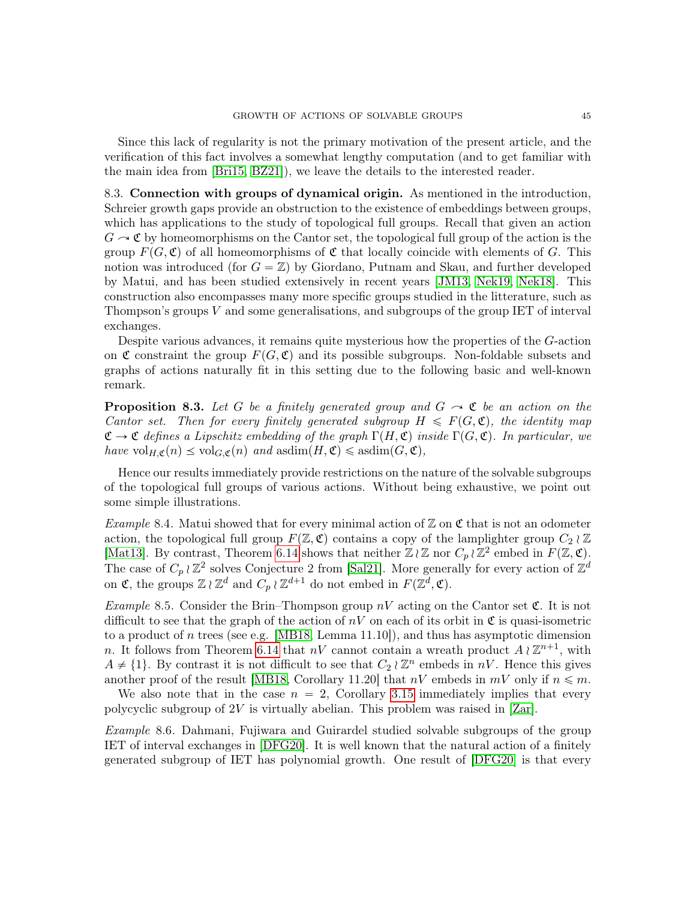Since this lack of regularity is not the primary motivation of the present article, and the verification of this fact involves a somewhat lengthy computation (and to get familiar with the main idea from [\[Bri15,](#page-45-16) [BZ21\]](#page-45-17)), we leave the details to the interested reader.

<span id="page-44-0"></span>8.3. Connection with groups of dynamical origin. As mentioned in the introduction, Schreier growth gaps provide an obstruction to the existence of embeddings between groups, which has applications to the study of topological full groups. Recall that given an action  $G \sim \mathfrak{C}$  by homeomorphisms on the Cantor set, the topological full group of the action is the group  $F(G, \mathfrak{C})$  of all homeomorphisms of  $\mathfrak{C}$  that locally coincide with elements of G. This notion was introduced (for  $G = \mathbb{Z}$ ) by Giordano, Putnam and Skau, and further developed by Matui, and has been studied extensively in recent years [\[JM13,](#page-46-2) [Nek19,](#page-47-4) [Nek18\]](#page-47-5). This construction also encompasses many more specific groups studied in the litterature, such as Thompson's groups  $V$  and some generalisations, and subgroups of the group IET of interval exchanges.

Despite various advances, it remains quite mysterious how the properties of the G-action on  $\mathfrak C$  constraint the group  $F(G, \mathfrak C)$  and its possible subgroups. Non-foldable subsets and graphs of actions naturally fit in this setting due to the following basic and well-known remark.

**Proposition 8.3.** Let G be a finitely generated group and  $G \rightarrow \mathfrak{C}$  be an action on the Cantor set. Then for every finitely generated subgroup  $H \leqslant F(G, \mathfrak{C})$ , the identity map  $\mathfrak{C} \to \mathfrak{C}$  defines a Lipschitz embedding of the graph  $\Gamma(H, \mathfrak{C})$  inside  $\Gamma(G, \mathfrak{C})$ . In particular, we have  $\mathrm{vol}_{H,\mathfrak{C}}(n) \leq \mathrm{vol}_{G,\mathfrak{C}}(n)$  and  $\mathrm{asdim}(H,\mathfrak{C}) \leq \mathrm{asdim}(G,\mathfrak{C}),$ 

Hence our results immediately provide restrictions on the nature of the solvable subgroups of the topological full groups of various actions. Without being exhaustive, we point out some simple illustrations.

Example 8.4. Matui showed that for every minimal action of  $\mathbb Z$  on  $\mathfrak C$  that is not an odometer action, the topological full group  $F(\mathbb{Z}, \mathfrak{C})$  contains a copy of the lamplighter group  $C_2 \wr \mathbb{Z}$ [\[Mat13\]](#page-47-9). By contrast, Theorem [6.14](#page-29-3) shows that neither  $\mathbb{Z} \wr \mathbb{Z}$  nor  $C_p \wr \mathbb{Z}^2$  embed in  $F(\mathbb{Z}, \mathfrak{C})$ . The case of  $C_p \wr \mathbb{Z}^2$  solves Conjecture 2 from [\[Sal21\]](#page-47-12). More generally for every action of  $\mathbb{Z}^d$ on  $\mathfrak{C}$ , the groups  $\mathbb{Z} \wr \mathbb{Z}^d$  and  $C_p \wr \mathbb{Z}^{d+1}$  do not embed in  $F(\mathbb{Z}^d, \mathfrak{C})$ .

*Example* 8.5. Consider the Brin–Thompson group  $nV$  acting on the Cantor set  $\mathfrak{C}$ . It is not difficult to see that the graph of the action of  $nV$  on each of its orbit in  $\mathfrak C$  is quasi-isometric to a product of n trees (see e.g. [\[MB18,](#page-47-7) Lemma 11.10]), and thus has asymptotic dimension n. It follows from Theorem [6.14](#page-29-3) that nV cannot contain a wreath product  $A \wr \mathbb{Z}^{n+1}$ , with  $A \neq \{1\}$ . By contrast it is not difficult to see that  $C_2 \wr \mathbb{Z}^n$  embeds in nV. Hence this gives another proof of the result [\[MB18,](#page-47-7) Corollary 11.20] that  $nV$  embeds in  $mV$  only if  $n \leq m$ .

We also note that in the case  $n = 2$ , Corollary [3.15](#page-18-1) immediately implies that every polycyclic subgroup of 2V is virtually abelian. This problem was raised in [\[Zar\]](#page-47-17).

Example 8.6. Dahmani, Fujiwara and Guirardel studied solvable subgroups of the group IET of interval exchanges in [\[DFG20\]](#page-45-5). It is well known that the natural action of a finitely generated subgroup of IET has polynomial growth. One result of [\[DFG20\]](#page-45-5) is that every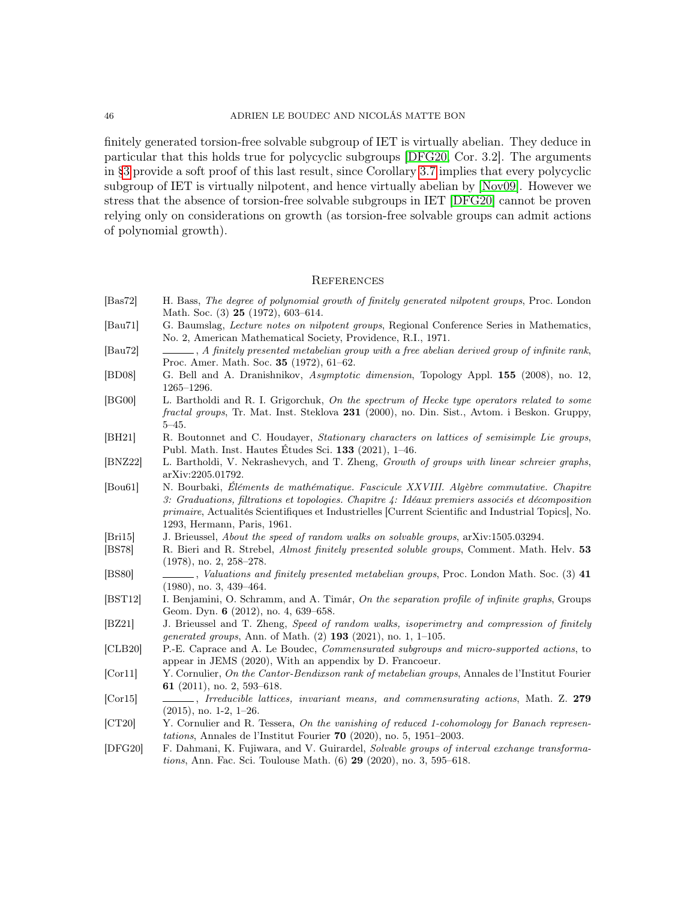#### 46 ADRIEN LE BOUDEC AND NICOLÁS MATTE BON

finitely generated torsion-free solvable subgroup of IET is virtually abelian. They deduce in particular that this holds true for polycyclic subgroups [\[DFG20,](#page-45-5) Cor. 3.2]. The arguments in [§3](#page-14-0) provide a soft proof of this last result, since Corollary [3.7](#page-16-0) implies that every polycyclic subgroup of IET is virtually nilpotent, and hence virtually abelian by [\[Nov09\]](#page-47-18). However we stress that the absence of torsion-free solvable subgroups in IET [\[DFG20\]](#page-45-5) cannot be proven relying only on considerations on growth (as torsion-free solvable groups can admit actions of polynomial growth).

### **REFERENCES**

- <span id="page-45-11"></span>[Bas72] H. Bass, The degree of polynomial growth of finitely generated nilpotent groups, Proc. London Math. Soc. (3) **25** (1972), 603-614.
- <span id="page-45-12"></span>[Bau71] G. Baumslag, Lecture notes on nilpotent groups, Regional Conference Series in Mathematics, No. 2, American Mathematical Society, Providence, R.I., 1971.
- <span id="page-45-7"></span>[Bau72] , A finitely presented metabelian group with a free abelian derived group of infinite rank, Proc. Amer. Math. Soc. 35 (1972), 61–62.
- <span id="page-45-9"></span>[BD08] G. Bell and A. Dranishnikov, Asymptotic dimension, Topology Appl. 155 (2008), no. 12,  $1265\hbox{--}1296.$
- <span id="page-45-0"></span>[BG00] L. Bartholdi and R. I. Grigorchuk, On the spectrum of Hecke type operators related to some fractal groups, Tr. Mat. Inst. Steklova 231 (2000), no. Din. Sist., Avtom. i Beskon. Gruppy, 5–45.
- <span id="page-45-4"></span>[BH21] R. Boutonnet and C. Houdayer, Stationary characters on lattices of semisimple Lie groups, Publ. Math. Inst. Hautes Études Sci. 133 (2021), 1–46.
- <span id="page-45-1"></span>[BNZ22] L. Bartholdi, V. Nekrashevych, and T. Zheng, Growth of groups with linear schreier graphs, arXiv:2205.01792.
- <span id="page-45-13"></span>[Bou61] N. Bourbaki, Éléments de mathématique. Fascicule XXVIII. Algèbre commutative. Chapitre 3: Graduations, filtrations et topologies. Chapitre 4: Idéaux premiers associés et décomposition primaire, Actualités Scientifiques et Industrielles [Current Scientific and Industrial Topics], No. 1293, Hermann, Paris, 1961.
- <span id="page-45-16"></span>[Bri15] J. Brieussel, About the speed of random walks on solvable groups, arXiv:1505.03294.
- <span id="page-45-14"></span>[BS78] R. Bieri and R. Strebel, Almost finitely presented soluble groups, Comment. Math. Helv. 53 (1978), no. 2, 258–278.
- <span id="page-45-15"></span>[BS80] , Valuations and finitely presented metabelian groups, Proc. London Math. Soc. (3) 41 (1980), no. 3, 439–464.
- <span id="page-45-10"></span>[BST12] I. Benjamini, O. Schramm, and A. Timár, On the separation profile of infinite graphs, Groups Geom. Dyn. 6 (2012), no. 4, 639–658.
- <span id="page-45-17"></span>[BZ21] J. Brieussel and T. Zheng, Speed of random walks, isoperimetry and compression of finitely generated groups, Ann. of Math. (2) 193 (2021), no. 1, 1–105.
- <span id="page-45-3"></span>[CLB20] P.-E. Caprace and A. Le Boudec, Commensurated subgroups and micro-supported actions, to appear in JEMS (2020), With an appendix by D. Francoeur.
- <span id="page-45-6"></span>[Cor11] Y. Cornulier, On the Cantor-Bendixson rank of metabelian groups, Annales de l'Institut Fourier 61 (2011), no. 2, 593–618.
- <span id="page-45-2"></span>[Cor15] , Irreducible lattices, invariant means, and commensurating actions, Math. Z. 279 (2015), no. 1-2, 1–26.
- <span id="page-45-8"></span>[CT20] Y. Cornulier and R. Tessera, On the vanishing of reduced 1-cohomology for Banach representations, Annales de l'Institut Fourier 70 (2020), no. 5, 1951–2003.
- <span id="page-45-5"></span>[DFG20] F. Dahmani, K. Fujiwara, and V. Guirardel, Solvable groups of interval exchange transformations, Ann. Fac. Sci. Toulouse Math. (6) 29 (2020), no. 3, 595–618.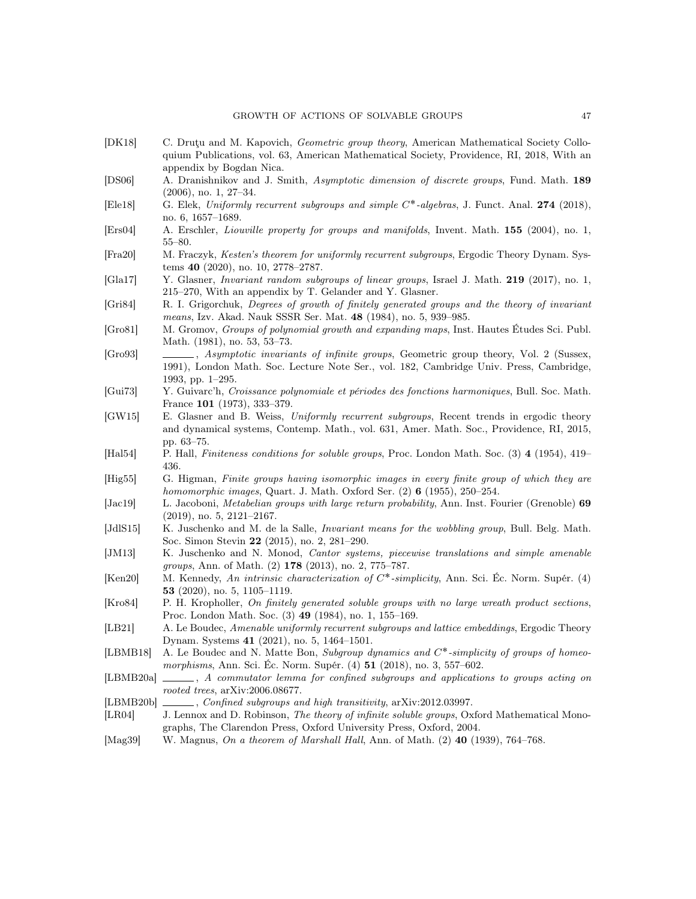- <span id="page-46-23"></span>[DK18] C. Druţu and M. Kapovich, Geometric group theory, American Mathematical Society Colloquium Publications, vol. 63, American Mathematical Society, Providence, RI, 2018, With an appendix by Bogdan Nica.
- <span id="page-46-19"></span>[DS06] A. Dranishnikov and J. Smith, Asymptotic dimension of discrete groups, Fund. Math. 189 (2006), no. 1, 27–34.
- <span id="page-46-9"></span>[Ele18] G. Elek, Uniformly recurrent subgroups and simple C\*-algebras, J. Funct. Anal. 274 (2018), no. 6, 1657–1689.
- <span id="page-46-17"></span>[Ers04] A. Erschler, Liouville property for groups and manifolds, Invent. Math. 155 (2004), no. 1, 55–80.
- <span id="page-46-11"></span>[Fra20] M. Fraczyk, Kesten's theorem for uniformly recurrent subgroups, Ergodic Theory Dynam. Systems 40 (2020), no. 10, 2778–2787.
- <span id="page-46-20"></span>[Gla17] Y. Glasner, Invariant random subgroups of linear groups, Israel J. Math. 219 (2017), no. 1, 215–270, With an appendix by T. Gelander and Y. Glasner.
- <span id="page-46-1"></span>[Gri84] R. I. Grigorchuk, Degrees of growth of finitely generated groups and the theory of invariant means, Izv. Akad. Nauk SSSR Ser. Mat. 48 (1984), no. 5, 939–985.
- <span id="page-46-0"></span>[Gro81] M. Gromov, Groups of polynomial growth and expanding maps, Inst. Hautes Études Sci. Publ. Math. (1981), no. 53, 53–73.
- <span id="page-46-3"></span>[Gro93] , Asymptotic invariants of infinite groups, Geometric group theory, Vol. 2 (Sussex, 1991), London Math. Soc. Lecture Note Ser., vol. 182, Cambridge Univ. Press, Cambridge, 1993, pp. 1–295.
- <span id="page-46-18"></span>[Gui73] Y. Guivarc'h, Croissance polynomiale et périodes des fonctions harmoniques, Bull. Soc. Math. France 101 (1973), 333–379.
- <span id="page-46-6"></span>[GW15] E. Glasner and B. Weiss, Uniformly recurrent subgroups, Recent trends in ergodic theory and dynamical systems, Contemp. Math., vol. 631, Amer. Math. Soc., Providence, RI, 2015, pp. 63–75.
- <span id="page-46-13"></span>[Hal54] P. Hall, Finiteness conditions for soluble groups, Proc. London Math. Soc. (3) 4 (1954), 419– 436.
- <span id="page-46-22"></span>[Hig55] G. Higman, Finite groups having isomorphic images in every finite group of which they are homomorphic images, Quart. J. Math. Oxford Ser.  $(2)$  6 (1955), 250–254.
- <span id="page-46-14"></span>[Jac19] L. Jacoboni, *Metabelian groups with large return probability*, Ann. Inst. Fourier (Grenoble) 69 (2019), no. 5, 2121–2167.
- <span id="page-46-4"></span>[JdlS15] K. Juschenko and M. de la Salle, *Invariant means for the wobbling group*, Bull. Belg. Math. Soc. Simon Stevin 22 (2015), no. 2, 281–290.
- <span id="page-46-2"></span>[JM13] K. Juschenko and N. Monod, Cantor systems, piecewise translations and simple amenable groups, Ann. of Math. (2) 178 (2013), no. 2, 775–787.
- <span id="page-46-7"></span>[Ken20] M. Kennedy, An intrinsic characterization of  $C^*$ -simplicity, Ann. Sci. Éc. Norm. Supér. (4) 53 (2020), no. 5, 1105–1119.
- <span id="page-46-16"></span>[Kro84] P. H. Kropholler, On finitely generated soluble groups with no large wreath product sections, Proc. London Math. Soc. (3) 49 (1984), no. 1, 155–169.
- <span id="page-46-10"></span>[LB21] A. Le Boudec, Amenable uniformly recurrent subgroups and lattice embeddings, Ergodic Theory Dynam. Systems 41 (2021), no. 5, 1464–1501.
- <span id="page-46-8"></span>[LBMB18] A. Le Boudec and N. Matte Bon, Subgroup dynamics and  $C^*$ -simplicity of groups of homeomorphisms, Ann. Sci. Éc. Norm. Supér. (4) **51** (2018), no. 3, 557–602.
- <span id="page-46-5"></span>[LBMB20a]  $\ldots$ , A commutator lemma for confined subgroups and applications to groups acting on rooted trees, arXiv:2006.08677.
- <span id="page-46-12"></span>[LBMB20b] , Confined subgroups and high transitivity, arXiv:2012.03997.
- <span id="page-46-15"></span>[LR04] J. Lennox and D. Robinson, The theory of infinite soluble groups, Oxford Mathematical Monographs, The Clarendon Press, Oxford University Press, Oxford, 2004.
- <span id="page-46-21"></span>[Mag39] W. Magnus, On a theorem of Marshall Hall, Ann. of Math. (2) 40 (1939), 764–768.